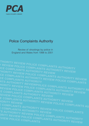

# Police Complaints Authority

Review of shootings by police in England and Wales from 1998 to 2001

**THORITY REVIEW POLICE COMPLAINTS AUTHORITY Y REVIEW POLICE COMPLAINTS AUTHORITY REVIEW ICE COMPLAINTS AUTHORITY REVIEW THORITY REVIEW POLICE COMPLAINTS AUTHORITY REVIEW CE COMPLAINTS AUTHORITY REVIEW OF COMPLAINTS AUTHORITY REVIEW<br>CE COMPLAINTS AUTHORITY REVIEW POLICE COMPLAINTS<br>NTS AUTHORITY PEVIEWS NTS AUTHORITY REVIEWPOLICE COMPLAINTS AUTHORITY RE HORITY REVIEW POLICE COMPLAINTS AUTHORITY REVIEW REVIEW POLICE COMPLAINTS AUTHORITY REVIEW COMPLAINTS AUTHORITY REVIEW REVIEW POLICE COMPLAINTS AUTHORITY REVIEW E COMPLAINTS AUTHORITY REVIEW<br>JORITY REVIEW<br>E COMPLAINTS AUTHORITY REVIEW POLICE COMPLAINTS AU<br>E COMPLAINTS AUTHORIES TOOMPLAINTS AUTHORITY REVIEW POLICE COMPLAINTS<br>TS AUTHORITY REVIEW POLICE COMPLAINTS AUTHORITY ORITY REVIEW POLICE COMPLAINTS AUTHORITY REVIEW EVIEW POLICE COMPLAINTS**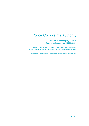# Police Complaints Authority

Review of shootings by police in England and Wales from 1998 to 2001

Report to the Secretary of State for the Home Department by the Police Complaints Authority pursuant to S. 79(1) of the Police Act 1996

*Ordered by* The House of Commons to be printed 30 January 2003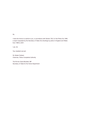Sir,

I have the honour to submit to you, in accordance with Section 79(1) of the Police Act 1996, a report requested by the Secretary of State into shootings by police in England and Wales from 1998 to 2001.

I am, Sir

Your obedient servant

Sir Alistair Graham Chairman, Police Complaints Authority

The Rt Hon David Blunkett, MP Secretary of State for the Home Department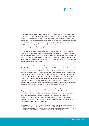### Preface

This review was prepared by Alan Bailey<sup>1</sup> (External Consultant to the PCA on the police use of firearms), Dr David Best (Head of Research at the PCA) and the two Deputy Chairmen of the PCA, Ian Bynoe and Wendy Towers. The constitution of the group was selected to ensure that expertise and experience in police use of firearms was combined with research expertise and with the managerial and policy perspective of the PCA membership. Additional input on individual cases and matters of technical expertise were obtained as required in the process of conducting the review.

The authors would like to thank all those who contributed to the review by participating in interviews, providing written submissions, reviewing and editing earlier drafts of the report and by providing expert input around particular issues that arose during its preparation. Our thanks must also go to Her Majesty's Inspectors of Constabulary, the Association of Chief Police Officers and Professor Geoffrey Alpert, University of South Carolina, for commenting on a number of drafts of the report.

The review has used the available evidence to identify key issues for the police service from both individual cases and from a synthesis of the 24 cases included in the review. The methods have been mutually generative in that the questions addressed using statistical analyses have been based on simple data frequencies and the questions elicited from the expert analysis of cases. Although the methods are statistically sound, they are based on restricted data, and we see this work as the first stage in developing a comprehensive picture – a picture which will require, as we have recommended, a commitment to data collection and analysis from the police forces to this work. In particular, it is critical that firearms units collate more satisfactory information on incidents in which shots are not fired as a comparison group for contextualising the data collated in the review.

The conclusions reached are extremely positive and would indicate that firearms units in England and Wales are highly professional. On the other hand, for lessons to be learned in a police service that is critical and reflective, it is essential that the review process is ongoing and based on sound empirical foundations. The recommendations from the Burrows review have not been implemented according to systematic criteria across forces and it is this process of review, revision and evaluation that is at the heart of the recommendations made in the current report.

<sup>1</sup> Alan Bailey was a police officer for 30 years. During this time, he performed the roles of Authorised Firearms Officer, Tactical Advisor and Silver Firearms Commander. From 1998 until 2001 he was Head of the National Operations Faculty at Bramshill Police Staff College. He holds academic degrees in the management of firearms operations and has given expert witness evidence on firearms practice in criminal trials.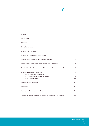# **Contents**

| Preface                                                                                                                                     | 1                     |
|---------------------------------------------------------------------------------------------------------------------------------------------|-----------------------|
| List of Tables                                                                                                                              | $\overline{4}$        |
| Glossary                                                                                                                                    | 5                     |
| Executive summary                                                                                                                           | 6                     |
| Chapter One: Introduction                                                                                                                   | 12                    |
| Chapter Two: Aims, rationale and method                                                                                                     | 20                    |
| Chapter Three: Family and key informant interviews                                                                                          | 24                    |
| Chapter Four: Summaries of the cases included in the review                                                                                 | 29                    |
| Chapter Five: Quantitative analysis of the 24 cases included in the review                                                                  | 56                    |
| Chapter Six: Learning the lessons<br>A. Management of the incident<br>B. Characteristics of the individuals shot<br>C. Post-incident issues | 69<br>73<br>98<br>101 |
| Chapter Seven: Conclusion                                                                                                                   | 114                   |
| References                                                                                                                                  | 115                   |
| Appendix 1: Review recommendations                                                                                                          | 117                   |
| Appendix 2: Standardised pro forma used for analysis of PCA case files                                                                      | 124                   |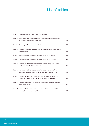# List of tables

|          | Table 1: Classification of incidents in the Burrows Report                                                                        | 13  |
|----------|-----------------------------------------------------------------------------------------------------------------------------------|-----|
| Table 2: | Relationship between deployments, operations and police discharge<br>of weapons between 1997 and 2001                             | 21  |
| Table 3: | Summary of the cases involved in the review                                                                                       | 58  |
| Table 4: | Possible explanatory factors in each of the 20 cases for which reports<br>were available                                          | 59  |
| Table 5: | Analysis of shootings within the review classified as 'rational'                                                                  | 61  |
| Table 6: | Analysis of shootings within the review classified as 'irrational'                                                                | 62  |
| Table 7: | Summary of the criminal and disciplinary proceedings and inquest<br>verdicts from each of the review cases                        | 67  |
| Table 8: | Number of incidents and number of authorised firearms officers in<br>England and Wales, and in the MPS, 1997-2001 (Source - HMIC) | 71  |
| Table 9: | Rates of shootings as a function of relevant demographic factors<br>comparing the MPS and other forces in England and Wales       | 87  |
|          | Table 10: Police shootings per 1,000 firearms operations in the MPS and other<br>metropolitan forces                              | 88  |
|          | Table 11: Dates for the key events in the 20 cases in the review for which the<br>investigation had been completed                | 102 |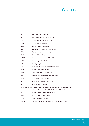# **Glossary**

| <b>ACC</b>   | <b>Assistant Chief Constable</b>                                                                                                             |
|--------------|----------------------------------------------------------------------------------------------------------------------------------------------|
| <b>ACPO</b>  | Association of Chief Police Officers                                                                                                         |
| <b>APA</b>   | Association of Police Authorities                                                                                                            |
| <b>ARV</b>   | Armed Response Vehicle                                                                                                                       |
| <b>CPS</b>   | <b>Crown Prosecution Service</b>                                                                                                             |
| <b>ECHR</b>  | European Convention on Human Rights                                                                                                          |
| <b>ECtHR</b> | European Court of Human Rights                                                                                                               |
| FLO.         | Family Liaison Officer                                                                                                                       |
| <b>HMIC</b>  | Her Majesty's Inspectors of Constabulary                                                                                                     |
| <b>HRA</b>   | Human Rights Act 1998                                                                                                                        |
| IO           | <b>Investigating Officer</b>                                                                                                                 |
| <b>IPCC</b>  | Independent Police Complaints Commission                                                                                                     |
| <b>MPS</b>   | Metropolitan Police Service                                                                                                                  |
| <b>NGO</b>   | Non Governmental Organisation                                                                                                                |
| <b>NLEMF</b> | National Law Enforcement Memorial Fund                                                                                                       |
| PCA.         | <b>Police Complaints Authority</b>                                                                                                           |
| <b>PCCG</b>  | Police Community Consultative Group                                                                                                          |
| <b>PNC</b>   | <b>Police National Computer</b>                                                                                                              |
|              | Principal officers Those officers who have fired or whose actions have altered the<br>course of events at the scene of the shooting incident |
| <b>PSDB</b>  | Police Scientific Development Branch                                                                                                         |
| <b>PTSD</b>  | Post-Traumatic Stress Disorder                                                                                                               |
| SIO          | Senior Investigating Officer                                                                                                                 |
| SO19         | Metropolitan Police Service Tactical Firearms Department                                                                                     |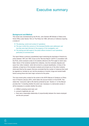### Executive summary

### **Background and Method**

This review was commissioned by the Rt Hon. John Denham MP, Minister of State at the Home Office under Section 79(1) of The Police Act 1996, with terms of reference requiring a review of:

- *The planning, control and conduct of operations;*
- *The way in which the concerns of the bereaved families were addressed, and how they were kept informed of the progress of the investigation; and*
- *The training and skill needs of the police officers involved in such operations, particularly at command level.*

The report follows a previous (unpublished) report examining the discharge of firearms by police between 1991 and 1993, known as the "Burrows Report" (ACPO in consultation with the PCA), which reviewed a total of 23 incidents referred to the PCA (eight of which were fatal). Seven of the incidents resulted from robberies, nine from domestic disputes and seven from 'other incidents', which did not lend to a natural classification. In three of the robberies, at least two of the domestic incidents and at least one of the other incidents, shots were fired by the suspect. Burrows concluded that the number of instances that could be regarded as 'suicides by cop' and the prevalence of alcohol, drugs and mental health factors among those shot were major concerns for the police.

The more recent policy context for the review is the ACPO Manual of Guidance on Police Use of Firearms (January 2001), which takes into account Article 2 of the ECHR. This states that: "everyone's right to life shall be protected by law". Section 2.1 of the Manual provides that: "In deciding whether the action was 'necessary in a democratic society' it will be necessary to consider whether the action:

- a. fulfilled a pressing social need, and
- b. pursued a legitimate aim, and
- c. there was a reasonable relationship of proportionality between the means employed and the aim pursued."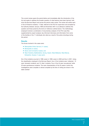The current review spans the period before and immediately after the introduction of the Act and seeks to address the broader question of what lessons have been learned, both since the Burrows Report and across the period under review. The review will outline each of the 24 firearms incidents, 11 fatal, referred to the PCA for supervision and accepted by the Authority between January 1998 and November 2001 in an attempt to address this question and those posed by the terms of reference outlined above. The methodology employed involved a combination of documentary analysis of the PCA case files supplemented by expert analysis, key informant interviews and information from some of the families of the 11 individuals who died as a result of the police shootings during this period.

#### **Results**

The forces involved in the cases were:

- Metropolitan Police Service (11 cases);
- Merseyside (3 cases);
- Devon and Cornwall (2 cases); and
- West Yorkshire, Bedfordshire, Surrey, Gwent, West Midlands, West Mercia, Derbyshire, Sussex (1 case each).

Six of the incidents occurred in 1998, seven in 1999, seven in 2000 and four in 2001. Using the classification employed in the Burrows Report, four of the incidents were 'robberies', 10 were 'domestic incidents' and 10 'other' incidents. Four of the 24 were 'pre-planned' while 20 were spontaneous incidents. The main characteristics of the 20 cases in which the investigations were complete or almost complete by the time of writing are shown in the table overleaf: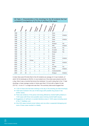| $D_{\mathbf{a}_{t_0}}$ | Shots <sub>/hits</sub> | Age | Robbery                  | Domestic<br>issues       | Mental health            | Intoxicated              | History of               | I <sup>Substance use</sup><br>Weapon type | Firearm rear? |
|------------------------|------------------------|-----|--------------------------|--------------------------|--------------------------|--------------------------|--------------------------|-------------------------------------------|---------------|
| 1998                   | 1/1                    | 39  | $\overline{\phantom{0}}$ | $\overline{\phantom{0}}$ | $\overline{\phantom{0}}$ | $\overline{\phantom{0}}$ | $\overline{\phantom{0}}$ | None                                      |               |
| 1998                   | 1/1                    | 32  |                          |                          | X                        | X                        | $\overline{\phantom{0}}$ | Pistol                                    | Imitation     |
| 1998                   | 1/1                    | 51  | $\overline{\phantom{0}}$ | X                        | X                        | X                        | X                        | Knife                                     |               |
| 1998                   | 1/1                    | 28  | $\overline{\phantom{0}}$ |                          | X                        | X                        | $\overline{\phantom{0}}$ | Pistol                                    | Imitation     |
| 1998                   | 6/1                    | 30  |                          | $\overline{\phantom{0}}$ | X                        | $\qquad \qquad -$        | X                        | None                                      |               |
| 1998                   | 3/1                    | 33  | $\overline{\phantom{0}}$ | X                        | $\overline{\phantom{0}}$ | $\qquad \qquad -$        | $\overline{\phantom{0}}$ | Shotgun                                   | Yes           |
| 1999                   | 4/2                    | 18  | $\overline{\phantom{0}}$ | $\overline{\phantom{0}}$ | X                        | X                        | X                        | <b>Rifle</b>                              | Imitation     |
| 1999                   | 2/1                    | 20  | $\overline{\phantom{0}}$ | X                        | X                        | X                        | $\overline{\phantom{0}}$ | Air-rifle                                 | Yes           |
| 1999                   | 1/1                    | 47  | $\overline{\phantom{0}}$ | X                        | X                        | X                        | X                        | Air-pistol                                | Yes           |
| 1999                   | 2/1                    | 36  | X                        |                          | $\overline{\phantom{0}}$ | $\qquad \qquad -$        | X                        | Shotgun                                   | Yes           |
| 1999                   | 2/2                    | 46  | $\overline{\phantom{0}}$ |                          | —                        | X                        |                          | None                                      |               |
| 1999                   | 1/1                    | 18  | X                        |                          | —                        | $\qquad \qquad -$        | X                        | None                                      |               |
| 1999                   | 1/1                    | 34  | $\overline{\phantom{0}}$ |                          | X                        | X                        | X                        | Pistol                                    | Imitation     |
| 2000                   | 1/1                    | 19  | Kidnap                   |                          | $\overline{\phantom{0}}$ | $\overline{\phantom{0}}$ | $\overline{\phantom{0}}$ | None                                      |               |
| 2000                   | 7/2                    | 46  | $\overline{\phantom{0}}$ | X                        | $\overline{\phantom{0}}$ | X                        | $\overline{\phantom{0}}$ | Pistol                                    | Imitation     |
| 2000                   | 2/2                    | 26  |                          | $\overline{\phantom{0}}$ | X                        | $\overline{\phantom{0}}$ | $\overline{\phantom{0}}$ | Axe                                       |               |
| 2000                   | 3/2                    | 30  | $\overline{\phantom{0}}$ | X                        | X                        | X                        | X                        | Air-Rifle                                 | Yes           |
| 2000                   | 3/1                    | 19  | X                        |                          | $\overline{\phantom{0}}$ | $\overline{\phantom{0}}$ | X                        | Pistol                                    | Imitation     |
| 2000                   | 1/1                    | 19  | $\overline{\phantom{0}}$ | X                        | X                        |                          | X                        | Corkscrew/knife                           |               |
| 2000                   | 2/1                    | 28  | X                        |                          | —                        |                          | $\overline{\phantom{0}}$ | Shotgun                                   | Imitation     |

### **ES Table 1: Characteristics of the shootings for the 20 incidents that had completed investigations at the time of writing of the report**

In total, there were 55 shots fired in the 24 incidents (an average of 2.3 per incident), of which 32 hit individuals (or 58.2%). In one incident six of the shots were aimed at and hit a dog. Here it was a ricochet that struck the individual. It is worth noting that in the 11 fatal shootings, a lower average number of shots were fired (1.9) but with a higher hit rate (76.1%) – in six of 11 a single shot was fired. The summary data would suggest that:

- 11/24 of those shot had been drinking on the day of the shooting (six fatal shootings);
- 10/24 were involved in the use of illicit drugs (with possible drug issues in two further cases);
- There was evidence of the person shot being affected by mental health problems in 11/24 cases (with three more possible cases involving mental health issues);
- Suggestions of self-harm or suicidal intentions arose in 12/24 cases (including seven of the 11 fatalities); and
- Only 4/24 cases involved armed robbery and one other a suspected kidnapping and none of these cases resulted in a fatality.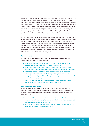Only one of the individuals shot discharged their 'weapon' in the presence of armed police (although this was aimed at a door) while four did not have a weapon (real or imitation) at the time of the shooting. Of the 20 who had something that resembled a weapon, one had two metal tubes in a plastic bag, one had a table leg wrapped in a bag and eight others had imitation guns (albeit one of these was capable of firing CS incapacitant canisters). Of the remainder, four had edged weapons (two knives, an axe and a sword respectively), and six had a shot-gun, air rifle or rifle. However, for all of the imitations, it would not have been possible for the officers to tell that they were not real at the time of the shooting.

In only two instances, one where a police officer was stabbed in the hand by a knife that was thrown and one where one of those shot physically assaulted his girlfriend with a knife and a corkscrew, did the use of the weapon by the suspect result in injury to another person. Three members of the public (two of whom were partners of the individuals shot) had been assaulted in the period immediately prior to the arrival at the scene of the firearms officers. Attempts at quantitative analysis were hampered by inconsistencies in reporting between forces and across time and this is an issue that should be rectified in future by the use of a standardised reporting form.

#### **Family issues**

In the interviews conducted with family members assessing their perceptions of the incidents, the main concerns raised were that:

- The police had fired too quickly, so depriving the family of the opportunity to intervene, and that the police tactics had been inappropriate;
- There was a lack of co-ordination between the agencies involved (particularly between the police and mental health services) both before and after the shootings;
- The investigating force was known to the officers involved, questioning their impartiality, which compounded family feelings of being marginalised in the investigations, not being kept informed and, on occasion, being treated unacceptably by the incident investigators; and
- There were long delays in reaching decisions and in holding inquests, causing distress and uncertainty both to the officers and the families.

#### **Key informant interviews**

A number of key informants who were involved either with vulnerable groups such as those with mental illness, with the development of police policy or with the investigation of police shootings were also contacted as part of the project. Among the main views expressed were:

- concerns that forces did not learn the lessons, partly supported by the lack of evidence, in certain later cases, that operational behaviour had changed as a result of recommendations from earlier incidents;
- concerns from the police staff associations and the families of people shot by the police over the quality of firearms training; and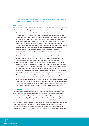• concerns about both the impartiality of CPS decision-making and the time taken by the CPS to reach decisions on criminal charges.

#### **Implications**

While there are a number of detailed recommendations about both the police management of firearms incidents and the post-incident management, the main implications related to:

- 1. The failure to learn lessons (from incidents in other forces and particularly for the forces which had a significant number of such cases) necessitates more adequate measures for disseminating and implementing the recommendations from previous incidents (to be monitored by HMIC). This dissemination should be based on a stronger evidence base consisting of a programme of research work in this area.
- 2. While it is acknowledged that spontaneous incidents can be over in a matter of minutes, making planned responses difficult to manage, the number of spontaneous incidents that are completed before the command structure can be established indicates that the Gold, Silver and Bronze model is not helpful and should be supplemented by a more effective command system for such short, spontaneous incidents.
- 3. The failures of command and management, in a number of the cases included, suggests the need for an urgent review of the role of the Silver Commander in decision making, and may highlight training and selection issues for this group.
- 4. The large number of incidents that appear to have been 'provoked' shootings, in addition to the preponderance of intoxication, addiction and mental health factors in spontaneous incidents suggests that training and strategy for spontaneous firearms incidents needs to be focused to a far greater degree on the needs of such populations. Furthermore, tactics need to be developed for tackling a non-compliant individual in possession of a firearm who is not posing an immediate threat.
- 5. There is an urgent requirement for the development of a coherent strategy for the use of "less lethal" options including clearer evidence-based guidance on the use of general purpose or attack dogs, the circumstances and training needed for the use of negotiators and the role of unarmed officers. In addition, urgent answers are required concerning the effectiveness and applicability of alternative weapon systems such as baton guns, water cannon and electrical or mechanical incapacitation devices.

#### **Conclusions**

The 24 shootings reviewed here cannot be neatly grouped together as a result of the marked variability in both incident evolution and outcomes. Conclusions are therefore necessarily tentative. For the pre-planned robbery operations, there is relatively little of contention in the planning of the operations. For the remainder, the factors requiring consideration are much more complex – in more than half  $(11/20)$ , the individual who was shot appears to have had this as their objective, while at least two others had marked mental health problems and another five were intoxicated at the time of the shooting. This level of unpredictability makes the assumption of rational response invalid and makes attributing responsibility highly problematic. On this basis, we have applied a new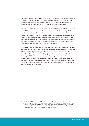categorisation system which distinguishes cases on the basis of the perceived "rationality" of the actions of the individual shot. Finally, in a small number, one must admit to the possibility that the individual was shot in error – certainly at least one accidental gun discharge and one person caught by a bullet splinter fall into this category.

There are a number of management, policy, tactical and training issues for the police forces and ACPO to address – some of which were also raised in the Burrows Report. There would appear to be significant problems with command and management of some incidents, and there are several incidents where the methods employed would suggest a lack of strategic thinking or planning by both experienced firearms officers and by their commanders. Similarly, the use of proactive methods designed to generate an expeditious and timely conclusion may result in an increased risk of weapon discharges that forces may have to consider in the light of human rights legislation.

This review has found many reasons to be encouraged by the current situation in England and Wales and the small number of weapons discharged during the period in relation to the total of armed deployments suggests that the overall picture is a positive one. The review has not identified any concerns about legal justification in more than a handful of cases<sup>2</sup>. However, the Right to Life principle now governing every aspect of the police use of firearms sets a demanding standard for the police service to meet which does not stop with the officer who pulls the trigger. Heeding the lessons for police practice and organisation detailed in this report and implementing its recommendations may help to ensure that the standard is fully met in the future.

<sup>2</sup> Article 2 of the ECHR does not establish entirely new grounds to justify deprivation of life. It recognises the lawful use of legal force e.g. in reasonable self or third party defence, including where a police officer is honestly mistaken as to the threat posed by the person killed. When deciding whether a fatal shooting is "absolutely necessary", the following will still have to be considered: the firer's purpose; the threat posed by the actions of the person shot; and the risk that the force used will cause loss of life.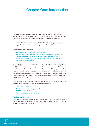## Chapter One: Introduction

This report is based on the findings of a review commissioned by The Rt Hon. John Denham MP, Minister of State, Home Office, under Section 79(1) of The Police Act 1996. The terms of reference announced in Parliament on 20th November 2001 were:

*The review will consider what lessons can be learnt from the investigations into police shootings, which have resulted in death or injury, since January 1998.*

*In particular the review will look at:*

- *The planning, control and conduct of operations;*
- *The way in which the concerns of the bereaved families were addressed, and how they were kept informed of the progress of the investigation; and*
- *The training and skill needs of the police officers involved in such operations, particularly at command level.*

Section 79(1) of The Police Act 1996 allows the Home Secretary to call for a report from the PCA on issues of concern. Although each incident in which a member of the public is shot by an armed police officer is the subject of a detailed and thorough investigation, systematic analysis over time and across incidents has been limited. This introduction will outline briefly the research and policy history of the police use of firearms in the UK and the legal context that has altered this framework, particularly since the introduction into English law of the ECHR.

The introduction covers the major pieces of work carried out in this area that are of direct relevance to the current review, and fall into four main sections:

- 'The Burrows Report'
- The developing social and legal context
- ACPO Manual of Guidance
- Recent international research evidence

#### **The Burrows Report**

There has been one important UK shootings review prior to this one – *Review of incidents involving the discharge of firearms by police, 1991-1993*, "The Burrows Report" produced by ACPO in consultation with the PCA.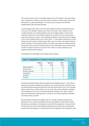This study reviewed a total of 23 incidents referred to the PCA (eight of which were fatal) – seven resulting from robberies, nine from domestic disputes and seven which did not lend themselves to a natural classification. The main source of data was the PCA files supplemented by key informant interviews.

Live fire weapons were used in six of the seven robberies where an individual was shot, in all nine of the domestic incidents and in three of the seven 'other' incidents. Of the non-firing weapons, four involved imitations and one an edged weapon. In three of the robberies, at least two of the domestic incidents and at least one of the other incidents, shots were fired by the suspect. It is immediately significant to note that this did not happen in any of the completed cases in the current review – no live weapon was fired at an officer during any of the incidents. Similarly, three officers and one civilian were injured during the robbery incidents. In the domestic incidents, one civilian was injured and another seriously injured prior to the arrival of the firearms officers and a police officer was shot while trying to draw his weapon but there is no report of the number of injuries sustained by nonsuspects during the other incidents.

| Table 1: Classification of incidents in the Burrows Report |                |                 |         |              |
|------------------------------------------------------------|----------------|-----------------|---------|--------------|
|                                                            | <b>Robbery</b> | <b>Domestic</b> | Other   | <b>Total</b> |
|                                                            | $(n=7)$        | $(n=9)$         | $(n=7)$ | $(n=23)$     |
| Police rounds fired                                        | 41             | 31              | 28      | 100          |
| Number of hits                                             | 15             | 16              | 13      | 44           |
| Number of fatal hits                                       |                | 4               | 3       | 8            |
| Drugs/alcohol                                              |                | 6               | 3       | 9            |
| 'Disturbed'                                                |                | 4               | 6       | 10           |
| 'Provoked'                                                 |                | 6               | 3       | 9            |

The breakdown of discharges in the incidents were as follows:

Among the domestic disputes, Burrows pointed out two significant issues – the number of instances that could be regarded as 'suicides by cop' and the relevance of alcohol, drugs and mental health issues among those shot. Burrows argued that six out of nine 'domestic' cases involved drug or alcohol issues, four out of nine were among 'disturbed' individuals, and he classed six out of nine as provoked shootings. Similarly, in the 'other' incidents, three were described as involving drugs or alcohol, six as involving 'disturbed' individuals and three as being 'provoked'.

Burrows pointed out that it was relatively rare for a complex command structure to be developed in time, and when established, this was only effective in about half the cases. Burrows also commented on the problems involved with the deployment of dogs and with the blurring of roles when several different disciplines were involved. He also expressed concern about the adequacy of communication and the adequacy of the rationale for some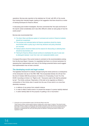operations. Burrows also reported on the relatively low 'hit rate' with 56% of the rounds fired missing their intended targets, leading to the suggestion that there should be a review of training techniques for firearms officers.

In discussing post incident investigation, Burrows commented that "the style and format of the reports varied considerably and it was often difficult to obtain an early grasp of how the events arose"<sup>3</sup>.

Burrows also recommended that:

- The Gold, Silver and Bronze system of command and control of firearms incidents should be re-examined;
- The purpose and rationale behind all firearms operations should be clearly documented within a policy log in which key decisions and policy directives are recorded;
- Tactical options should be listed and the reasons for discounting or selecting them should be documented; and
- Training for firearms officers should continue to emphasise the use of cover and to distinguish between 'cover from view' and 'substantial ballistic cover'.

It is beyond the scope of the current review to comment on the recommendations arising from the Burrows Report. However, it is regrettable that there is no formal mechanism for assessing their implementation and many of the findings presented below would suggest that implementation has not been universal.

### **The developing social and legal context**

The legislative framework for analysis changed during the review period as a consequence of the introduction into law of the HRA 1998. This incorporated directly into UK law from the 2nd of October 2000 the provisions of Articles 2 to 18 excluding 13 and 15 of the ECHR. According to Article 2 on "Right to Life", "Everyone's right to life shall be protected by law". The Article continues "Deprivation of life shall not be regarded as inflicted in contravention of this Article when it results from the use of force which is no more than absolutely necessary:

- a. in defence of any person from unlawful violence
- b. in order to effect a lawful arrest or to prevent the escape of a person lawfully detained
- c. in action lawfully taken for the purpose of quelling a riot or insurrection."

<sup>3</sup> Among the core recommendations made in the Burrows Report were that: "Police firearms officers receive specific training in dealing with a wide range of incidents. This should include awareness training in respect of dealing with the mentally ill and those under the influence of alcohol and drugs, basic skills in communicating and negotiating with special population groups and it is recommended that the assistance of professionals who work with these groups be obtained in training both firearms officers and negotiators" (p26).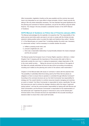After incorporation, legislation (insofar as this was possible) and the common law would have to be interpreted so as to give effect to these principles. Article 2 clearly permits the taking of life only where absolutely necessary. The new standard has great significance for the planning and command of firearms operations, not just for the officers using the lethal firearms. The change in the law prompted a substantial revision of the ACPO Manual of Guidance.

#### **ACPO Manual of Guidance on Police Use of Firearms (January 2001)**

The Manual acknowledges the Act explicitly in its assertion that "The responsibility of the police service (and other public services) is not only to comply with the Articles but also extends to taking positive action to protect the rights and freedoms they outline". Section 2.1 of the Manual goes on to assert that: "In deciding whether the action was 'necessary in a democratic society' it will be necessary to consider whether the action:

- a. fulfilled a pressing social need, and
- b. pursued a legitimate aim, and
- c. there was a reasonable relationship of proportionality between the means employed and the aim pursued."

The Manual quotes the European Court of Human Rights' assertion in *McCann v United Kingdom4* that "in keeping with the importance of this provision [the right to life] in a democratic society the court must, in making its assessment, subject deprivation of life to the most careful scrutiny …. Taking into account not only the actions of the agents of the State who actually administer the force but also all the surrounding circumstances including such matters as the planning and control of the actions under examination."5

Chapter 4 of the Manual deals with issues of command. It starts with the assertion that "the possibility of potentially lethal force being used by the Police Service places an obligation on them to ensure that an operation is controlled through effective Command"6 . According to the command structure set out, the Gold Commander has responsibility for strategy and "the overall intention to combine resources towards managing and resolving an event or incident"; the Silver Commander is responsible for tactics, specifically "the way that resources are used to achieve the strategic intentions within the range of approved tactical options", and has the communication responsibility for liaising with both Bronze and Gold Commanders; and the Bronze Commander is responsible for the implementation of the tactical plan and "organises the groups of resources to carry out the tactical plan". All three levels of the command structure are responsible for the accurate recording of decisions taken to ensure that a clear audit trail exists.

- 4 (1996) 15 EHRR 97
- 5 3.4.4
- 6 4.1.1

15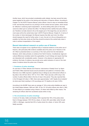Another issue, which has provoked considerable public debate, has been around the body areas targeted by the police in the training and instruction of firearms officers. According to Chapter 5 of the ACPO Firearms Manual, police officers "shoot to stop an immediate threat to life" and that they should do so by aiming to hit the central nervous system, which should be "effective in achieving rapid incapacitation", as shots striking other parts of the body cannot be relied upon to achieve this effect. The Manual further clarifies that police officers are "therefore normally trained to fire at the largest part of the target they can see which in most cases will be the central body mass" (ACPO Firearms Manual, Chapter 5). In terms of the number of shots discharged, the Manual requires that after each shot, the officer should reassess the need for further action. In sum, the aim is to fire as infrequently as is possible, but that when shots are fired they should be aimed at the central body mass in order to achieve incapacitation of the suspect.

#### **Recent international research on police use of firearms**

There does not appear to be a significant body of empirical evidence on the police use of firearms, with particularly little evidence available about the police use of firearms in the UK. What is presented below is a summary of the main points from the international literature, which relies primarily on evidence from North America. Constitutional, legal and cultural differences inevitably restrict the applicability of such findings and require that they are interpreted with considerable caution. However, in the absence of appropriate UK evidence, this body of evidence may provide some useful indicators of some of the main areas of evidence about the police use of firearms.

#### **1. Prevalence of police shootings**

An overview of "Police Vehicles and Firearms: Instruments of Deadly Force" by Alpert and Fridell (1992) examined issues around prevalence and patterns in American cities. Sherman et al (1986) reported a significant drop in killings by law enforcement officers in big cities in the US from 353 in 1971 to 172 in 1984. There was also a 65% drop in the number of police officers killed in the line of duty in this period. They also reported that, in the 50 largest US cities in 1984, there were approximately 1,229 "deadly force incidents" (ie shots were fired) resulting in 418 woundings and 172 deaths (a hit rate of 48%).

According to the NLEMF, there were an average of 146 on-duty police fatalities per year in the United States between 1990 and 1993. Of the 151 US police officers who died in 1993, 75 were killed by an assailant using a firearm, 23 others were killed by other means. The remaining 53 officers died from accidental causes while on duty.

#### **2. The circumstances of police shootings**

In terms of hit rates, Geller and Karales (1981) reported that 18% of the police shots fired in Chicago between 1974-78 hit a citizen, of whom 25% were killed, while Horvath (1987), in Michigan, reported that 32% of police shots hit a citizen, of whom 35% were fatally wounded.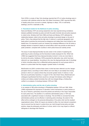Fyfe (1978) in a study of New York shootings reported that 37% of police shootings were in connection with robberies while the New York State Commission (1987) reported that 46% of deadly police force occurred on streets, highways or alleys, 10% in multi-family dwellings, and 8% in stairwells or lifts.

#### **3. Theoretical models for the likelihood of police shooting**

Kania and Mackey (1977) are among researchers who have reported strong correlations between justifiable homicides by police and both the public homicide rate and police exposure to violent crime. Similarly, both Fyfe (1980) and Kania and Mackey (1977) attributed the relationship between violent crime and police shootings to perceived danger on the part of police. That is, they believed that the high rate of violence in a particular geographic area leads police to perceive the environment as dangerous and makes them more inclined to use deadly force. It is important to point out, however, the contextual difference in the UK where a strategic decision is required to deploy an armed officer, which may provide an extra level of public protection, compared with countries in which police forces are routinely armed.

The issue of racial disproportionality has also arisen in the context of explaining the patterning of police shootings and the theoretical models employed for this. While Fyfe (1980) has suggested that those disproportionately involved in crime are more likely to be shot by the police, Goldkamp (1976) presented the alternative view, which has been referred to as 'quasi-labelling'. According to this view, the disproportionate rate of shootings of ethnic minorities arises from a differential policing approach for such groups which is based on a police belief that they engage in greater levels of criminality.

MacDonald et al (2001) combine these views in what has been referred to as the 'dangerperception theory' according to which officers are more likely to use deadly force during periods in which (or in places where) they encounter greater levels of violence or view their job as particularly hazardous. In support of this 'ratio threat' theory, MacDonald and colleagues hypothesised that there would be a stronger link between police killings of civilians and robbery-related homicides than with love triangle killings, a finding they verified in an analysis of shootings between 1976 and 1996.

#### **4. Administrative policy and the rate of police shooting**

In an analysis of 982 police shootings in Philadelphia between 1970 and 1992, White (1999) emphasised the importance of discretion control mechanisms in police policies on the use of firearms, particularly around the policies and ethnicity of the mayor responsible for each police force. The abolition of a restrictive administrative policy in 1974 was associated with a significant increase in shootings. This led White to conclude that while administrative policies can be effective in restricting police shootings, the extent of this effect will be contingent on the personal philosophies of the police chief and the resultant organisational culture. While US mayors are elected to office, the most relevant comparison may be around how the head of a police force can, both through formal policy and daily practice, shape the philosophy and ethos of a force, which in turn may impact on officers' willingness to discharge their firearms.

17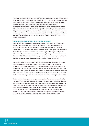The impact of administrative policy and environmental factors was also identified by Jacobs and O'Brien (1998). Their analysis of police killings in 170 US cities demonstrated that the use of lethal force by police officers was strongly predicted by murder rates, population density and divorce rates. Once these factors had been taken into account, other environmental factors, such as economic inequality, were relatively poorly related to the police use of firearms. However, with regard to ethnicity, they reported that police killings were more likely where economic differences between blacks and whites are most pronounced. They argued that racial inequality accounted not only for a proportion of the total rate of police killings but also for the proportion of black people killed by the police in these communities.

#### **5. Who shoots and who do they shoot in police shootings?**

Aadland (1981) found an inverse relationship between shooting and both the age and law enforcement experience of the officer. With regard to the characteristics of the individual shot, Milton et al (1977) found that black people represented 39% of the population in seven US cities and were the victims of police shootings in 79% of incidents. Meyer (1980) found that the circumstances surrounding the shooting of black people differed from Hispanic and white people. On examining the suspects' actions prior to the shootings, 15% of the shooting of black people compared with 9% of Anglo and Hispanic shootings were preceded by the suspect disobeying the officers' order to halt.

From studies using 'shoot-non-shoot' methodologies (comparing discharges with similar incidents where guns were not discharged), Fridell and Binder (1988) argued that encounters characterised by ambiguity or surprise are more likely to result in the use of deadly force. This was partly based on the fact that more of the non-shooters knew their opponents, and they were more often able to make judgements about the emotional states of the suspects. They also reported that a larger percentage of shooters (44%) reported that the verbal exchange made the suspect angrier than in non-shooting incidents (28%).

The impact that discharging their weapon has on police officers has been examined by Parent and Verdun-Jones (1999). They interviewed officers involved in 16 lethal shootings who reported that, during the incident, they experienced perceptual alterations, including tunnel vision, altered perceptions of time and auditory distortions. However, following the incidents more severe symptoms were reported. These included guilt, nightmares, flashbacks, and the stress that may result from intense (and often inaccurate) media scrutiny. The long-term effects included termination of long-term relationships and the development of drug and alcohol problems in a number of the officers involved.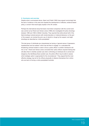#### **6. Conclusion and overview**

Despite what is summarised above, Alpert and Fridell (1992) have argued convincingly that the lack of evidence in this area has impeded the development of effective, evidence-based policy, a concern that would apply equally to the UK context.

Perhaps the international study that bears most direct comparison with the current work was carried out by Parent and Verdun-Jones (1999) who investigated 25 police shootings between 1980 and 1994 in British Columbia. They reported that while almost half of the fatal shootings involved persons with mental disorders or irrational behaviour on the part of the suspect, six involved the prior use of alcohol or drugs by the suspect, and eight shootings are described as 'victim-precipitated'.

This last group of individuals are characterised as having a "general sense of depression, hopelessness and low esteem" which has led them to engage "in a calculated lifethreatening criminal incident in order to force a police officer or another individual to kill him or her". Parent and Verdun-Jones concluded that "police officers required training that will allow them to identify suicidal cues when confronting an individual who is armed and dangerous. By identifying these suicidal cues, the police officer may be able to assess which strategic option is appropriate for the circumstances". They argued that the most effective strategy may be for the officers physically to distance themselves from victims who are bent on forcing a victim-precipitated homicide.

19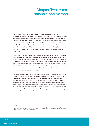# Chapter Two: Aims, rationale and method

The synopsis of policy and research evidence presented above formed the context for developing the review methodology. The review has also considered the implications of the United Nations *Basic Principles on the Use of Force and Firearms by Law Enforcement Officials*<sup>7,8</sup>. The aim of the review was to comply with the terms of reference and to inform future decision-making together with the investigation of police use of firearms and its impact on those affected. The methods outlined below were constructed to address the terms of reference by examining the command of the reviewed incidents, the experiences of the families and the concerns they had, and the identification of training needs for the officers.

The evidential component of the review will involve an outline of each of the 24 firearms incidents where the investigation was referred to the PCA and accepted for supervision between January 1998 and November 2001, followed by a quantitative analysis of these 24 incidents. This will provide the basis for learning points identified either by the SIO for specific incidents or subsequently identified by the PCA expert firearms adviser. The case review will be considered in the light of evidence derived from key informant interviews and from interviews with and correspondence obtained from the relatives of those fatally shot who were willing to participate in the review.

The review will synthesise the evidence obtained from published literature and policy, with the information from key informants and from the expert review of the 24 cases as the basis for the conclusions and recommendations reached. The recommendations are designed to increase compliance with the ECHR, improve the effectiveness of police firearms operations and their subsequent investigation and post-incident management. Whilst a tiny minority of all firearms incidents result in the discharge of a police firearm, the review attempts to reduce further this number by scrutinising policy and practice and, where such incidents do occur, to ensure that the investigation is as thorough, as timely and as sensitive as is possible under the circumstances.

7 1990

<sup>8</sup> With the creation in 2004 of the IPCC, one of the major concerns expressed in the case of *Shanaghan v UK*, (37715/97) *The Times*, March 17 2000 ECtHR inter alia concerning the use of investigators independent from the law enforcement agency will be addressed.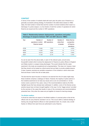### **CONTEXT**

In terms of the number of incidents dealt with each year, the police use of firearms is a generally successful policing strategy. As illustrated in the table below (based on HMIC data), the total number of shots fired and the number of armed incidents which result in a discharge of a police weapon, is a tiny fraction of both the number of operations for which firearms are issued and the number of ARV operations:

| <u>modinal da al mada ang ang aangan taal mila maa lilaadilaning l</u> |                                                     |                                    |                                       |                                               |  |  |
|------------------------------------------------------------------------|-----------------------------------------------------|------------------------------------|---------------------------------------|-----------------------------------------------|--|--|
| Year                                                                   | Number of<br>operations in which<br>firearms issued | Number of<br><b>ARV</b> operations | Number of<br>shots fired<br>at people | Shots fired as<br>a proportion<br>of firearms |  |  |
|                                                                        |                                                     |                                    |                                       | operations                                    |  |  |
| 97/98                                                                  | 11,842                                              | 7,510                              | 3                                     | 0.03%                                         |  |  |
| 98/99                                                                  | 11,005                                              | 7,906                              | 13                                    | 0.11%                                         |  |  |
| 99/00                                                                  | 10,915                                              | 8,276                              | 10                                    | 0.09%                                         |  |  |
| 00/01                                                                  | 11,109                                              | 8,179                              | 18                                    | 0.16%                                         |  |  |

**Table 2: Relationship between deployments, operations and police discharge of weapons between 1997 and 2001 (Source: HMIC)** 

As can be seen from the above table, in each of the relevant years, around every thousandth incident which involves the deployment of firearms to police officers in England and Wales results in a weapon being discharged. This would indicate that the cases examined in the study are exceptional and unrepresentative. This does not, however, mean that they should not be treated as critical events that are likely to provide suitable lessons. It does, however, preclude any sensible comparison of the incidents in which shots were fired and those in which this did not take place.

The fact that the report focuses on lessons to be learned from the 24 cases might imply these incidents comprise a catalogue of failure. However, the majority of police actions in the incidents examined do not raise any issues and so are not commented on. As the review covers a period of four years, many of the recommendations made by the SIOs highlight issues that have already been addressed. In addition, some of the themes across practice issues have not been brought together in this way. It is the "bigger picture" provided by the overview of the cases that results in many of the conclusions and recommendations presented here. Only when the cases are put together do issues for learning emerge.

#### **The British tradition**

It should be noted that one aspect of the British tradition of unarmed police is that all the officers who do carry firearms volunteer to do so. This occurs within a national strategy of training only enough firearms officers to meet operational need. As a result, only a small fraction of officers from each force are authorised to carry firearms.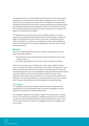The peaceful resolution of an armed incident sometimes relies on actions taken during its early stages by unarmed officers who often display considerable bravery to protect the public from what is perceived to be a threat to life. The combination of unarmed officers immediately responding, with armed officers supporting and taking over provides the public with considerable protection while maintaining the tradition of an unarmed police service. This has continued against the background of both terrorist threat and an increase in the illegal use of firearms and other weapons.

The weapons that are used by the police forces in England and Wales, in the cases reviewed, were all self-loading pistols (the mechanism re-loads the weapon although the trigger must be depressed on each occasion a shot is fired) or single shot versions of carbines (small rifles). The carbines are manufactured according to other specifications which can permit burst fire or fully automatic, although they were never used in this way in the cases reviewed.

#### **METHOD**

The terms of reference provided the exclusion criteria that identified the sample of 24 cases. Cases were excluded if:

- 1. shots were fired by police (including those that were accidental) but did not result in death or injury; or
- 2. the incident was classified as a suicide while under armed police containment.

In other words, all cases where a discharge from a police weapon resulted in death or injury to a member of the public in the target period were included. The exclusion of cases where a police officer fired but did not hit a suspect, at any point, during the incident will increase the apparent 'hit rate' for police discharges as these excluded cases were included in previous research (such as the Burrows Report). Suicides while under armed containment, while outside the terms of reference of this review, remain a significant and problematic issue which would benefit from a separate assessment, and may be similar in terms of suspect characteristics and incident management to provoked shootings.

#### **Source Material**

The investigations of each of the incidents included in the current review have been supervised by the PCA, the independent body with statutory responsibility to oversee inquiries into the most serious complaints against police.

The investigation, headed by a SIO, results in a report of the evidence which, in addition to a file of documents and correspondence, constitutes the basis of the PCA case file. It is scrutiny of these 24 PCA files that forms the central component of the report. For four of the 24 cases included in the report, the investigation had not been completed at the time of writing.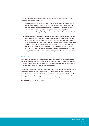This primary source of data was supplemented by two additional categories of original information gathered for the review:

- 1. Interviews with families of the victims of fatal police shootings: the families or their legal representatives of the eleven individuals fatally wounded in police shootings were contacted to invite their participation by written submission or face-to-face interview. Three families agreed to participate in interviews, one participated by e-mail and another through their legal representatives. Six families did not participate in the review.
- 2. Key informant interviews: a snowball method was used to identify individuals, groups or organisations believed to be key stakeholders around particular incidents or who had general policy concerns about police use of firearms. This means that initial contacts were asked to identify others who they believed would have significant views to ensure that a comprehensive sample was obtained. A total of 30 contributions were made by key informants: nine from NGOs or individuals involved in incidents; nine from police forces in which shootings had occurred; eight from SIOs who had investigated cases; and four from PCCGs. This represents 70% of all the requests for information that were sent out.

#### **File Analysis**

Interrogation of the files was structured via a mixed methodology combining quantitative data with qualitative information. Expert analysis was used to identify issues on operational or tactical features which breach guidance or raise questions about appropriateness in the circumstances in which particular approaches were used.

The method is designed to provide a simultaneous analysis of the patterns that can only be identified from cross-incident study together with identification of unique significant characteristics of particular incidents. Thus, while there are a number of individual incidents that suggest important learning points, the main advantage of the review approach is the identification of themes that occur in several incidents or which have general relevance for the management of firearms incidents.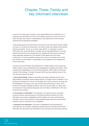## Chapter Three: Family and key informant interviews

As part of the review, family members or their representatives were contacted for the 11 individuals who were killed as a result of the incidents reported in the study. The aim of these interviews was to gain an understanding of their experiences of both the police shooting and the subsequent investigation.

Three families agreed to be interviewed for the study and one other family member outlined his views in an e-mail to the review team. One further contact was obtained via the family's legal representatives. Thus in six of eleven cases (54.5%), no information at all was forthcoming. This means that there is a problem with the representativeness of the views obtained and that we cannot conclude with any confidence that the issues summarised below adequately represent all of the families of those fatally shot by the police. Furthermore, it is not even possible to assume that, where communication with a family was achieved, the interviewee or correspondent can be regarded as the 'spokesperson' for the whole family.

A second source of information was obtained from a broader range of police groups and NGOs involved in family representation and campaigning for changes to the system. These included police organisations such as the Police Federation, ACPO, HMIC and the forces involved in the shootings. The views of relevant NGOs were also obtained as part of this 'key informant' phase of the study.

**a. Informing the family:** Several of the families interviewed expressed concern at the delay between the shooting and their being informed. This began with the notification of the shooting to the family and, in three of the incidents, all of which occurred in the street, with the identification of the body. In one case the family heard first through a friend, and in another the information originally provided by the police was inaccurate. In another case, the body had not been searched adequately and so the delay in identification of the body could have been avoided.

**b. The provision of information**: This reflected a more general concern, expressed by family members, about the paucity of information provided to families and, where information was provided, dissatisfaction with the delays in the police communicating information. One of the side effects of these perceived delays was that it reduced family members' sense of involvement in the investigation.

**c. Disclosure and information:** This sense of dissatisfaction was exacerbated by police failure to act on families' requests for particular pieces of information and that the information they were given was occasionally wrong. One family was inaccurately informed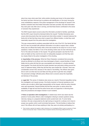about how many shots were fired, while another shooting was known to the press before the family had been informed due to problems with identification of the body. Among the most unsatisfactory aspects of the police management of the shootings for several of the families contacted were that limited information had been provided, that what information they were given was often slow in arriving, and that these factors contributed to the sense of exclusion they experienced.

The NGO Inquest raised concerns about the information provided to families; specifically, that the SIO's report should be disclosed before the inquest<sup>9</sup>. Families themselves were unsure what documents they had received and what others existed. In several instances the family did not feel that they knew what to expect from different bodies, or what they could reasonably request from the police about the investigation.

This was compounded by problems associated with the role of the FLO. One family felt that the FLO was not provided with sufficient information to be able to support them, another family was not offered this facility while a third was located too far away for it to be of much assistance. Indeed, the father of one of the shooting victims was not even informed by the FLO of the date and location of the inquest. The general perception was that the FLOs were as helpful as they could be but were not adequately equipped, and that they were too closely linked to the police investigation of the shooting.

**d. Impartiality of the process:** While the Police Federation considered that anonymity should be afforded to all officers who have discharged a firearm, several families of those fatally shot by police felt that this was unacceptable and indicative of a double standard being applied. One family felt that this double standard was particularly striking around the issue of statement taking. While they felt that they were treated like 'criminals', there was considerable concern that, because of the nature of de-briefing, "the officers were given time to work out what was true and false and they got time to get their story straight". The perceived 'privilege' afforded police officers led to concerns about the impartiality and fairness of the process.

**e. Legal Aid:** This sense of imbalance also arose as a result of financial inequalities during the investigation and inquest process. One family received no financial assistance at all, another was not able to afford legal representation at the inquest, while the police interests were well represented. Several families felt that they were given no advice about the availability of legal aid and that the police forces were not supportive in informing them about the procedures and stages involved in such incidents.

**f. Police co-operation with investigations:** A related issue which was raised was the practice of some police officers under investigation refusing to answer questions during interview, relying on a prepared statement and/or pocket book note. To some family members, this was compounded by the right during an inquest for a witness not to have to answer any question which could incriminate that person. This led families to believe that, even if the officers did not have anything to hide, they were not actively participating in a

There remains a general rule against a right to disclosure of an Investigating Officer's report on grounds of Public Interest Immunity (See Taylor *v* Anderton (Police Complaints Authority Intervening) [1995] All ER 420, CA).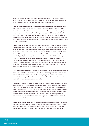search for the truth about the events that precipitated the fatality. In one case, this was compounded by the Coroner (at inquest) speaking to the officers but neither speaking to nor acknowledging (far less appearing to sympathise with) the family.

**g. Crown Prosecution Service:** Questions raised by family members over the impartiality of the criminal justice system were also extended to include the CPS. While the Police Federation felt that the CPS allowed the views of the families and campaign groups to influence cases against police officers, family members and NGOs believed that the lack of criminal charges against police officers demonstrated that the CPS was biased in the opposite direction. Further concerns were expressed about the unwillingness of the CPS to explain such decisions and others perceived the timing and method of communication used by CPS to be insensitive.

**h. Role of the PCA:** This provokes questions about the role of the PCA, with mixed views reported by the family members. In one incident for which there had been two supervising members from the PCA at different times, the family member interviewed felt that one PCA member had been very helpful but that his predecessor had been of little benefit to them. Several of the family members interviewed felt that the PCA should have played a more central role, as the body most family members would have trusted. While one family member felt that the PCA representative was 'useless', and while communication from the PCA was on occasion blunt in tone, it is evident that, in the minds of several family members, the PCA has a key role in managing the process and co-ordinating the flow of information to family members. Greater and more prolonged involvement from the PCA would have been welcomed by several interviewees.

**i. SIO and investigating force selection:** One of the key processes which caused concern to a number of the families was around the selection of investigators. There was concern expressed by several interviewees that the investigating force bordered the force in which the incident occurred, leading to fears that the senior police officers would know each other and that this would compromise their impartiality.

**j. Discipline of police officers:** Concerns about the neutrality of the investigation process were accentuated for one family by the perceived lack of disciplinary action taken against the officers involved in the shootings, and the lack of information about the disciplinary process given to families. This was an issue that caused distress to one family who wanted to know the nature of the allegations, attend the hearing and participate. The explanation given about discipline was inadequate, while the same family felt that they had been excluded from the misconduct process and that they were given little information about the hearing or its implications.

**k. Resolution of incidents:** Many of these concerns about the disciplining or prosecuting of officers arose because the families felt that the fatal shooting could have been averted. Among the issues that were considered unsatisfactory in this respect were: their own involvement in resolution, or rather the lack of this; the use of alternative 'less lethal'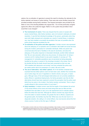options; the co-ordination of agencies to prevent the need for shooting; the rationale for the tactics selected; and issues of police training. There were also some ancillary issues that provoked anxieties among family members. One frequent perception was provided by the father of one of the shooting fatalities who argued that, *"I do not feel particularly vengeful against the officer who pulled the trigger. Rather it is the system that permitted it that I would like to see changed".*

- **The involvement of carers:** There was disquiet that the carers of people with severe mental illness, often family members, were not involved in attempts at incident resolution. It was felt that individual knowledge of the person, particularly when they were both highly stressed and vulnerable as a result of mental illness or substance use, may have enabled a successful de-escalation that was not possible when the police armed response escalated the risk.
- **Co-ordination of the police and other agencies:** A similar concern was expressed about the adequacy of co-operation and co-ordination with health and social services during the incident, particularly for vulnerable individuals. While one parent was concerned about the lack of facilities in the area for alcoholics, and about the adequacy of the police response to intoxicated individuals, another father believed that *"My son was executed, without any due process, for being drunk, for being a nuisance and for making threats he was quite incapable of carrying out".* The management of vulnerable populations was not perceived as being adequately handled by the police in several of the shootings included in the review. One of the families felt that the death should have been prevented as their son was *"80% disabled with depression and anxiety"* and had contacted the police only two weeks earlier about his possession of a pistol, rifle and a knife.
- **The use of alternative, 'less lethal' options:** All of the families contacted were surprised that less lethal options could not have been used, whether this involved the use of police dogs, the use of negotiators or electric shocks, stun guns, or baton guns. Although many of the technological alternatives are not currently available to police officers in operational deployments, the family perception was that all other alternatives should have been explored to prevent the perception that the police used lethal force too early in the incident. One family member commented, *"Even a dog is usually allowed to bite someone before it is put down".*<sup>10</sup>
- **Early resolution:** A related concern was that the length of time between the arrival of the armed officers at the scene and shots being fired was too little and that insufficient time was taken to carry out a risk assessment and to evaluate options before the lethal shot was fired. Although the officers involved may argue that the more time taken to resolve incidents, the greater the risk to officers, suspects and the general public, the families may fear that *"What was once the last resort in a desperate situation, the calling in of armed officers, has now become almost the first choice course of action at the first sign of difficulty".*

<sup>10</sup> This reveals a concern at the use of force by police pre-emptively. It also reveals a common misunderstanding of established law governing the use of force in self-defence or in the defence of others. This permits pre-emptive action in response to a threat so long as the action is proportionate to the perceived threat.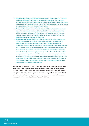- **Police training:** Issues around firearms training were a major concern for the police staff associations and the families of people shot by the police. Their concerns included that not enough time was spent on training armed officers, while at least one family member felt that there was not enough time provided between the police officer completing their training and going out on the streets.
- **Resources for firearms work:** The police representatives also expressed concern about the resourcing of firearms training and that there were not enough armed officers to respond to incidents. The associations were also concerned that there were not enough support services such as police dogs or negotiators to provide adequate alternatives to the use of lethal force.
- **Ancillary police issues:** Confidence in the adequacy of the police response was further undermined in the minds of some family members by organisational or administrative failures that provoked concerns about general organisational competence. This included the concern that the police did not communicate internally and so had not picked up the warning signals about individuals or, where these had been identified, they had not been communicated to the armed officers attending incidents. Similarly, the discovery by one family that the officers had booked out the wrong guns for the operation and that the weapons were mixed up again after the operation, led them to perceive the police attitude as lackadaisical and indicative of a general lack of organisational competence. These issues provoked family concerns that the tragedies that occurred were, at least partly, the responsibility of a poorly managed and incompetent police response.

Whether factually accurate or not, this is the experience of those who agreed to participate in the review and their perception of the police actions and subsequent investigations. As a result of the low number of fatal police shootings in the review period, and the nonparticipation of so many families, generalisations based only on these comments should be treated with caution, although they have proved a valuable resource in framing and understanding the cases outlined in the chapters that follow.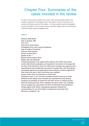# Chapter Four: Summaries of the cases included in the review

For each of the 24 cases included in the review, a brief and anonymised outline of the incident is presented in chronological order in this chapter. The aim of this section is to provide a brief factual outline of the incidents – for those incidents where the investigation is not yet completed, a much shorter summary is provided, largely based on what has been confirmed through ongoing investigative work.

### **Case A**

**Ethnicity: White British Date of shooting: 1998 Time: 04.17 Home Force: Sussex Police Investigating Force: Kent County Constabulary Type of incident: Pre-planned Outcome: Fatal shooting Number of shots fired: 1 Number of hits: 1 Weapon held by suspect: None Weapon type: Not applicable Criminal proceedings, if any, against police officer(s): One officer was tried for murder, alternatively manslaughter, and acquitted on the direction of the judge after the close of the prosecution case. Four officers (one constable, two inspectors and a superintendent) were charged with misconduct in a public office. CPS discontinued proceedings against the constable before trial and offered no evidence against the other three at the start of their trial and they were acquitted. Inquest verdict: None to be held (due to criminal trial) Disciplinary action, if any: The Chief Constable was given advice by the Police Authority and the Deputy Chief Constable was suspended from duty pending disciplinary proceedings. He retired from the police service on medical grounds before the hearing was held. Three constables were given advice; two constables and one sergeant were admonished. The PCA recommended formal disciplinary charges against three officers, subsequently agreeing to withdraw the recommendation for one of the officers. A hearing has not yet been held.**

**Was there a complaint?: Yes**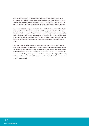A had been the subject of an investigation into the supply of drugs which had gone dormant and was believed to be an associate of a suspect being sought for a wounding. In seeking the individual believed to be responsible for the stabbing, the flat in which he lived was made the subject of an armed raid. A was in the flat asleep with his girlfriend.

This flat was in a small complex, the internal layout of which was unknown to the officers carrying out the raid. The officers detailed to A's flat were positioned with another team allocated to the flat next door. They all entered by force through the door from the landing and found themselves in a small common entrance area. The door to the other flat could be seen and the team entered it by force. The door to A's flat was not seen. Officers then discovered that it had been concealed by the open landing door and then gained entry by force.

The noise caused by police activity had woken the occupants of the flat and A had got out of bed to investigate the disturbance. The delay in police reaching the flat's bedroom door, caused by their lack of knowledge of its internal layout, resulted in A having almost reached the bedroom door when armed police opened it and entered. The first officer to enter the room discharged a single shot to A's chest resulting in a fatal injury, later claiming that he did so because he believed A was armed and he feared for his life. A was found to be naked and unarmed.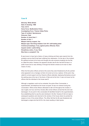#### **Case B**

**Ethnicity: White British Date of shooting: 1998 Time: 20.19 Home Force: Bedfordshire Police Investigating Force: Thames Valley Police Type of incident: Spontaneous Outcome: Fatal Number of shots fired: 1 Number of hits: 1 Weapon held by suspect: Yes Weapon type: Non-firing imitation Colt 1911 self-loading pistol Criminal proceedings, if any, against police officer(s): None Inquest verdict: Lawful killing Disciplinary action, if any: None Was there a complaint?: No**

B was known to have had a history of heavy drinking and there were reports from the probation service that B had been suffering from depression. On the day of the incident, B's girlfriend arrived at his home and thought she saw someone breaking into the flat, so called the police. However, the apparent intruder was B who had left his keys in a public house and so was climbing in through the kitchen window as he had no other means of entry.

When the first police officers arrived at the scene they were threatened by B who pointed what appeared to be a handgun at them (it turned out to be a replica). At this point, they called for armed support and four firearms officers attended, deploying themselves around the parking area at the rear of the block of flats and at the front. It was not known by the officers that the individual in the house was B.

Although a negotiator could not be contacted, the police Silver Commander, a superintendent, did telephone the house occupant. B was not coherent during this conversation. While armed officers attempted to talk to B throughout the incident, it was roughly one hour and forty minutes after armed officers arrived that the shot was discharged. At one point in this conversation B identified himself to the superintendent, thus establishing that he was the sole individual in the flat. However, B did not reply to subsequent questions and returned to the window of the house where he pointed his weapon at one of the armed officers. The officer felt that his life was threatened and discharged a single shot that hit B in the chest resulting in fatal injuries.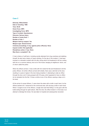### **Case C**

**Ethnicity: White British Date of shooting: 1998 Time: 00.45 Home Force: MPS Investigating Force: MPS Type of incident: Spontaneous Outcome: Serious injury Number of shots fired: 1 Number of hits: 1 Weapon held by suspect: Yes Weapon type: Several knives Criminal proceedings, if any, against police officer(s): None Inquest verdict: Not applicable Disciplinary action, if any: None Was there a complaint?: No**

C had a history of self-harm, including suicide attempts from drug overdose and stabbing himself. He also had a history of heavy drinking. On the day of the incident, C had been involved in a domestic incident with his wife, during which he threatened to kill her, ending with him on a common balcony, shut out of the house, banging at neighbours' doors, one of whom called the police.

When the officers arrived, C had a knife with him inside the flat and threatened to kill the police officers. As further officers arrived with shields, there was a skirmish at the door, resulting in a pane of glass in the door being smashed, C attempting to stab an officer through the door, and C being sprayed with CS spray, which appeared to have no effect. As he retreated into the flat, C threw a knife at one of the officers causing a deep cut in his hand.

At the arrival of armed officers, C came down the stairs with a knife in each hand. As the officers backed off, C advanced to the communal area, still carrying a knife in each hand. When C lunged at one of the officers, a single shot was fired hitting C in the groin with the bullet exiting through his right buttock. After the shot, the officer kicked C in the body in an attempt to dislodge the knives. He was taken to hospital and subsequently recovered.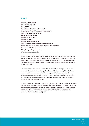#### **Case D**

**Ethnicity: White British Date of shooting: 1998 Time: 02.17 Home Force: West Mercia Constabulary Investigating Force: West Mercia Constabulary Type of incident: Spontaneous Outcome: Serious injury Number of shots fired: 1 Number of hits: 1 Weapon held by suspect: Yes Type of weapon: Imitation 9mm Beretta handgun Criminal proceedings, if any, against police officer(s): None Inquest verdict: Not applicable Disciplinary action, if any: None Was there a complaint?: No**

During the course of the evening of the incident, D had drunk part of a bottle of wine and a quarter bottle of whisky with his partner. As he left his partner's house he had said "The easiest way for me to die is to get shot holding my replica gun". He had apparently been depressed throughout the evening and had been drinking steadily. He was also a member of a local gun club.

The incident arose from a traffic collision that resulted in D pulling a gun on individuals involved in the incident. D was driving a friend's car while drunk, having taken it without consent, and the weapon was an imitation handgun that he initially waved at officers without appearing to attempt to fire. He had gone to a farmhouse to telephone the police to inform them of the incident displaying a handgun to the occupants and reporting this to the police during the telephone call.

The police were then called and D was challenged, resulting in the deployment of the police dog, after around 15 minutes of unsuccessful negotiation. However, this was not successful as the dog stopped before it got to D, because it had been distracted by a noise. D aimed his imitation Beretta handgun at the dog-handler, at which point he was shot in the abdomen. He recovered from his injuries.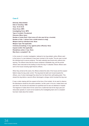### **Case E**

**Ethnicity: Black British Date of shooting: 1998 Time: 10.15-10.30 Home Force: MPS Investigating Force: MPS Type of incident: Pre-planned Outcome: Minor injury Number of shots fired: 6 (but none at E who was hit by a ricochet) Number of hits: 1 (slivers from a bullet aimed at a dog) Weapon held by individual shot: None Weapon Type: Not applicable Criminal proceedings, if any, against police officer(s): None Inquest verdict: Not applicable Disciplinary action, if any: None Was there a complaint?: No**

In the course of a murder investigation, believed to be drug-related, police officers went to the home of a man believed to have been involved in the murder. The aim was to arrest the individual and to secure evidence. The tactic selected was forced entry without prior warning. The officers knew that the house contained a Rottweiler dog, and the armed officers were instructed at the briefing to shoot the dog if it attacked. Eleven officers were sent to the house including eight firearms officers.

When they arrived at the scene, the officers entered the side of the house and the suspect failed to keep his dog under control. The dog bared its teeth and moved towards the officers, one of whom discharged five shots from his Glock 9mm self-loading pistol. This slowed the dog before a second officer discharged a shotgun which knocked the dog over.

E was a visitor staying with the suspect at the time of the incident. As he went to observe the disturbance caused by the police operation, he felt a pain in his arm, looked down and saw blood. His wounds are described as superficial and he was not detained in hospital. The fragment of bullet which hit him came from a bullet that had hit the dog's paw and rebounded upwards. E could not be located by the investigating team and no complaint has been made about the incident.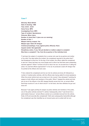### **Case F**

**Ethnicity: Black British Date of shooting: 1998 Time: 20.30 – 20.45 Home Force: MPS Investigating Force: MPS Type of incident: Spontaneous Outcome: Minor injury Number of shots fired: 3 (plus one car ramming) Number of hits: 1 Weapon held by suspect: Yes Weapon type: Sawn-off shotgun Criminal proceedings, if any, against police officer(s): None Inquest verdict: Not applicable Disciplinary action, if any: Not yet decided on matters subject to complaint Was there a complaint?: Yes, from the ex-partner of the individual shot**

F had been the subject of complaints from a woman who was his ex-partner and mother of his child. Five days before the incident, the complainant reported to the police that F had threatened to shoot her. On the day of the incident, the officer called the complainant to ask her if there had been any more threats and to inform her that there were outstanding warrants against F. When F arrived at 20.30 to return her son, he accused her of calling the police. As unarmed officers approached F in his car, he produced a sawn-off shotgun that he pointed at the officers who took cover.

F then ordered the complainant and her son into his vehicle and drove off, followed by a number of marked police vehicles, with the officers also having called for armed assistance. When the armed vehicle took over as lead car in the 'pursuit', they witnessed F pointing his weapon at both officers and members of the public. When F stopped the vehicle and took aim at one of the officers in the ARV stopped directly across from him, an armed officer fired three rounds at F, one of which struck F on the hand, who then withdrew his gun and drove off.

Because F was again pointing his weapon at police vehicles and members of the public, one of the police vehicles rammed F's vehicle. Subsequently, when F was forced into a petrol station forecourt, "armed officers carried out a controlled removal from the vehicle, firstly of [F] and secondly [the complainant]". Both were subsequently handcuffed although the complainant was then identified as an innocent party and re-united with her son.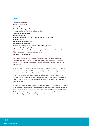### **Case G**

**Ethnicity: White British Date of shooting: 1999 Time: 19.48 Home Force: Merseyside Police Investigating Force: West Mercia Constabulary Incident type: Spontaneous Outcome: Minor injury Number of shots fired: 4 (2 shots fired by each of two officers) Number of hits: 2 Weapon held by suspect: Yes Weapon type: Imitation rifle Criminal proceedings, if any, against police officer(s): None Inquest verdict: Not applicable Disciplinary action, if any: Superintendent given advice on an ancillary matter (failure to complete the operations document) Was there a complaint?: No**

Police were called to the area following an incident in which two young girls were threatened by a man with a gun. Although the police conducted a search, they were unable to locate the man. Three ARV's attended the incident, manned by a total of six armed officers.

G was known to have a history of addiction problems, and was known to have suffered from mental illness, with both of these issues having been discussed during the briefing for the armed officers. He came from a broken family and had been in care at various points during his childhood. There was police intelligence five days before the incident indicating suicidal intent and two days before the shooting he was found in possession of a gun. His mental health problems were known to social and health services and to the probation service.

G himself had called the police providing the address he was at. A containment was placed on the premises and unsuccessful attempts made to negotiate with G. When he attempted to leave the premises he raised his rifle to threaten one of the officers who feared for his life. Two officers discharged their weapons each on two occasions, with two of the shots hitting G in the thigh and buttocks. The injuries sustained were not serious.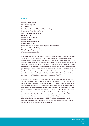### **Case H**

**Ethnicity: White British Date of shooting: 1999 Time: 03.30 Home Force: Devon and Cornwall Constabulary Investigating Force: Dorset Police Type of incident: Spontaneous Outcome: Fatal Number of shots fired: 2 Number of hits: 1 Weapon held by suspect: Yes Weapon type: Air rifle Criminal proceedings, if any, against police officer(s): None Inquest verdict: Lawful killing Disciplinary action, if any: None Was there a complaint?: No** 

H had joined the army in 1996 and served in Germany and Northern Ireland before being discharged in 1997 for possession of an imitation firearm with intent to resist arrest. Following a night out with his girlfriend at a club, H returned home with her at about 01.00 hours and argued with her about a man she had been talking to. When she went to bed, he smashed glasses and discharged an air-rifle into photographs before leaving. At 02.27 the police received an anonymous call that a man was walking through the town centre with a gun. It transpired that this call was made by H himself. At around the same time, officers on patrol noticed H and approached him, resulting in H pointing his air weapon at the officers and telling them to back off. As the police backed off, H pointed his weapon at their car and chased them. The officers requested the assistance of an ARV.

A temporary Silver Commander was nominated, firearms authority granted and further officers called, including a dog handler, a negotiator and further ARV's. At around 03.00 the armed officers arrived at the scene. At around 03.30, H was located and when armed officers arrived at the scene, he ran towards them with his rifle at his shoulder, aiming at them through the telescopic sights. Ignoring police challenges, he continued to advance closing the distance to 40 yards, before stopping and aiming at the officers. At this point, fearing for his life, one of the armed officers fired two shots – the first missing and the second striking H on the left shoulder and knocking him to the ground. The bullet disintegrated and caused severe haemorrhaging to internal organs and shock. He was taken to hospital but pronounced dead at 04.20. The 12 shot magazine of H's rifle contained four pellets, creating the possibility that he may have discharged the weapon a number of times in the earlier part of the incident.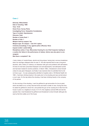### **Case J**

**Ethnicity: White British Date of shooting: 1999 Time: 15.53 Home Force: Surrey Police Investigating Force: Hampshire Constabulary Type of incident: Spontaneous Outcome: Fatal Number of shots fired: 1 Number of hits: 1 Weapon held by suspect: Yes Weapon type: Air weapon – Colt 1911 replica Criminal proceedings, if any, against police officer(s): None Inquest verdict: Lawful killing Disciplinary action, if any: Misconduct hearing for one Chief Inspector leading to a caution (for failure in the performance of duties). Advice was also given to one sergeant.**

**Was there a complaint?: No**

J had a history of mental illness, alcohol and drug abuse, having had a nervous breakdown when his marriage collapsed when he was 31. His wife reported that he was a long-term alcoholic, with a history of violence, an obsession with guns and problems with self-esteem. At times he had been prescribed Diazepam and anti-depressants, had attempted suicide and had been treated for alcohol problems. In March 1999, J threatened to shoot himself unless he was given Diazepam, but finally it was resolved when he admitted that he did not have a gun – he was subsequently admitted to hospital under s.136 Mental Health Act 1983. J had been drinking heavily in the week prior to his shooting and was worried about a court case. On the day before the shooting J had been drinking heavily in the company of his partner.

On the morning of the shooting, J sent his girlfriend to get ammunition for his air pistol, which she failed to do, so they returned home and drank a bottle of wine. During this time, he asked his girlfriend to shoot him, and pointed the gun at her causing her to flee from the house in panic to a neighbour's house. At 14.15, this neighbour phoned 999 and told the operator that J had threatened his girlfriend and threatened to shoot himself, although she was by that time safely out of the house.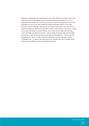Following a meeting with the Tactical Advisor, four armed officers in two ARV's went to the scene along with a dog handler. During conversation between the officers and J, he is reported to have shouted "Oh fuck off, you just want to shoot me, go ahead and shoot me", estimated at around 15.00. After problems locating a negotiator, officers at the scene informed J that the negotiator, who was not at the scene, would phone him, but J did not answer the telephone. After the armed officers called J to the window of the house, J raised his air pistol and aimed it at armed officers, one of whom fired a single shot knocking J over and fatally wounding him at 15.53 – almost exactly 90 minutes after the initial 999 call had been made. At the post mortem, the alcohol level identified in J's blood was 350 micrograms per 100 ml – a state of gross drunkenness, and there was also evidence of Diazepam use. J's weapon was discovered to be unloaded and, even if loaded, would have been of insufficient velocity to penetrate human skin.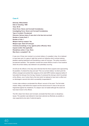### **Case K**

**Ethnicity: White British Date of shooting: 1999 Time: 09.18 Home Force: Devon and Cornwall Constabulary Investigating Force: Devon and Cornwall Constabulary Type of incident: Pre-planned Outcome: Serious injury, K was shot in the face but survived Number of shots fired: 2 Number of hits: 1 Weapon held by suspect: Yes Weapon type: Sawn-off shot-gun Criminal proceedings, if any, against police officer(s): None Inquest verdict: Not applicable Disciplinary action, if any: None Was there a complaint?: No**

K was one of three men involved in an armed robbery of a jewellers' shop. He is believed to have been part of a gang of eight that carried out robberies which involved entering jewellers wearing balaclavas and brandishing a sawn-off shot-gun. The police mounted a pre-planned operation. This operation involved two armed officers at each of two locations where the armed robbery was believed to be potentially occurring.

At 9.00 am the officers in the shop were informed that the three suspects were approaching the jewellers. K entered the shop and said "This is an armed robbery" at which point the officers emerged and pointed their weapons at him (both MP5 Carbine weapons) before K had pulled his shot-gun from his bag. However, K produced the shot-gun which he pointed at the officers, one of whom fired a first shot which he believed to have had no effect and so discharged a second shot which successfully incapacitated K.

In-store video evidence corroborated the officers' account of the event. The first bullet missed, hitting a wall behind the suspect and the second struck K close to the eye and fragmented against his cheekbone. K's weapon was not loaded although this would not have been known to the officers.

The SIO, drawn from Devon and Cornwall, concluded that there were no disciplinary issues. The operation was believed to have been planned as effectively as possible, a view supported by two sets of external experts.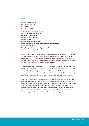### **Case L**

**Ethnicity: White British Date of shooting: 1999 Time: 19.54 Home Force: MPS Investigating Force: Surrey Police Type of incident: Spontaneous Outcome: Fatal shooting Number of shots fired: 2 Number of hits: 2 Weapon held by suspect: None Criminal proceedings, if any, against police officer(s): None Inquest verdict: Open Disciplinary action, if any: Not yet decided Was there a complaint?: Yes**

Police received a report from a member of the public that a man with a sawn-off shot-gun in a blue plastic bag had left licensed premises. Two armed officers in a vehicle were assigned to conduct a search for him. L was seen by them walking in a nearby street carrying something wrapped in a blue plastic bag. The police saw L walk around a corner and out of their view. They parked and left their vehicle.

When they reached the corner they saw L still walking away. Both officers challenged him from the rear. In evidence at the inquest into L's death, both officers stated that he turned around to face them, raising what they believed was a sawn-off shot-gun, causing them to believe that one of them was about to be shot. This resulted in each of them firing a single shot from their handguns. One of these shots, to L's head, caused immediate fatal injury.

It was then discovered that the article wrapped in a plastic bag was not a firearm at all but a wooden table leg. L had collected this from a relative who had been mending it. Scientific evidence cast doubt on the accuracy of the accounts given by the officers as to the position of the officer who fired the fatal shot and the position of L's head when he was shot. However, the evidence of one independent witness supported the officers' claim that L turned towards them and raised his arm. The inquest jury returned an open verdict, having been given a choice by the Coroner between lawful killing and an open verdict.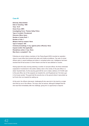### **Case M**

**Ethnicity: Black British Date of shooting: 1999 Time: 10.37 Home Force: MPS Investigating Force: Thames Valley Police Type of incident: Pre-planned Outcome: Minor injury Number of shots fired: 1 Number of hits: 1 Weapon held by suspect: None Type of weapon: N/A Criminal proceedings, if any, against police officer(s): None Inquest verdict: Not applicable Disciplinary action, if any: None Was there a complaint?: Yes**

Following an armed robbery members of the Flying Squad (SO5) mounted an operation close to a post office that involved both static and mobile surveillance. Two sets of armed officers were in vacant buildings and others in unmarked police cars. Intelligence had been received that M had access to a 9mm firearm and that he was addicted to cocaine.

Having spent the early morning watching a number of sub-post offices, the three individuals suspected of involvement in the earlier robbery were in the vicinity of the post office in a stolen Vauxhall Astra. As the security guard left the van to make a delivery of £15,000 cash to the post office, two of the suspects ran towards him, and M gestured as if he had a gun in his trouser pocket. The guard laid the security box on the ground where it was picked up by M who then ran towards the waiting car.

At this point, the officers intervened, challenging M who was shot in the hand by a single shot fired by one of the officers. The injury was not serious, although M alleged that the shot was fired immediately after the challenge, giving him no opportunity to respond.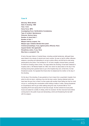### **Case N**

**Ethnicity: White British Date of shooting: 1999 Time: 14.32 Home Force: MPS Investigating Force: Hertfordshire Constabulary Type of incident: Spontaneous Outcome: Serious injury Number of shots fired: 1 Number of hits: 1 Weapon held by suspect: Yes Weapon type: Imitation Beretta 9mm pistol Criminal proceedings, if any, against police officer(s): None Inquest Verdict: Not applicable Disciplinary action, if any: None Was there a complaint?: No**

N had a five-year history of mental illness, including suicidal tendencies, although these were linked to his misuse of alcohol and crack cocaine. He was on bail for affray, offensive weapons, wounding and attempting to corrupt a police officer, and felt that he was being persecuted by the police. First arrested at 15, he had a lengthy criminal history, primarily for theft but including violent crimes. Two days before the shooting, N had been detained in hospital under s.136 Mental Health Act 1983, from which he absconded on the day of the shooting having been granted leave to go to the hospital shop and, at that time, he had threatened suicide. He repeated this threat when he telephoned his mother on the day of the shooting.

On the day of the shooting, N was granted an hour's leave from a psychiatric hospital, from which he did not return, catching a bus into the town centre. Having collected what may have been the gun from a friend, he then spoke with another friend telling her that he could not go on, conducting this conversation while holding a bottle of vodka. Having threatened an acquaintance with his gun while walking along the road, N phoned 999 at 14.07 requesting SO19 and saying that he had had enough. He then entered his local public house and asked for a bottle of whisky, which he received. He then returned home before coming back to the public house and demanding a drink and threatening the bar-staff with his weapon.

43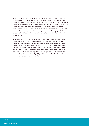At 14.17 two police vehicles arrived at the scene where N was talking with a friend. He immediately aimed the silver-coloured handgun at the unarmed officers in the cars, who reversed out of the street and requested urgent assistance. The unarmed officers then tried to clear the area while witnesses, who were known to N, tried to calm him down. As officers arrived, their positions meant that N was able to walk up to one (unoccupied) police vehicle at one point and strike the bonnet of another. However, two of the witnesses approached N during this 'containment', one of whom tried to get the gun from N and grappled with him for it, before N put the gun in his mouth (this happened eight minutes after the first police vehicles arrived).

As N walked past a police van and down past his local public house, he pointed the gun at a close friend who feared for his life. At 14.31 the ARV arrived, the officers armed themselves, took up a partly-protected position and issued a challenge to N. He ignored the warning and walked towards the armed officers. At 14.32, as he walked towards the armed officers challenging them, a single shot was fired by one of these officers, which hit N in the chest. The period between the arrival of the armed officers and the firing of the shot is timed as 32 seconds. Although the resulting injury was serious, N survived. The weapon held by N was a blank cartridge firing imitation pistol, although it did look like a real gun and is reported to have been fired by him.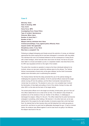### **Case O**

**Ethnicity: Asian Date of shooting: 2000 Time: 02.35 Home Force: MPS Investigating Force: Essex Police Type of incident: Spontaneous Outcome: Minor injury Number of shots fired: 1 Number of hits: 1 Weapon held by individual shot: None Criminal proceedings, if any, against police officer(s): None Inquest verdict: Not applicable Disciplinary action, if any: None Was there a complaint?: No**

Following an alleged kidnapping and threats around the extortion of money, an individual approached the police saying that he had been kidnapped in connection with drug debts. The individual had cuts to his forehead believed to be the consequence of being struck with a black handgun, which had also been stuck down his throat. He had at one point been taken to a house and beaten up and, in a separate incident, had shots fired at him. An ARV was requested at 00.02 on the night of the incident.

The police then mounted an operation to observe the three individuals believed to be involved, whose car was seen outside the address given by the witness. The Tactical Advisor recommended a forced entry at the given address, but the Gold Commander wanted more information prior to authorising the operation.

The Tactical Advisor felt that this delay prevented the use of the optimal strategy for challenging the suspects at the address. At 02.34 unarmed officers observed the target vehicle moving off from the address, and the Silver Commander instructed that an 'armed stop' be carried out. The decision to carry out a 'non-compliant stop' involved the illumination of blue lights and pulling in front of the vehicle, forcing it to stop, with other ARV's to the side and the back of the target vehicle.

The armed police officers ran to the target car shouting "armed police, get out of the car". One officer stated that he ran so fast at the car that, in his attempt to stop himself, he smashed one of the windows of the car. Another of the officers, in challenging O, discharged his weapon, hitting O in the arm. The officer stated that his pistol had become entangled in something, while holding a 'life hammer' in his other hand and, as he was taking hold of the suspect by the right shoulder, he became aware that a shot had been fired. He claimed that he then became dizzy and felt detached from what was going on around him, and that at no point had he deliberately discharged his gun. O had no criminal history. No evidence was offered against O and he was found not guilty of all offences. No weapon was found in the car.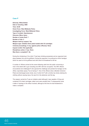### **Case P**

**Ethnicity: White British Date of shooting: 2000 Time: 22.00 Home Force: West Midlands Police Investigating Force: West Midlands Police Type of incident: Spontaneous Outcome: Minor injury Number of shots fired: 7 Number of hits: 2 Weapon held by suspect: Yes Weapon type: Imitation 8mm pistol loaded with CS cartridges Criminal proceedings, if any, against police officer(s): None Inquest verdict: Not applicable Disciplinary action, if any: None Was there a complaint?: No**

During the christening of his child, P had been drinking excessively and an argument took place between him and his girlfriend. During the argument, he produced an 8mm handgun which he used to hit his girlfriend and with which he threatened to kill her.

A number of officers arrived at the scene following calls from the public concerning a man in the street with a gun including one ARV with two occupants. The ARV officers encountered and challenged P, who ignored the challenge and pointed his handgun at the officer, reportedly saying "You're having it". One of the officers drew a Beretta Centurion Pistol and discharged seven shots, two of which hit P with a further two shots entering his clothing without causing injury. He was hit in the abdomen and the leg.

The weapon carried by P was an imitation pistol although it was capable of firing and contained CS irritant cartridges, albeit none were actually fired. P subsequently wrote a letter of apology to the officer involved, although at the time he had threatened to make a complaint.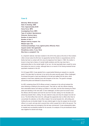### **Case Q**

**Ethnicity: White European Date of shooting: 2000 Time: Approximately 20.00 Home Force: MPS Investigating Force: MPS Type of incident: Spontaneous Outcome: Serious injury Number of shots fired: 2 Number of hits: 2 Weapon held by suspect: Yes Weapon type: Axe Criminal proceedings, if any, against police officer(s): None Inquest verdict: Not applicable Disciplinary action, if any: None Was there a complaint?: No**

Q, a Spanish national, had been resident in the UK for five years at the time of this incident. Little is known about his life here; he apparently had few friends or acquaintances and his family had had no contact with him since his departure from Spain in 1995. His mother is known to have had a history of mental health problems and this may have had a detrimental effect on the mental health of her son. He had reportedly been unwell for some time before his move to London, although there is no record of him having received formal psychiatric treatment in the UK.

On 24 August 2000, Q was ejected from a supermarket following an assault on a security guard. Five days later he returned, to be met by the same security guard. When challenged, he showed the guard a hand axe attached to his belt and walked into the store, which appears to have been relatively busy with shoppers at the time. The guard's manager phoned the police and followed Q around the store.

An ARV containing three SO19 officers arrived in response to the call and entered the store following a briefing by the security guard. They split up, with two officers drawing their extendable batons and taking up position in one aisle, and the third drawing his Glock pistol and standing in the next aisle. Q was challenged, at which point he turned to face the officers with the batons and took the axe from his belt, raising it to his shoulder and advancing towards them, smiling. He was ordered to stop and drop his weapon but did not do so. The third officer then shot him, although this apparently had no effect other than to concentrate Q's attention on this officer instead. He turned towards him, still smiling and holding the axe at shoulder-height. He was ordered again to drop his weapon by the armed officer, to no avail, and was shot a second time, which caused him to fall to the ground. The axe was kicked away and emergency first aid was commenced. Q was subsequently taken to hospital and successfully treated for his wounds. An analysis of his pre-transfusion blood was negative for alcohol and drugs.

47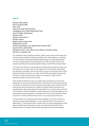### **Case R**

**Ethnicity: White British Date of shooting: 2000 Time: 23.36 Home Force: West Yorkshire Police Investigating Force: Greater Manchester Police Type of incident: Spontaneous Outcome: Fatal Number of shots fired: 3 Number of hits: 2 Weapon held by suspect: Yes Weapon type: Air rifle Criminal proceedings, if any, against police officer(s): None Inquest verdict: Lawful killing Disciplinary action, if any: Advice to two officers on ancillary matters Was there a complaint?: No**

R is described as being obsessed with military matters, having a long criminal history and an army career punctuated by disciplinary problems and a spell working as a mercenary in Croatia. He had a long-standing although irregular history of contact with psychiatric services, including treatment for both depression and PTSD. On 8 June 1999, he was assessed as suffering from personality disorder relating to both PTSD and alcohol abuse.

On the day of the shooting, R argued with both his father and his partner and spent much of the afternoon in a public house. He then walked into a North Yorkshire Police station and, following a conversation with the desk officer, put a gun on the counter which he then pointed at the officer, who dived out of sight. R then left the police station taking the rifle and was not traced until reports were received of an incident in a West Yorkshire psychiatric hospital two and a half hours later.

At the hospital, R pointed his weapon at reception staff ordering them to put down the telephones they were using to contact the police. While there, R at various points said that he wanted to be admitted, that he was expecting armed police to arrive and that he would shoot the first person through the door. Initially two unarmed officers were sent to the hospital followed, eight minutes later, by the dog handler and, 15 minutes later, by the ARV. The two officers in the ARV attempted a 'mobile containment' of R who was adjacent to the hospital building, before engaging in a conversation with R who at times asked the officers to shoot him. In total four firearms officers were in due course present at the scene.

R moved towards the car park ignoring the police challenges. He crossed a road into a wooded area where police attempted to 'run over' R with an ARV but only struck him a 'glancing blow'. R then aimed his rifle at a police officer. One officer discharged three shots when he believed that he was going to be shot. Two shots hit R and the third hit the telescopic sight of his weapon. He died shortly afterwards from the injuries sustained.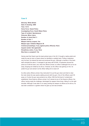### **Case S**

**Ethnicity: White British Date of shooting: 2000 Time: 10.10 Home Force: Gwent Police Investigating Force: South Wales Police Type of incident: Spontaneous Outcome: Minor injury Number of shots fired: 3 Number of hits: 1 Weapon held by suspect: Yes Weapon type: Imitation Magnum 38 Criminal proceedings, if any, against police officer(s): None Inquest verdict: Not applicable Disciplinary action, if any: None Was there a complaint?: No**

Having read that Gwent was the least policed area in the UK, S bought a replica pistol and made his way by train to Gwent where he identified a suitable bank. Pulling a balaclava over his face, he entered the bank and produced the gun. Although a member of the bank staff activated the alarm, S managed to get away with £9,000. A bystander phoned the police as S left the bank, and, when the officers arrived, an officer challenged him so he ran away, dropping his holdall as he did so. However, as the officer was gaining on him, he pulled his gun and aimed it at the officer telling him to back off.

As other police officers arrived, they instructed S to put the gun down and tried to clear the main street (he was openly walking around with his gun). One of the officers used CS spray on S when the gun was pointed at an officer. With the first level of containment established, three firearms officers arrived. As S aimed at one of the firearms officers, the officer, having made the challenge, discharged his weapon three times, hitting S on the right shoulder. Although S was able to run away, pointing his weapon at officers as he did so, he was later contained in a garden where he gave up and was arrested.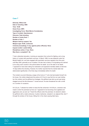### **Case T**

**Ethnicity: White Irish Date of shooting: 2000 Time: 18.08 Home Force: MPS Investigating Force: West Mercia Constabulary Type of incident: Spontaneous Outcome: Fatal shooting Number of shots fired: 1 Number of hits: 1 Weapon held by suspect: Yes Weapon type: Knife, corkscrew Criminal proceedings, if any, against police officer(s): None Inquest verdict: Lawful killing Disciplinary action, if any: None Was there a complaint?: No**

T had a disturbed education, involving an expulsion from school for fighting, and a long history of contact with psychiatric services. In March 1999, he was detained under the Mental Health Act, and was engaged with psychiatric services regularly from this point until May 2000, generally as an in-patient. He also had a history of drug-taking and claimed to be using crack cocaine in the period before his death. Up to the date of his death, T appeared to have been taking his medication and appeared mentally stable at interview 10 days before the shooting. However, his mother reported that his mental state had deteriorated significantly in the three days immediately before his death.

The incident occurred following a siege at the home of T who had barricaded himself into his house. His mother telephoned the police at 8.16 am to say that her son was holding her (his mother) and his girlfriend as hostages. His girlfriend was tied up and was being dragged around the flat whenever T moved around. He also threatened her with a knife on a number of occasions.

At 5.22 pm, T allowed his mother to leave the flat unharmed. At 6.08 pm, a decision was made to enter the premises by force as T appeared to be becoming more agitated and aggressive and, as soon as T heard the officers enter the premises, he started to attack his girlfriend with a metal corkscrew. A police marksman, situated in an adjacent flat, shot T through the window of the house, hitting him in the chest causing fatal injury.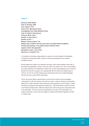### **Case U**

**Ethnicity: White British Date of shooting: 2000 Time: Approx 15.45 Home Force: Merseyside Police Investigating Force: West Midlands Police Type of incident: Spontaneous Outcome: Minor injury Number of shots fired: 2 Number of hits: 1 Weapon held by suspect: Yes Weapon type: Imitation shot-gun (two pieces of piping attached together) Criminal proceedings, if any, against police officer(s): None Inquest verdict: Not applicable Disciplinary action, if any: None Was there a complaint?: No**

U is believed to have been responsible for a series of armed robberies in Merseyside in October and November 2000, carried out using what appeared to be a doublebarrelled shot-gun.

Shortly before the incident, two robberies took place, after which witnesses were able to give police the registration number of the car used in the second one. The car was spotted by a senior detective who followed the vehicle only to have what appeared to be a shot-gun pointed at him by the occupant, who subsequently left the vehicle and walked away at 3.35 pm. At 3.41 pm an ARV response was authorised by the Force Incident Manager, with two two-man crewed ARVs responding.

One of the armed officers reported that on arrival at the scene he was immediately confronted by U with the shot-gun, who then ran away. In spite of shouting "armed police, stand still" on three occasions, these instructions were ignored by U, who began to "swing the shot-gun backwards and upwards towards him". This led the officer to fear for his life, so he fired his weapon twice. After the second shot U fell to the ground, having been shot in the right thigh – the entry wound is described as to the rear of the right thigh. The weapon carried by U was in fact two lengths of tubular metal fastened together and held in a plastic bag.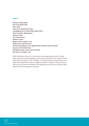### **Case V**

**Ethnicity: White British Date of shooting: 2001 Time: 22.08 Home Force: Merseyside Police Investigating Force: Greater Manchester Police Type of incident: Spontaneous Outcome: Fatal No of shots fired: 2 Number of hits: 1 Weapon held by suspect: Yes Weapon type: Samurai sword Criminal proceedings, if any, against police officer(s): Not yet decided Inquest verdict: Not held yet Disciplinary action, if any: Not yet decided Was there a complaint?: No**

Police officers were called to V's home where he was experiencing a period of mental illness. He left the house brandishing a samurai sword at the officers who backed off as he ignored their instructions to drop his weapon. As he approached a local public house, one armed officer feared that he may be a significant danger to members of the public and so shot him as he advanced. He died from the resulting injury. At the time of writing, the file is with the CPS and no inquest has been held.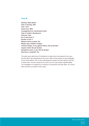### **Case W**

**Ethnicity: Black British Date of shooting: 2001 Time: 15.22 Home Force: MPS Investigating Force: Northumbria Police Type of incident: Spontaneous Outcome: Fatal No of shots fired: 6 Number of hits: 4 Weapon held by suspect: Yes Weapon type: Imitation handgun Criminal charges, if any, against officers: Not yet decided Inquest verdict: Not yet decided Disciplinary action, if any: Not yet decided Was there a complaint?: No**

The police were called when W brandished an object which was believed to be a gun, and two ARV's were despatched to the scene. When W was located, he was challenged by two armed officers, one of whom discharged his weapon six times hitting W with four of these shots. The item carried by W turned out to be a gun-shaped cigarette lighter. The investigation is complete but no decision on prosecution has been taken. As a result, there has been no inquest or trial to date.

53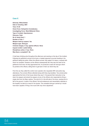### **Case X**

**Ethnicity: White British Date of shooting: 2001 Time: 01.45 Home Force: Derbyshire Constabulary Investigating Force: West Midlands Police Type of incident: Spontaneous Outcome: Fatal No of shots fired: 1 Number of hits: 1 Weapon held by suspect: Yes Weapon type: Shot-gun Criminal charges, if any, against officers: None Inquest verdict: Lawful killing Disciplinary action, if any: None Was there a complaint?: No**

X had been drinking wine throughout the afternoon and evening on the day of the incident. Following his girlfriend's arrival at his home, a heated argument occurred resulting in his girlfriend calling the police. When the officers arrived, they asked X to leave, a request with which he complied. However, as the officers subsequently left, they saw him back at his girlfriend's front door. As they approached him, he produced a sawn-off shot-gun which he pointed at the officers, telling them to get back in their car which they did.

From the car, they called the control room operator who requested ARV and police dog attendance. Four armed officers attended along with three dog handlers. Two armed police approached the front of the house where they saw X. He ignored their instruction to lay down his weapon and aimed his weapon at one of the officers who responded by firing a single shot from his Steyr carbine. The shot hit X in the left side of his torso, causing him to fall to the ground. In spite of the officers' first aid endeavours and resuscitation attempts in the hospital, he died as a result of his injuries. The unloaded shot-gun carried by X would have been capable of firing a live round with only minor adjustment.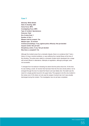### **Case Y**

**Ethnicity: White British Date of shooting: 2001 Home Force: MPS Investigating Force: MPS Type of incident: Spontaneous Outcome: Fatal No of shots fired: 1 Number of hits: 1 Weapon held by suspect: Yes Weapon type: .22 revolver Criminal proceedings, if any, against police officer(s): Not yet decided Inquest verdict: Not yet held Disciplinary action, if any: Not yet decided Was there a complaint?: No**

Although the incident arose from a domestic dispute, there is no evidence that Y had a history of drug or alcohol problems, or was suffering from mental illness at the time of the shooting. The police were called to a domestic incident which developed into a siege with armed officers in attendance. Attempts at negotiation, although prolonged, were not successful.

Y emerged from his bedroom indicating his desire that the police shoot him. At the time he was holding a small .22 revolver that had been fired into the door shortly before. As he emerged through the door he raised the firearm and was fatally shot. His death was the result of a single gunshot wound to his upper body. This appears to be the only incident in the review (out of 24) where not only was the weapon involved real, but it was actually discharged during the incident. The investigation has not yet been completed.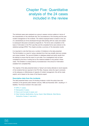# Chapter Five: Quantitative analysis of the 24 cases included in the review

The individual cases were analysed as a group to assess common patterns in terms of the characteristics of the individuals shot, the circumstances of the shooting and the postincident management of the incidents. The method employed below is based on the use of a standardised pro forma developed through initial piloting with two cases and subject to subsequent discussion (included as Appendix 2). The forms were completed on the basis of information in the PCA case files and the completed forms were entered on the statistical package SPSS. This chapter provides a summary of the descriptive results.

It is important to note that there are a number of limitations to the data presented. The first limitation is a result of using a standard form that may simplify what are complex and unique incidents. The second limitation is database-related and partly results from the attempt to ensure that the report is up-to-date. Four investigations had not been completed by the time of writing and so the material available is only partial in these cases. This limitation is compounded by inconsistencies in the amount of information available from completed files.

The majority of the data presented below is 'factual' and merely attempts to record aspects of the incidents that are reported in the PCA files. However, where the report comments on the adequacy or effectiveness of aspects of incident management, this will be made explicit, and is based on the views of the firearms expert.

### **Descriptive data from the incidents**

The data presented below cover 24 shooting incidents in which the police have shot members of the general public between January 1998 and November 2001, resulting in 11 fatalities. The forces involved in the cases were:

- MPS (11 cases):
- Merseyside (3 cases);
- Devon and Cornwall (2 cases); and
- West Yorkshire, Bedfordshire, Surrey, Gwent, West Midlands, West Mercia, Derbyshire, Sussex (1 case each).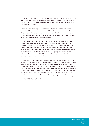Six of the incidents occurred in 1998, seven in 1999, seven in 2000 and four in 2001. In all 24 incidents only one individual was shot, although six of the 24 incidents involved more than one suspect – two incidents involved two suspects, three involved three suspects and one involved four suspects.

Using the classification employed in the Burrows Report, four of the incidents were 'robberies', 10 were 'domestic incidents' and 10 would be classed as 'other' incidents. This is further indication of how varied are the events included in the review. A second level of classification is that four of the 24 were defined as 'pre-planned' police operations while the remaining 20 were 'spontaneous' incidents.

In terms of the conditions at the time of the incident, 16 occurred outdoors, six inside buildings and two in vehicles; eight occurred in natural light, 12 in artificial light, one in darkness, two in torchlight and for one this information was not available. In none of the incidents were there reports of adverse weather conditions that may have affected the outcome, and where lighting conditions changed over the course of the event, this tended to result from the onset of dusk and the use of police lighting equipment in contained situations. However, in none of the 24 incidents is there any clear indication that climatic conditions had an impact on the incident.

In total, there were 55 shots fired in the 24 incidents (an average of 2.3 per incident), of which 32 hit individuals (or 58.2%) – although six of the shots (all in the one incident) were aimed at, and hit a dog, with a ricochet striking one of the individuals. If this incident is excluded, the hit rate is 63.3% (31 hits from 49 shots fired) see case E in Table 3 overleaf. It is worth noting that in the 11 fatal shootings, a lower average number of shots were fired (1.9) but with a higher hit rate (76.1%) – in six of 11 a single shot was fired. It is important to note that, in considering the restraint shown by armed officers, each of their weapons would have contained between 15 and 30 bullets, suggesting that, even when armed officers do make the rare decision to fire, they do so in a controlled manner consistent with the ACPO Firearms Manual.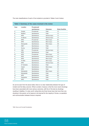The main classifications of each of the incidents is provided in Tables 3 and 4 below:

| Case | Location       | Pre-planned/ |                 |                         |
|------|----------------|--------------|-----------------|-------------------------|
|      |                | spontaneous  | <b>Outcomes</b> | <b>Shots fired/hits</b> |
| A    | <b>Sussex</b>  | Pre-planned  | Fatal           | 1/1                     |
| B    | <b>Bedford</b> | Spontaneous  | Fatal           | 1/1                     |
| C    | <b>MPS</b>     | Spontaneous  | Serious injury  | 1/1                     |
| D    | W Mercia       | Spontaneous  | Serious injury  | 1/1                     |
| E    | <b>MPS</b>     | Pre-planned  | Minor injury    | 6/1                     |
| F    | <b>MPS</b>     | Spontaneous  | Minor injury    | 3/1                     |
| G    | Merseyside     | Spontaneous  | Minor injury    | 4/2                     |
| H    | $D&C^*$        | Spontaneous  | Fatal           | 2/1                     |
| J    | Surrey         | Spontaneous  | Fatal           | 1/1                     |
| K    | D&C            | Pre-planned  | Serious injury  | 2/1                     |
| L    | <b>MPS</b>     | Spontaneous  | Fatal           | 2/2                     |
| M    | <b>MPS</b>     | Pre-planned  | Minor injury    | 1/1                     |
| N    | <b>MPS</b>     | Spontaneous  | Serious injury  | 1/1                     |
| O    | <b>MPS</b>     | Spontaneous  | Minor injury    | 1/1                     |
| P    | W Mids         | Spontaneous  | Minor injury    | 7/2                     |
| Q    | <b>MPS</b>     | Spontaneous  | Serious injury  | 2/2                     |
| R    | W Yorkshire    | Spontaneous  | Fatal           | 3/2                     |
| S    | Gwent          | Spontaneous  | Minor injury    | 3/1                     |
| T    | <b>MPS</b>     | Spontaneous  | Fatal           | 1/1                     |
| U    | Merseyside     | Spontaneous  | Minor injury    | 2/1                     |
| V    | Merseyside     | Spontaneous  | Fatal           | 2/1                     |
| W    | <b>MPS</b>     | Spontaneous  | Fatal           | 6/4                     |
| X    | Derbyshire     | Spontaneous  | Fatal           | 1/1                     |
| Y    | <b>MPS</b>     | Spontaneous  | Fatal           | 1/1                     |

**Table 3: Summary of the cases involved in the review**

As can be seen from the above table, there is no clear relationship between the type of incident and the likely outcome. What is evident, however, is that the more recent shootings have been associated with more serious outcomes, with five of the last six shootings resulting in fatalities. It is also worth noting that only three forces have had more than one shooting in this period, so for lessons to be learned for the majority of forces, co-operation and communication between forces is required.

\*D&C, Devon and Cornwall Constabulary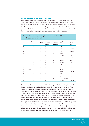### **Characteristics of the individuals shot**

All of the individuals shot were male, with a mean age of  $33.8$  years (range =  $18 - 62$ ) years). Information on ethnicity was available for all 24 of those shot, of whom 17 were described as white British, two as 'white other', four as Afro-Caribbean, and one as Asian. For 23 incidents, the person shot spoke English. Further characteristics of the incidents are provided in Table 4 below which, on the basis of the IOs' reports, lists some of the possible factors that may have been significant determinants of the police discharges.

**Table 4: Possible explanatory factors in each of the 20 cases for which reports were available**

| Case | Robbery        | <b>Domestic</b>          | <b>Mental</b>            | Intoxicated    | <b>History of</b>        | Weapon          | Was                      |
|------|----------------|--------------------------|--------------------------|----------------|--------------------------|-----------------|--------------------------|
|      |                |                          | <b>Health</b>            | at time of     | substance                | type            | firearm                  |
|      |                |                          |                          | incident       | problems                 |                 | real?                    |
| A    | ٠              | $\overline{\phantom{0}}$ | $\overline{\phantom{a}}$ | $\frac{1}{2}$  | ÷.                       | None            | L.                       |
| B    | ٠              | ۰                        | X                        | X              | X                        | Pistol          | Imitation                |
| C    | ٠              | X                        | X                        | X              | X                        | Knife           | ÷,                       |
| D    | ٠              | L.                       | X                        | X              | ÷.                       | Pistol          | Imitation                |
| E    | ÷              | ٠                        | X                        | ÷,             | X                        | None            | L.                       |
| F    | ä,             | X                        | ÷.                       | ÷,             | ÷.                       | Shotgun         | Yes                      |
| G    | ۰              | L.                       | X                        | X              | X                        | Rifle           | Imitation                |
| H    | ٠              | X                        | X                        | X              | ÷.                       | Air-rifle       | Yes                      |
| J    | ٠              | X                        | X                        | X              | X                        | Air-pistol      | Yes                      |
| K    | X              | L.                       | L.                       | $\overline{a}$ | X                        | Shotgun         | Yes                      |
|      | ÷.             | L.                       | ä,                       | X              | ÷.                       | None            | L.                       |
| M    | X              | ۰                        | $\overline{\phantom{0}}$ | ÷              | X                        | None            | -                        |
| N    | ٠              | ٠                        | X                        | X              | X                        | Pistol          | Imitation                |
| O    | Kidnap         | $\overline{\phantom{m}}$ | $\overline{\phantom{0}}$ | ÷,             | ÷.                       | None            | $\overline{\phantom{0}}$ |
| P    | ÷.             | X                        | ٠                        | X              | ٠                        | Pistol          | Imitation                |
| Q    | ÷.             | L.                       | X                        | L.             | ÷                        | Axe             | L.                       |
| R    | ٠              | X                        | X                        | X              | X                        | Air-rifle       | Yes                      |
| S    | X              | ÷.                       | $\blacksquare$           | ÷,             | X                        | Pistol          | Imitation                |
| T    | $\blacksquare$ | X                        | X                        | $\overline{a}$ | X                        | Corkscrew/Knife | $\overline{\phantom{a}}$ |
| U    | X              | ÷,                       | $\overline{\phantom{0}}$ | ÷,             | $\overline{\phantom{0}}$ | Shotgun         | Imitation                |

From the table it can be seen that four of the shootings resulted from attempted robberies (and another from a reported earlier kidnapping related to drug use), that seven of the incidents involved domestic disputes (while another possibly did) and that 12 contained elements that may imply that they were 'provoked shootings'. It is important to note that five of the individuals shot were not in possession of a weapon (real or imitation) at the time of the shooting, and that only one of the individuals involved discharged their weapon when police officers were present, though not aiming at or hitting officers or members of the public. Furthermore, the distinction between real and imitation is more complicated than it first appears. While all but one of the imitations were manufactured to look like the genuine weapon (and so indistinguishable visually), even two of those without a weapon – one of those shot made the shape of a gun in his pocket, while another had an object wrapped in a bag – *appeared*, to the officers, to be in possession of a weapon. Similarly, at least one of the imitations would have been capable of firing with only a very minor adjustment.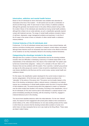#### **Intoxication, addiction and mental health factors**

Eleven of the 24 individuals for whom information was available were described as intoxicated at the time of the incident – 10 with alcohol and one with a combination of alcohol and illicit drugs, while 10 were known to have a history of addiction problems, although this generally only became known to the police officers present during or after the incident. Eleven of the individuals were described as having mental health problems, although this is likely to be an under-estimate, as such a classification generally required contact with treatment services. The range of mental health problems included a history of self-harm, depression, anger management problems and psychosis. In only five of the 24 cases in the review is there no indication of either mental health or substance misuse problems.

### **Criminal histories of the 24 individuals shot**

Furthermore, 15 of the 24 individuals involved were known to have criminal histories, with previous convictions including arson, possession of weapons, armed robbery, and assault, although these histories would not necessarily have been known to the officers at the time of the incidents nor are they necessarily relevant to the shooting incidents themselves.

### **Categorising the shootings included in the review**

Although there are a number of common characteristics that link the shooting incidents included, there are difficulties in developing a taxonomy of incidents based either on the characteristics of the individuals shot or the nature of the incident itself. The system used by Burrows involved three categories – robbery (n=7), domestic (n=9) and 'other' (n=7). However, there are two problems with this system. First, it permits a 'catchall' group almost as large as the other groups and, second, it does not permit a classification by two of the main factors identified by both Burrows and the current review, namely mental health and substance misuse.

For this reason, the classification system developed for the current review is based on a two-tier categorisation. At the first level, each incident is classed according to the "rationality" of the actions of the person shot. This person can be broadly classed, at the time of the shooting, as behaving in either a rational manner, or behaving in an irrational manner (as a consequence of mental health problems and/or the short or long term effects of illicit substance use). The period during which this judgement is made is on behaviour over the entire incident that resulted in the shooting. According to this classification, nine of the 24 individuals (37.5%) shot could be said to have behaved in a rational manner in the period immediately preceding the shooting, with the remaining 15 (62.5%), engaged in irrational behaviours prior to the shooting.

The second level classifies behaviour within this initial distinction. For the nine "rational" cases, the reasons for their engagement with armed police related to their involvement in armed robbery (n=4), other criminal behaviour (in one case avoiding arrest) and four cases in which there are concerns that the shooting involved either accident or human error (which does not imply necessarily that an error was made by the firing officer). These cases are listed in table 5 below: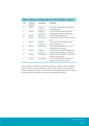| Table 5: Analysis of shootings within the review classified as 'rational' |                                  |                       |                                                   |
|---------------------------------------------------------------------------|----------------------------------|-----------------------|---------------------------------------------------|
| Case                                                                      | <b>Rational or</b><br>irrational | <b>Classification</b> | <b>Description</b>                                |
| A                                                                         | Rational                         | Accident or           | Armed police officer mistakenly believed that     |
|                                                                           |                                  | human error           | A was holding a gun                               |
| E                                                                         | Rational                         | Accident or           | E hit accidentally by splinters from a bullet     |
|                                                                           |                                  | human error           | ricocheting from a dog (the intended target)      |
| F                                                                         | Rational                         | Other crime           | F was shot while evading arrest                   |
| K                                                                         | Rational                         | Armed robbery         | K was shot in the process of robbing a jewellers' |
|                                                                           |                                  |                       | shop                                              |
| L                                                                         | Rational                         | Accident or           | Armed police officers mistakenly believed         |
|                                                                           |                                  | human error           | that L was holding a gun                          |
| M                                                                         | Rational                         | Armed robbery         | M was shot while attempting to carry out an       |
|                                                                           |                                  |                       | armed robbery of a post office                    |
| $\Omega$                                                                  | Rational                         | Accident or           | O was shot by an accidental discharge during      |
|                                                                           |                                  | human error           | an armed operation relating to a kidnapping       |
| S                                                                         | Rational                         | Armed robbery         | S was shot by an armed officer while escaping     |
|                                                                           |                                  |                       | following an armed robbery                        |
| U                                                                         | Rational                         | Armed robbery         | U was shot while attempting to evade arrest       |
|                                                                           |                                  |                       | following a series of armed robberies             |
|                                                                           |                                  |                       |                                                   |

For the remaining 15 incidents, that have been classed as 'irrational', a further breakdown of the sources of the irrational behaviour is shown in Table 6 below, based on domestic incidents, substance intoxication or mental health issues (including suicidal ideas). It should be noted that all of the incidents in this group were spontaneous incidents.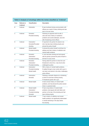| Case | <b>Rational or</b><br><b>irrational</b> | <b>Classification</b> | <b>Description</b>                              |
|------|-----------------------------------------|-----------------------|-------------------------------------------------|
| B    | Irrational                              | Intoxication          | B was incoherent during communication with      |
|      |                                         |                       | officers as a result of heavy drinking and was  |
|      |                                         |                       | shot in his own home                            |
| C    | Irrational                              | Domestic/             | Following an argument with his wife, C          |
|      |                                         | Provoked shooting     | (who also had a history of substance            |
|      |                                         |                       | problems and suicide attempts), was shot        |
|      |                                         |                       | after threatening armed officers                |
| D    | Irrational                              | Intoxication/         | D reported to his partner his desire to be      |
|      |                                         | Domestic/Provoked     | shot, had also been drinking heavily and        |
|      |                                         | shooting              | phoned the police himself                       |
| G    | Irrational                              | Mental health/        | G phoned the police himself to tell them his    |
|      |                                         | Provoked shooting     | address and had a history of addiction and      |
|      |                                         |                       | mental health problems                          |
| н    | Irrational                              | Domestic/             | H, who had been drinking and had argued         |
|      |                                         | Intoxication/         | with his partner, phoned the police himself to  |
|      |                                         | Provoked shooting     | tell them he was armed                          |
| J    | Irrational                              | Domestic/             | Having asked his partner to shoot him and       |
|      |                                         | Intoxication/         | threatened to shoot her, J was drunk when       |
|      |                                         | Provoked shooting     | challenged by police                            |
| N    | Irrational                              | Intoxication/         | With a history of mental health problems,       |
|      |                                         | Provoked shooting/    | N walked through a town centre with a gun in    |
|      |                                         | Mental health         | one hand, and alcohol in the other, challenging |
|      |                                         |                       | police officers                                 |
| P    | Irrational                              | Intoxication/         | Following a domestic dispute at a christening   |
|      |                                         | Domestic              | at which he had been drinking heavily,          |
|      |                                         |                       | P threatened guests with a gun                  |
| Q    | Irrational                              | Mental health         | Q had a known history of mental health          |
|      |                                         |                       | problems, and had phoned the police several     |
|      |                                         |                       | times in a paranoid state                       |
| R    | Irrational                              | Mental health/        | R had a long history of mental health           |
|      |                                         | Intoxication/         | problems, had arqued with both father and       |
|      |                                         | Provoked shooting/    | partner on the day of the shooting and had      |
|      |                                         | Domestic              | been drinking heavily                           |
| т    | Irrational                              | Mental health         | T had a history of addiction and mental         |
|      |                                         |                       | health problems, but significantly deteriorated |
|      |                                         |                       | in mental well-being in the days before         |
|      |                                         |                       | the shooting                                    |

## **Table 6: Analysis of shootings within the review classified as 'irrational'**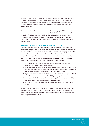In each of the four cases for which the investigation has not been completed at the time of writing, there are clear indications of suicidal intention in one, of the combination of intoxication and domestic dispute in a second; and mental health problems in the third. The behavioural and psychological characteristics of the final case have not yet been clearly established.

This categorisation scheme provides a framework for classifying the 24 incidents in the current review using a two-tier method in which the basic distinction is the perceived rationality of the behaviour of the individual shot in the period prior to the shooting. The second level of analysis is a less exclusive system for identifying risk factors that appear to have been instrumental in shaping the behaviour of the individual during the firearms incident.

### **Weapons carried by the victims of police shootings**

Offering a taxonomy of weapon types for the victim is considerably more difficult than categorising the guns used by the police in these incidents. The first problem relates to the cases in which the weapon the police perceived the individual to be carrying was not what was identified afterwards. The second difficulty is that 'imitation' or 'replica' weapons are not readily identified as such, and, furthermore, many are capable of modification so that they can be discharged in some way. Nonetheless, it was possible to classify the weapons possessed by the individuals shot into the following five broad categories:

- 1. Edged weapons (n=4): Two of those shot were in possession of knives, one was armed with an axe and the fourth with a sword.
- 2. Firearms capable of discharge (n=7): Seven individuals had shotguns, air weapons or rifles that were capable of being discharged at the time of the incident. However, four of these seven weapons were not loaded at the time of the incident.
- 3. Replica or imitation firearms (n=7): Seven individuals had imitation weapons, although one of these contained and was capable of firing CS incapacitant canisters.
- 4. Other objects (n=2): One individual had a bag wrapped around a table leg and the second two lengths of metal tube attached in a plastic bag.
- 5. No object (n=4): Four individuals had no object in their possession at the time of the shooting.

However, even in the 'no object' category, two individuals were believed by officers to be carrying weapons – one of whom was making the shape of a gun in his pocket in the course of a robbery and the other was not carrying any objects but was believed to have been doing so by the firing officer.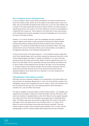### **Use of weapons by the individuals shot**

In only one instance, where a police officer was stabbed in the hand by a knife that was thrown from inside a house, did the use of the weapon by the suspect result in injury to an officer. This occurred before the firearms team arrived and, in only one of the incidents, was a member of the public injured after the arrival of firearms officers. One officer received a superficial leg wound in the course of one of the incidents as a result of over-penetration of a bullet fired from a police gun. Three members of the public (two of whom were partners of the individuals shot) had been assaulted in the period immediately prior to the arrival at the scene of the firearms officers.

However, in 14 of the 20 incidents in which the investigation had been completed, the 'weapon' (defined as the object or action perceived as a threat by the firearms officers involved) was pointed at someone before the firearms officers arrived, and this also happened in 17 of these 20 incidents after the arrival of the firearms officer. This would indicate that the arrival of the firearms officers was not clearly linked to an escalation in the aggressive responses of the individuals subsequently shot.

In terms of the accuracy of the police response, 11 of the incidents involved a single shot which hit the intended target, and in two further incidents two shots were fired both of which hit their intended targets (see Table 3). However, the definition of 'hit' used in the study includes all shots that contact with the body, whether it was the intended body part or not. Many of the shots failed to hit the central body area that armed officers are trained to aim at, with a number of shots hitting the arms, the legs or the head. In all of the remaining 11 incidents at least one shot missed its target, with one incident involving two hits from seven shots and another involving one hit (on the hand) from three shots (this was especially dangerous as the shots were at an individual in a car also occupied by two involuntary passengers).

### **Characteristics of the officers involved**

Information was less consistently available on the characteristics of the police officers who were involved in the shootings, although this is, in part, due to the fact that a number of the investigations had not been completed at the time of writing. In three of the incidents, more than one officer fired their guns and in the remaining cases for which information is provided (n=21), only one officer was involved.

The data are available on 25 police officers involved in these incidents – 22 constables, two sergeants and one inspector. Twenty-two of these 25 officers were from ARV teams, while seven were members of specialist firearms units. All 24 officers for whom gender was given were male and all 22 for whom the information was provided were of white British ethnic origin. The officers' ages were only provided for eight officers with a mean of 36.0 years and length of time in the police force for only 10 officers (mean = 14.7 years). All 24 officers for whom the information was provided were firearms authorised. There was marked variation in length of time as firearms trained (between 3 and 17 years), with the average length of time as a firearms trained officer being around six years. All twelve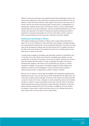officers for whom the information was available had fired three classification shoots in the previous year, although the most recent type of training varied quite markedly. For the six officers on whom this was provided the mean length of time since the last course was 3.7 months, with the most recent course being either a practice shoot, a reclassification or a shooting test. However, the poor level of recording of recency or type of training makes drawing inferences in this area problematic. Clear and consistent guidelines for IOs on the inclusion and reporting in final reports of training and refresher training (as provided in Appendix 2) is strongly recommended. For only two of the officers is there a report of drug or alcohol testing and in both cases this is reported to have been negative.

### **Briefing and de-briefing of officers**

With regard to briefing and de-briefing of officers, there is again limited information to report. For 16 of the 18 officers for whom information was available, a briefing took place and is reported (this includes all four of the pre-planned operations). The picture is far less clear for the spontaneous incidents, with the most common form of briefing occurring via the radio (n=6), but for several of the incidents, the main form of briefing seems to have taken place on arrival on the scene.

A similar picture emerges for de-briefing, with information provided on de-briefing in only 11 incidents. Four of the officers were involved in immediate group debriefs, one was provided later by the Silver Commander, one involved the officers' solicitors and one took place three weeks after the incident. The lack of adequate information on this issue, combined with variations in the nature of the de-briefs that are reported on, renders comparison unreliable. The purpose of the debriefs ranged from those relating to the collection of evidence for the investigation, to those concerned with the welfare of officers and the provision of legal advice to officers involved in incidents.

Eleven of the 14 officers, on whom data are available, were temporarily suspended from operational duty but in only one case was an officer suspended from the police force, and in this case six officers were suspended. At the time of the incident, the officers had been on duty for a mean of 5.4 hours – although it is worth commenting that one of the officers had been on duty for 10 hours and another for just under 12 hours. None of the officers involved reported any previous involvement in police shootings. Information on what the officers had been wearing at the time of the incident is available for 20 of the officers – the majority of whom were in uniform with body armour (n=16), although three were in police uniform with no armour and one was in plain clothes.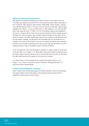### **Weapons used and reasons given**

With regard to the weapons available to the officers involved in the incident, the most commonly used weapons were the MP5 (on nine occasions) and the Glock Pistol (also on nine occasions). Other weapons used included a Ruger Rifle, a Steyr Carbine, a shotgun and a Beretta Centurion pistol. In 16 cases, there are reports of what other weapons were available to the officers – in one case there were no other weapons, in six cases the MP5 and in nine cases the Glock 17 Pistol. For 13 of the incidents, reasons were available for the choice of weapon with the most common being the distance that the suspect was from the officer (on seven occasions), with one officer citing the location as the reason for the choice of weapon. The other reasons given were far more practical; in one because it was the only weapon available, one because of the immediate nature of the threat and one because of the nature of the incident. In one of the incidents, the officer used a handgun because he was not able to get the gun box open and the final case involved the use of a handgun because it was an immediate source of personal protection.

In the 18 incidents for which the information is available, the mean number of rounds fired by the first officer is 2.3 (range = 1-7). When there was a second officer involved who also fired (three cases of this are reported), two of these officers fired once and one fired twice. No officer fired more than one weapon in the course of an incident.

The mean number of 'hits' recorded for the incidents (excluding case E) is 1.35 (range = 1-4), a total of 31 hits from a total of 49 weapon discharges (63.3% of all shots fired hit their intended target).

### **Criminal and disciplinary outcomes**

Table 7 presents the criminal cases against the officers involved in each of the shootings, the inquest verdicts (for the fatal cases in which inquests have been held) and the disciplinary charges faced by police officers.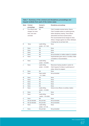### **Table 7: Summary of the criminal and disciplinary proceedings and inquest verdicts from each of the review cases**

| Name | <b>Criminal</b>    | Coroner's           | <b>Disciplinary proceedings</b>                  |
|------|--------------------|---------------------|--------------------------------------------------|
|      | proceedings        | inquest             |                                                  |
| A    | Five officers were | <b>NA</b>           | Chief Constable received advice; Deputy          |
|      | charged, four were |                     | Chief Constable retired on medical grounds,      |
|      | tried, none were   |                     | before disciplinary hearing. Three officers      |
|      | convicted.         |                     | admonished and three received advice.            |
|      |                    |                     | PCA recommended formal charges for three         |
|      |                    |                     | officers. Charges against one officer withdrawn. |
|      |                    |                     | A hearing has not yet been held.                 |
| B    | None               | Lawful killing      | None                                             |
|      |                    | verdict - 27,11.98  |                                                  |
| С    | None               | <b>NA</b>           | None                                             |
| D    | None               | <b>NA</b>           | None                                             |
| E    | None               | <b>NA</b>           | None                                             |
| F    | None               | <b>NA</b>           | Not yet decided on matters subject to complaint  |
| G    | None               | <b>NA</b>           | Superintendent given advice on ancillary matter  |
|      |                    |                     | (completion of documentation)                    |
| н    | None               | Lawful killing      | None                                             |
|      |                    | verdict $-9.8.2000$ |                                                  |
| J    | None               | Lawful killing      | Misconduct hearing resulted in caution for       |
|      |                    | verdict $-4.5.2000$ | Chief Inspector for failure in performance of    |
|      |                    |                     | duties. Advice for sergeant                      |
| K.   | None               | <b>NA</b>           | None                                             |
| L    | None               | Open verdict        | Not yet decided                                  |
|      |                    | $-21.7.2002$        |                                                  |
| M    | None               | <b>NA</b>           | None                                             |
| N    | None               | <b>NA</b>           | None                                             |
| O    | None               | NA                  | None                                             |
| Ρ    | None               | <b>NA</b>           | None                                             |
| Q    | None               | <b>NA</b>           | None                                             |
| R    | None               | Lawful killing      | Advice to two officers on ancillary matters      |
|      |                    | verdict $-2.5.2002$ |                                                  |
| S    | None               | <b>NA</b>           | None                                             |
| т    | None               | Lawful killing      | None                                             |
|      |                    | verdict - 18.4.2002 |                                                  |
| U    | None               | <b>NA</b>           | None                                             |
| V    | Not yet decided    | Not yet held        | Not yet decided                                  |
| W    | Not yet decided    | Not yet held        | Not yet decided                                  |
| X    | None               | Lawful killing      | None                                             |
|      |                    | verdict $-8.11.02$  |                                                  |
| Y    | None               | Not yet held        | Not yet decided                                  |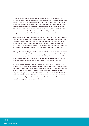In only one case did the investigation lead to criminal proceedings. In this case, the principal officer stood trial for murder, alternatively manslaughter, and was acquitted on the direction of the trial judge at the conclusion of the prosecution case after a submission of no case to answer. Four other officers, including a superintendent, acting chief inspector and inspector responsible for planning and initiating the operation, were charged with misconduct in a public office. Proceedings were discontinued against a constable before the trial commenced. At the start of the trial of the remaining three, the prosecution, having reviewed the position, offered no evidence and they were acquitted.

Although none of the officers in the cases reviewed have been convicted at criminal court, there has been formal disciplinary action taken in two of the 19 cases that had completed the disciplinary investigation by the time of writing. In one case, one officer received a caution after an allegation of failure in performance of duties was found proved against him. In case A, two officers have disciplinary proceedings outstanding against them at the time of writing. In four cases, informal disciplinary action, such as advice, was given.

With regard to criminal charges brought against the individuals who were shot but survived (of whom there were 13), nine individuals were charged with criminal offences. Two others were detained in psychiatric hospitals under the Mental Health Act as they were not fit to stand trial. Both of the others were shot in error. One was hit by a ricochet from an overpenetrating bullet and the other was hit by an accidental discharge by the officer.

Formal complaints have been made and investigated following four of the 24 incidents reviewed. Two have been from family members of fatal shooting victims (A and L); one was from the individual shot in a non-fatal case (M), and one was from a person taken hostage by her ex partner in one of the incidents (F). Conclusions have been reached on two complaints investigations (A and M) and in one case (L) allegations about post incident issues, not related to the use of firearms, have been finalised, leaving other allegations concerning the shooting to be determined. In cases A and L, complaints have been upheld in part. In M, allegations were not substantiated.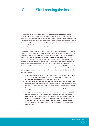# Chapter Six: Learning the lessons

The following section outlines the lessons to be learned from the incidents reviewed. These comments and recommendations outline what can be learned concerning the planning, control and conduct of operations. The aim is: to provide a critical analysis of the 24 incidents included in the review; to address the issues raised by the families of some of the victims; and to provide an outline of where changes may be made and steps taken to reduce the likelihood of errors occurring in the future and to minimise the chances of the police having no alternative but to use lethal force.

At the outset, however, it must be stated that the review has also established a disturbing lack of high quality evidence on which to base policy and practice decisions. Many of the inferences in the current review have had to be based on a small number of cases with very limited supporting information from existing research. The development of 'good practice' is predicated upon the collection and utilisation of a satisfactory information base. However, at present, there is inadequate and insufficient evaluation, review and research being undertaken by the police service or the Home Office in the area of police use of firearms. That the current review has had to rely on an eight-year-old ACPO review of 23 cases and overseas research as the evidence base is not satisfactory nor is this omission adequately addressed by the current review. There is a clear need for further research into the following areas:

- 1. The characteristics of those shot by the police and the main variables that increase the likelihood of being shot (which would include comparison with successfully resolved firearms incidents involving 'matched' suspects).
- 2. A research programme assessing the increased risks for vulnerable populations and examining the police responses to what are perceived to be 'victim-precipitated' police shootings. In addition to mental health and addiction issues, this programme should also examine other demographic risk factors such as the ethnicity, age and economic and social status of the victims.
- 3. An analysis of the characteristics of the officers involved in shootings this would include an assessment of the decision-making features involved in the individual incidents as well as an assessment of their background characteristics, attitudes to police use of firearms and experience. It may also be useful to assess empirically the psychological and physical consequences of shootings on principal officers. This has obvious welfare implications as well as being relevant to the management of firearms units.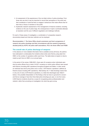- 4. An assessment of the experiences of the non-fatal victims of police shootings. From those who are shot it may be important to record their perceptions of the event and their recollection of what led them to engage in behaviours that made officers fear for their lives or those of members of the public.
- 5. Systematic research assessment of the management of firearms incidents, including evidence on the use of police dogs, the consequences of rapid or protracted attempts at resolution and the use of different negotiation and challenge methods.

For each of these areas of investigation, a combination of comparative research, documentary-based and interview methods can be employed.

*Recommendation 1: The Home Office should commission and fund a programme of research into police shootings and their circumstances with the research programme decided jointly by ACPO, the police staff associations, PCA, the Home Office and PSDB.*

### **The overall rate of police discharge of weapons**

In the absence of more detailed information that is available across all forces, the authors have attempted to contextualise the incidents where shots were fired by using data from HMIC on the number of operations within each force. The table below is based on returns made by each force to HMIC on an annual basis.

In the period of the review (1998-2001), there were 24 occasions when individuals were shot by police officers from a total of 44,871 occasions on which police officers were issued with firearms (including ARV operations) throughout England and Wales. In other words, an individual was shot by the police once in every 1,870 firearms 'operations' (defined as firearms issues including ARV operations). Alternatively, the 11 fatal shootings means that in only one of every 4,079 firearms operations, is a fatal shot discharged (see Table 8 below). One possible interpretation of this finding is that we have no grounds for concern and that an average of less than three fatal police shootings per year, or one from every 4,000 firearms incidents should be a cause for recognising police professionalism and restraint, rather than provoking an investigation into what has gone wrong.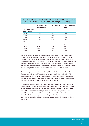|                          | <b>Operations where</b> | <b>ARV</b> operations | <b>Officers authorities</b> |
|--------------------------|-------------------------|-----------------------|-----------------------------|
|                          | firearms issued         |                       | issued                      |
| <b>England and Wales</b> |                         |                       |                             |
| (including MPS)          |                         |                       |                             |
| 1997-98                  | 11,842                  | 7,510                 | 6,585                       |
| 1998-99                  | 11,005                  | 7,906                 | 6,411                       |
| 1999-00                  | 10,915                  | 8,276                 | 6,262                       |
| 2000-01                  | 11,109                  | 8,179                 | 6,064                       |
| <b>MPS</b>               |                         |                       |                             |
| 1997-98                  | 2,578                   | 954                   | 1,971                       |
| 1998-99                  | 2,742                   | 1,573                 | 1,951                       |
| 1999-00                  | 2,862                   | 1,812                 | 1,977                       |
| 2000-01                  | 1,862                   | 1,380                 | 1,940                       |

# **Table 8: Number of incidents and number of authorised firearms officers in England and Wales and in the MPS, 1997-2001 (Source – HMIC)**

For the MPS alone, which is the force with the greatest incidence of shootings in the review, there were 10,044 incidents where firearms were issued including 5,719 ARV operations in the period of the review. In the same period, the MPS was involved in 11 police shootings of which four were fatal. Thus, for all of England and Wales apart from the Metropolitan Police, there was a rate of one shooting for every 2,679 firearms operations and one fatal shooting for every 4,975 firearms operations. For the MPS, the rates are one shooting every 913 operations and one fatal shooting for every 2,511 operations.

This occurs against a context of a total of 1,707 shots fired in criminal incidents in the financial year 2000/2001 (*Criminal Statistics, England and Wales, 2000–2001*). This constitutes a rise of 21% on the previous year (n=1,413) and 64% on two years earlier (1998/1999). However, this increase is not reflected in the level of police shootings, which has remained relatively constant over the period of the review.

These data do demonstrate that, in the vast majority of firearms incidents, resolution is achieved without the need for weapon discharge, which reflects positively on the majority of firearms officers involved, their managers and trainers. However, as far as is known, none of the individuals shot by the police had injured others using firearms, and it is certainly the case that none of them did so in the course of the incidents included in the review. That is not to say, however, that they would not have done so – although only three were in possession of loaded firearms capable of harmful discharge at the time of the incident.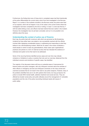Furthermore, the finding that none of those shot in completed cases had fired intentionally at the police differentiates the current study cohort from that investigated in the Burrows Report. In a number of the incidents included in the Burrows review, the police were fired on by suspects, which did not happen in any of the cases in the current review where the investigation had been completed by the time of writing. In Case Y, a shot was fired by Y with the bullet striking a door, and officers had been behind that door earlier in the incident. However, the investigation has not yet been concluded, and so it is not possible to be definitive about this issue.

## **Understanding the context of police use of firearms**

Each day, the police deal with numerous calls which are perceived as life-threatening incidents but have either been over-stated or are successfully resolved with the officers involved often displaying considerable bravery in addressing and responding to what they believe to be a life-threatening incident. While the 24 cases in the review constitutes a small sample on which to base any generalisations, these cases open organisational practices and policies to a form of external scrutiny that has indicated the existence of individual and system errors that need to be addressed.

Some of the recurring themes identified across cases and over time may indicate omissions or limitations in policy or practice that only such an overview, distanced from the inidividual concerns and emotions of specific cases, has identified.

The majority of the discussion below will focus on potential areas of improvement for firearms teams and police managers, with only infrequent comment about the activities of other officers or emergency services and infrequent comments on the many armed and unarmed successes that do not result in the need to use police weapons. However, many of the problems identified here are to do with systems that involve, but may go beyond, the police to include NHS mental health, addiction treatment and social services. They are affected by broader social policy and public attitudes around the management of vulnerable populations and the role of the police reconciling individual needs with issues of public safety.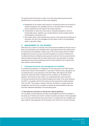The sections below will provide an outline of the main areas where issues have been identified which can be grouped into three broad categories:

- **A** Management of the incident, which focuses on command structure and its impact on incident management, the availability and use of 'less lethal options' and issues around containment and the speed of the incident resolution;
- **B** Characteristics of those shot, which looks at vulnerable populations in terms of mental health issues, substance use, suicidal intentions and the resulting nedd for multi-disciplinary interventions; and
- **C** Post-incident issues, which examines the concerns of the family and the disclosure of information, the role of the investigator and the impact of each of the participating bodies in generation delays.

## **A. MANAGEMENT OF THE INCIDENT**

While there are a number of individual errors that have been identified by the SIO, many of these are accentuated by and embedded within organizational factors that indicate areas for improvement and clarification. Indeed, many of the concerns about firearms incident management and policy may have only become apparent as a result of individual error. A suitably self-critical and reflective police approach would work from the premise that the adverse incidents reviewed offer the perfect opportunity for the examination of possible organizational and structural weaknesses that are made manifest by the incidents which have resulted in police shootings.

#### **1. Command structure and management of incidents**

In considering the adequacy of management, the key policy base is the ACPO firearms manual which outlines recommendations on key areas of firearms policy, although its use by individual forces is at the discretion of the Chief Officer. With regard to the ACPO manual, key issues that will be considered are the consistency of its adoption and utilisation, and reasons for local variation, its comprehensiveness and its relevance. The second document that will be relevant throughout this section is the report produced for ACPO in consultation with the PCA by Burrows that reviewed the incidents between 1991 and 1993. This provides a marker for both the consistency of incident profile and management over time and as a yardstick of whether key issues identified by Burrows have been addressed adequately in the intervening period.

#### **1.1 Recording force decisions to diverge from national guidelines**

The complexity of tactical decisions has been acknowledged by the ACPO committee on the police use of firearms who meet to consider new tactics and advise on their appropriate use. In the only case where this issue arose, there is no evidence that such validation had been sought for what appeared to be the maverick use in that force of an entry technique,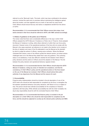referred to as the "Bermuda" tactic. This tactic, which may have contributed to the adverse outcome, involved the rapid entry to premises without maximising the intelligence gained about the location, and was regarded only as a tactic of last resort by many forces. Chief Officers should ensure that any new tactics or adaptations benefit from the advice of ACPO.

*Recommendation 2: It is recommended that Chief Officers ensure that unique, local tactics devised in their force should be referred to ACPO, with HMIC advised accordingly.*

### **1.2 Status of guidance on the police use of firearms**

The review noted that there were considerable differences in the way in which Chief Officers adopted the *ACPO Manual of Guidance on Police Use of Firearms*. Some adopted the Manual of Guidance in writing, while others referred to it within their own force policy document. However some of the operational practices of the force did not comply with the Manual in the cases examined, yet reference is not made to the intention not to comply at the time of adoption and many of the IOs attempted to use the Manual as the standard by which to judge the actions of officers, causing some confusion. Where the Manual vindicated their actions, some of the officers quoted the relevant section, but where actions challenged were not in the Manual they stated that it was only guidance. This confusing status is not satisfactory. It was also difficult to identify the link between Chief Officer's policy decisions and the actions of officers around the adoption of the Manual. The link between the policy decision and operational behaviour appears broken.

*Recommendation 3: It is recommended that the Chief Officers should adopt the ACPO Manual of Guidance, noting any areas of intended non-compliance, and that the consistency of Chief Officer's policy and the operational actions of the force based on the use of the Manual are reviewed. Chief Officers should advise their police authority of any departures from the Manual and the reasons for each.*

#### **1.3 Accountability**

Firearms policy implementation should be included in the job description of one of the ACPO team who should be held responsible for compliance by the force, to strengthen the link between operational behaviour and policy decisions, with failure to do so a neglect of duty. This person should have ultimate accountability for the compliance of firearms operations with that policy. While ultimate accountability lies with the Chief Constable, the day-to-day responsibility should lie with the nominated firearms Chief Officer.

*Recommendation 4: It is recommended that firearms policy is included in the job description of a Chief Officer who should be held responsible for compliance by the force, and this should be subjected to scrutiny by the relevant police authority and HMIC.*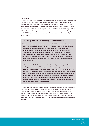#### **1.4 Planning**

The quality of planning in the spontaneous incidents in the review was primarily dependent on the duration of the incident, with greater time available leading to more thorough operation planning and implementation. However, this was not a universal rule – in one case, the armed officers had 12 minutes before arriving at the scene yet made no plans. In contrast, in another incident lasting just five minutes officers were able to deploy a less lethal option (a police dog) under the protection of a conventional firearm. In the opinion of the PCA firearms advisor, there were several instances of flaws in the planning of operations.

### **Case study one: Flawed planning – entry to building**

**When it is decided in a pre-planned operation that it is necessary for armed officers to enter a building, the Manual of Guidance recommends that detailed knowledge about the location and layout of the inside of the premises is obtained. As entry to buildings, particularly at speed, is a high-risk activity, it is logical to reduce that risk by providing information about the building. One force appeared to be utilising a specialised tactic as a general purpose entry technique, which in the target case was carried out without information about the layout of the building, partly as a result of time constraints placed on the operation.**

**Reliance on this tactic to overcome lack of knowledge of the layout of the building contributed to a delay in armed officers reaching one of the bedrooms. The result was that both the occupants were awake and one was just inside the door when armed police opened it. One fatal shot was discharged. In the opinion of the PCA advisor it is illogical and reckless to conduct a planned armed entry into premises without detailed knowledge of the layout of the interior. Only an immediate threat to life would justify such a deployment. There was no time constraint that made such action necessary before detailed intelligence on the internal layout could have been obtained.**

The main concern in the above case and the one below is that the pragmatic tactics used resulted in an increased level of risk to the suspect, the officers and members of the general public. While it is acknowledged that there are practical, managerial concerns around incident volume and the need to reconcile achieving a timely conclusion with maximising safety, the methods used in both (which would be described as 'proactive' in each case), may have contributed to the adverse outcome and may have led to increased public risk.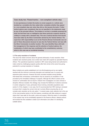## **Case study two: Flawed tactics – non-compliant vehicle stop**

**In one spontaneous incident the tactics to arrest suspects in a vehicle were decided by a constable who then asked other constables whether they agreed to a non-compliant stop and, when they did so, this became the tactic. If other tactical options were considered, they are not specified in the statements made by any of the principal officers. The problem is not that a constable proposed the tactic but that there was no intelligence that these particular suspects would be unlikely to comply with a standard stop. This was a tactical decision that should have been taken by the Silver Commander advised by the Tactical Advisor. The supervisor with responsibility to act as the Firearms Bronze Commander was not part of these discussions because he was also the Tactical Advisor and was with the Silver Commander at another location. This case identifies flaws with both the management of the response and the selection of tactical options, the combination of which may have contributed to the unsatisfactory outcome, which in this case was an accidental shooting.**

#### **1.5 The early resolution of incidents**

This issue has raised concerns about the general philosophy of early resolution. Most incidents were resolved quickly once contact was made with suspects by specialist firearms officers. This operational experience resulted in ARV crews being trained and authorised to make contact by challenging suspects quickly after their arrival at the scene thus giving potential for a prompt resolution of incidents.

Many incidents are quickly established not to be life-threatening and so are rapidly resolved with the minimum community disruption and restricted use of a scarce and expensive police resource. However this tactic provoked anxieties among families interviewed that unnecessary confrontations may be caused by an escalation of risk provoked by the immediate challenge of suspects. Although the officer's actions at the moment of confrontation did not result in criticism from investigators nor were criminal or discipline offences revealed, this strategy may increase the likelihood of adverse outcomes in certain categories of case, particularly those involving vulnerable populations (see section 5 of this chapter). In one case, the IO recommended that "ARV training is reviewed to ensure that it creates the correct mind set in armed officers ensuring they do not consider early resolution as the only option." In several cases, tactic selection led to the use of the most proactive tactics in the first instance, sometimes with little evidence to support claims that it was safer for the public, police and suspect. While the extent of vulnerability of the suspect may not be immediately apparent to the firearms officers, delaying actions will increase the time available to obtain such information and utilise it in developing suitable tactics.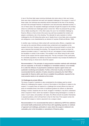In two of the three fatal cases involving individuals shot when alone in their own homes, there was close containment and early and repeated challenges of the suspect. In each of these cases, the individual was extremely alcohol intoxicated at the time of the shooting and each had prolonged histories of depression (one had previously attempted suicide). In one of these cases, the repeated challenges eventually brought the suspect to the window, where he confronted and challenged police to shoot him. When he produced the gun they did so, fatally wounding him. In five other cases, the use of an immediate challenge by firearms officers on their arrival at the scene may well have escalated the incident and played a contributory role in the shooting. The rationale for early resolution is further challenged by the US finding that police use of deadly force is more likely when encounters are ambiguous or are characterised by an element of surprise (Fridell and Binder, 1988).

In another case, involving an initial contact with unarmed police officers, a negotiator was not used as the unarmed officers provided close containment and negotiation at the suspect's front door. However, when an armed officer announced himself on arrival, there was a response that prompted the shooting. The request that the suspect put down his weapons provoked a reply of "I need them to kill you" and appears to have contributed to the escalation in activity in this incident. This resulted in one officer being hit with a knife thrown by the suspect and the suspect being shot. The key conclusion is that, particularly for vulnerable populations, the attempt at proactive resolution may increase the likelihood of the officers having no choice but to shoot the suspect.

*Recommendation 5: The principle of using proactive resolution methods with individuals who are suspected, on the basis of intelligence or immediate evidence, to be mentally ill or under the influence of psychoactive substances requires urgent review and systematic monitoring and evaluation. Further, at the level of policy not incident, it is recommended that the selection of tactics should be reviewed by the Chief Officer responsible for firearms within each force to establish the justification required for the most proactive tactics to be selected as first choice.*

#### **1.6 Challenges by armed officers**

The issue of speed of resolution is also complicated by the strategy used by armed officers for challenging the suspect, in terms of the location of the officers in relation to the suspect. If a suspect does not respond to a challenge from armed officers but does not pose an immediate threat, then there is insufficient guidance for officers on alternative strategy or tactics. Suspects who are drunk, drugged or mentally ill, may fail to understand what is required of them, which has resulted in weapons being discharged in a number of cases. In such cases, and possibly in all cases, the officers should not position themselves in exposed positions, which will lead them to fear for their lives if the suspect comes into view with their weapon or what is assumed to be a weapon raised.

*Recommendation 6: It is recommended that advice is obtained by ACPO from addiction and mental health professionals and from those with negotiating expertise on methods of approach and challenge, particularly in cases where the suspect is believed to be vulnerable, prior to the formulation or amendment of firearms policy.*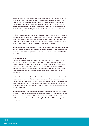A similar problem may arise when suspects are challenged from behind, which occurred in four of the cases in the review. In two of these cases the individual appeared to be turning round to aim a weapon at the officers while running away and in the other two they appeared to be turning towards the officers to confront them. It may be a normal reaction to turn towards the source of a challenge and, if this is likely to lead officers to fear for their lives and so discharge their weapons, then the process which can lead to this must be reviewed.

Insufficient attention appears to be given to the nature of the challenge (when it occurs, the distance between the officer and the suspect, the tone of voice or volume used), yet these factors may be significant in shaping the likelihood of compliance. It is reasonable to infer that cross-cultural concerns may impact on the likelihood of compliance, while the mental state of the suspect is also likely to be an important mediating variable.

*Recommendation 7: ACPO must review the current practice of challenges including their rationale and consider alternative methods, styles and locations of challenging that may reduce the likelihood of weapon discharges, based on research commissioned by the Home Office.*

### **1.7 Tactical advisors**

The Firearms Tactical Advisor provides advice to the commander of an incident on the deployment of armed police – the ACPO Manual of Guidance states that "they do not make any decisions or take independent action". However, in five of the 24 incidents the officer who had the role of Tactical Advisor also had a supervisory responsibility for armed officers. As the Tactical Advisor was often some distance from the scene, it was not possible for one officer to fulfil both of these roles, as each role required them to be in a different location.

In addition there were two incidents where the Tactical Advisor who was also the supervisor decided to attend in neither of these roles but as an armed officer because they were nearest. However, this prevented the officer from fulfilling either the role of Tactical Advisor or supervisor. Where a Tactical Advisor attends an incident as an armed officer, another appropriately qualified officer should be dispatched to take over either the armed officer or Tactical Advisor role.

*Recommendation 8: It is recommended that Chief Officers should ensure that Tactical Advisors do not have other roles that would conflict with this crucial tactical role during the course of firearms incidents. Where the incident necessitates that the Tactical Advisor takes on another role, they must be replaced as Tactical Advisor as quickly as possible.*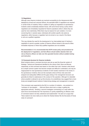#### **1.8 Negotiators**

Although many firearms incidents are resolved successfully by the interpersonal skills displayed by armed and unarmed officers, the specialist skills of negotiators are required in certain kinds of incidents. Policy in relation to calling out negotiators to spontaneous incidents varied considerably between forces, with some forces having a policy where negotiators are immediately requested for firearms operations while in others they are used far more restrictively. While there may be reasons for such variation, it is more concerning that, in several cases, individuals with another specific role acted as negotiators, either because a negotiator had not arrived or as a result of the failure to call out a qualified negotiator.

This may indicate the need for the development of an intermediate level of training in negotiation to permit a greater number of firearms officers trained in this area for either immediate response or where fully qualified negotiators are not available.

*Recommendation 9: It is recommended that ACPO review policy and procedures for the deployment of negotiators, and that officers should neither abandon their own role as firearms officers nor take over this specialist function without suitable training and instruction.*

### **1.9 Command structure for firearms incidents**

Most incidents where a command structure was set up used the three-tier system of Strategic, Tactical and Operational identified by the colours Gold, Silver and Bronze respectively, so that command was based on role rather than rank. However, what should be a simple common system has become complex and difficult to understand, and may be inappropriate for most spontaneous incidents of brief duration examined in the review. In the spontaneous incidents, there are few examples where all three roles were both assigned and adequately fulfilled and the gaps arising in the management structure can generally be linked to weaknesses in the conduct of the operation. Although it is desirable where possible to attempt to set up this structure, its unwieldiness may suggest that a more timely and straight-forward method of determining strategy and management is required.

This conclusion was supported by the SIO in a number of incidents – one pointed to a "confusion of role between …. Gold and Silver which led to a delay in getting the appropriate authority". Similarly, a second investigator commenting on a case within the same force recommended that "the importance of quickly establishing an effective chain of command needs to be fully understood and implemented". He went on to argue that "there needs to be more clarity as to where the Tactical Advisor fits into the [name of force] chain of command".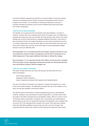Command confidence appeared as important as command ability in ensuring successful outcome as it empowered senior officers to exercise the appropriate control over the progress of the incident. The combination of training and experience is the key to providing competent commanders and the review identified areas that would benefit from further consideration.

#### **1.9(i) The role of Gold Commander**

The benefits of an experienced Gold Commander were demonstrated in a number of incidents. However, there were examples where Gold Commanders were not notified that a spontaneous incident was occurring until after the shots had been fired, while in one case a strategy was not set by Gold because he requested additional information, which had not been received by the time the incident had played out and a police shooting had occurred. In a further incident that occurred during the night, the Gold Commander was woken up at home as the incident was occurring, but he was unable to provide appropriate strategy because he was not sufficiently alert.

*Recommendation 10: It is essential that Gold Commanders should be informed as soon as possible that a firearms incident is taking place and that Gold Commanders set an initial strategy even if they require additional information to finalise this strategy.*

*Recommendation 11: It is imperative that the Chief Officer ensures that each nominated Gold Commander receives appropriate training and that they can demonstrate that they have had sufficient training to fulfil this strategic role.*

#### **1.9(ii) The role of Silver Commander**

The review revealed that there were three main groups who performed the role of Silver Commanders:

Control Room Inspectors Geographic Uniform Inspectors Cadre of selected and trained Chief Inspectors and Superintendents

The rank of the Silver Commander in the majority of incidents was Inspector, as a result of the short incident durations. The difficulties associated with this ad hoc adoption of the Silver role was also identified in the Burrows Report.

The speed at which the structure for incident management was set up varied between incidents, resulting in some spontaneous incidents having little or no formal control, while the quality of the Silver Command was not acceptable in others, often as a result of a lack of training for Silver Commanders of Inspector rank. This problem was compounded by officers acting up who had not received the training for the substantive rank, a situation that occurred in six of the shootings (25%) included in the review. There were also incidents where the initial officers fulfilling command roles were left in post even though it was recognised that the incident was complex and their training and experience was minimal.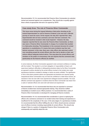*Recommendation 12: It is recommended that Firearms Silver Commanders be selected, trained and assessed against core competencies. They should also re-qualify against these criteria at appropriate intervals to be agreed by ACPO.*

### **Case study three: The role of Firearms Silver Commander**

**This issue arose during the inquest following a fatal police shooting as the trained Superintendent on call for firearms incidents in the area had a 100-mile journey to reach the scene. At the inquest, the duty ACC reported that "(the) Superintendent did not have command, and never did have command. The command would be invested in (the local) Inspector". However, the duty Inspector reported that he was never the Firearms Silver Commander, so there was never a Firearms Silver Commander in charge of an incident that resulted in a fatal police shooting. This breakdown in the command structure for armed operations is unsatisfactory if it means that some incidents may then lack tactical command. In this case, there was a duty officer who exercised control over everything except the armed officers who then had to decide on their own actions without adequate tactical advice. This may place the armed officers and members of the public at unnecessary risk and requires that the command roles (particularly for the firearms officers) be clarified.**

In some instances, the Silver Commander appeared to lack command confidence in dealing with the incident. This resulted in a *de facto* delegation of responsibility to firearm unit supervisors leading to difficulties in distinguishing decisions taken by the Silver Commander, as opposed to actions decided by the armed officers involved in the incident who made spontaneous decisions unrelated to strategy or tactics as events unfolded. The significance of this is that where proactive options are appropriate and decisions are required quickly, inexperienced Silver Commanders may not have the confidence to make those choices, yet remained in that role even after more experienced colleagues became available. The most effective command was apparent in incidents where the Silver Commander was drawn from a cadre of selected officers who were both well trained and experienced.

*Recommendation 13: It is recommended that those who are expected to command a firearms incident have received appropriate training. They should be notified immediately an incident occurs. Where practical, it is recommended that a cadre of Firearms Silver Commanders is developed for managing all firearms incidents.*

*Recommendation 14: It is recommended that consideration is given to replacing the officers who commence command of an incident where their training and experience is insufficient for the complexity of the case. In the early stages of a spontaneous incident, it is recommended that the officer fulfilling the role of Silver should exercise command over all officers involved, including responsibility for armed officers. This should only change if there is a system of designated Firearms Silver Commanders who subsequently and explicitly adopt this role.*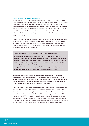#### **1.9 (iii) The role of the Bronze Commander**

An effective Firearms Bronze Command was identified in nine of 24 incidents, including four pre-planned operations. The remaining five spontaneous incidents were primarily those that became a siege or a prolonged confrontation affording the time to establish a command structure. In other words, Bronze Command was least visible and least effective in spontaneous incidents of short duration. In nine incidents it was not possible to identify an individual who fulfilled the role of Firearms Bronze, which were all spontaneous incidents and, with one exception, they were concluded less than 20 minutes after armed officers were called.

In three incidents, more than one individual acted as Firearms Bronze on what appeared to be an *ad hoc* basis. In the opinion of the PCA advisor, at least one of these self-selected Bronze Commanders contributed to the incident outcome by suggesting a proactive tactic based on little evidence. SIOs or the PCA advisor considered that Firearms Bronze was ineffective in eight of the 24 incidents (33%).

## **Case study four: The adequacy of Bronze supervision**

**In one incident an armed constable reported that: "throughout the whole incident, I didn't receive any direct supervision. This is not unusual, and is not a problem as in my experience we are left very much to decide what to do between ourselves, with us requesting advice and information or direction as and when required". It is interesting to note that this comment was not meant as a criticism of supervisors. Also, in the opinion of the PCA advisor, the most successful Bronze Commanders in the review cases were trained supervisors.**

*Recommendation 15: It is recommended that Chief Officers ensure that trained supervisors or nominated officers carry out the role of Bronze Command. Firearms Bronze Commanders should have no other role in the incident – in other words, it is not appropriate for them to take on additionally the role of firearms officer, negotiator or Tactical Advisor while also acting as the Bronze Commander.*

The lack of Bronze Command of armed officers was a common theme across a number of incidents. While this was not set up because of time restraints in four incidents, in three others there were failures relating to the location of the Bronze Commander, the role they adopted in the incident and the lack of supervision, all resulting in an absence of viable Bronze Command. Where a group of constables were dealing with an incident, Bronze Command decisions were often taken by different officers at different times. The result of this was that no one could be identified as Bronze; there was no consistent progress of one tactic and even if something went wrong, no one could be considered responsible.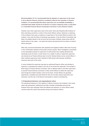*Recommendation 16: It is recommended that the dispatch of supervisors to the scene to act as Bronze Firearms should be considered critical for the resolution of firearms incidents. It is recommended that where supervisors are not available immediately, a nominated team leader should act as Bronze on at least a temporary basis, so that there is a nominated Firearms Bronze Commander at all times in every firearms incident.*

However, even when supervisors were at the scene, there was frequently little evidence of them exercising command or control of the armed officers' actions, behaviour or planning. In five incidents, there was no evidence of supervision of the armed officers involved in the incident, in two more the Silver Commander was passive, in two the Silver Commander was either not suitably trained or did not know the force policy. Similarly, issues arose with the tactical advice in two cases – one where the advice was ignored and one where no tactical advice was given.

Often they concerned themselves with peripheral and logistical matters rather than focusing on the confrontation between armed police and the suspect. Many investigators commented on the expectations placed on supervisors to fulfil several roles creating demands that individuals could not meet. In some forces it is a matter of policy to expect the supervisor who should act as Firearms Bronze also to be the Tactical Advisor and an armed officer. In other incidents supervisors had to attempt to fulfil several roles because insufficient resources were sent to the scene.

In some incidents the supervisor was also an authorised firearms officer and decided to respond to a spontaneous incident in the role of the armed first responder. This resulted in there being no Firearms Bronze Command, with no attempt made to call other supervisors to provide Firearms Bronze Command or other armed officers to relieve the supervisor even though the incident duration could not be known. Armed officers are generally experienced, competent and well trained for this role, but they require supervision and instruction, and the role of the Bronze Commander is critical in providing this.

#### **1.10 Operational behaviour and organisational culture**

The operational behaviour of the majority of officers involved in the incidents in the review cases was appropriate, professional and often included considerable personal risk. However there were examples where the attitude and behaviour of some officers raised concerns about the culture that prevails among some firearms officers.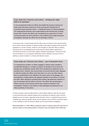# **Case study five: Firearms unit culture – drinking the night before an operation**

**In one pre-planned incident an officer was briefed the previous evening and made aware that there would be an early morning start. Despite this he consumed several alcoholic drinks – a significant breach of national guidance. The inappropriate behaviour was compounded by the fact that prior to being issued with a firearm the officer was not asked by any supervisor if he had consumed alcohol nor did he declare it. The incident came to light during the investigation although the officer did not discharge a firearm.**

In the above case, it was fortunate that this officer was not involved in the actual shooting but his action may be indicative of deeper problems with safety compliance that should be regarded as a crucial 'ancillary' matter for unit managers to deal with either by altering procedures (such as breathalysing all armed firearms officers before operations) or increasing the severity of action taken against identified transgressors. The second case may be indicative of a more generic attitudinal problem relating to the use of force in seeking to resolve incidents in a timely and effective manner.

## **Case study six: Firearms unit culture – use of excessive force**

**In a spontaneous incident, an officer engaged in actions which resulted in considerable damage to a suspect's property. According to his account, the damage was accidentally caused rather than resulting from deliberate use of excessive force. However, this account does not accord with the tactic deployed or with the location the officer must have been in to carry out other actions that are substantiated as his. Whatever the actual cause of the damage, any wrongdoing is compounded by the apparent intention of the officer to conceal the event. Other witnesses including police officers described the incident in a way inconsistent with the officer's account. The officer did not discharge a firearm and was not one whose actions were closely scrutinised in the investigation. However, such actions or their attempted concealment do not reflect positively on the police.**

To these incidents could be added others in which officers failed to make the IOs aware of documents that were material evidence and a reluctance by officers to give a full and detailed account of events, especially during interview. There is a significant issue around credibility that, while the specific issues may be relatively minor, will have a potential impact on the credibility of both the firearms officers and the post-incident investigation.

*Recommendation 17: Chief Officers should be aware of cultural issues that may have an adverse impact on the professionalism of firearms units and address them effectively.*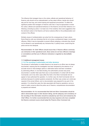The influence that managers have on the culture, attitude and operational behaviour of firearms units should not be underestimated, as they select officers, decide who should stay and for how long, and control training and equipment procurement. To reflect the significant position that managers of firearms units hold, it may be appropriate to review the culture, attitude and operational behaviour of the firearms unit and their influence on it following a shooting by police. In at least one of the incidents, there were suggestions that the dominant culture in the firearms unit had an adverse effect on the professionalism and conduct of the officers.

Similarly, issues of professionalism can arise from the consequences of team culture. Some firearms units use nicknames that do not convey a professional image or are grossly offensive. While it may be impossible to prevent officers adopting a nickname they should not be allowed to use operationally any nickname that, if publicly known, would bring the police service into disrepute.

*Recommendation 18: Chief Officers should ensure that, if firearms officers commonly use nicknames in their operational work, these names do not have offensive meanings or connotations and that use of offensive nicknames is regarded as discreditable conduct.*

#### **1.11 Additional management issues**

#### **1.11 (i) The recording of authorisation and other decisions**

The process of authorisation to enable firearms to be issued to an officer was not always documented, meaning that the investigation has been hampered by the absence of an accurate record of what strategic options or alternative tactics had been considered by authorising officers. In one fatal shooting, the authorisation process was poorly documented; in another fatal case there was no documentation of contact with the Silver Commander, and in two other cases either the Gold or the Silver Commander did not appear to have authorised the operation. In a further case, the Gold Commander did not authorise (because he wanted questions answered), the Silver was unclear as to what was required of the armed officers, and no documentation was prepared for any part of the operation. It is critical that, given the risks associated with firearms operations, and as a result of public concerns about the police use of firearms, comprehensive documentation is prepared and retained.

*Recommendation 19: It is recommended that Gold and Silver Commanders should be able to demonstrate rigour in their decision taking, and the adequacy and consistency of the recording of this information should be evaluated by each force and reviewed by the Chief Officer. It is further recommended that only duty inspectors who have completed the firearms command course should adopt the Firearms Silver Command role.*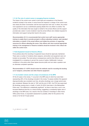#### **1.11 (ii) The role of control rooms in managing firearms incidents**

The impact of the control room varied in both style and competence in the firearms incidents included in the review. In some forces the Inspector in charge of the control room was clearly the Silver Commander until the local supervisor took over. In others, the control room appeared to act as a switchboard passing details from one officer to another. The quality of the information that was sought on behalf of the armed officers and the support provided also varied. In some incidents it was the armed officers who initiated requests for information and support during their travel to the scene.

*Recommendation 20: It is recommended that control room staff receive appropriate training to enable them to provide prompts to officers attending incidents, seek standard information on behalf of the armed officers and initiate the provision of supporting resources for officers attending the scene. Only officers who have received appropriate training in the management of firearms incidents should be involved in this critical role within the control room.*

#### **1.11(iii) Equipment issued to firearms officers**

Force policies about the recording of equipment issue should be rigorously maintained. There were a number of incidents where weapons, ammunition and equipment were not booked out accurately. The most serious consequences could be that officers could be investigated for a conspiracy to pervert the course of justice. Additionally it reduces confidence in the police when these lapses become public and can raise a question over an otherwise competent operation.

*Recommendation 21: ACPO should review the methods used for recording the booking out of weapons, ammunition and other firearms equipment.*

#### **1.11 (iv) Incident volume and the unique circumstances of the MPS**

Of the 24 cases in the review, 11 occurred in the MPS area of which four were fatal – representing 46% of the shootings included in the review. To assess whether this apparent disproportionality was consistent over time, all police shootings over a longer period were also considered. Between the start of 1991 and the end of 2001, the PCA has supervised 66 shootings causing injury or death, of which 34 (52%) have been in the Metropolitan Police area. This difference is statistically significant<sup>11</sup> as there is less than a one in one thousand likelihood that this is a chance finding, suggesting a consistently higher rate of shootings in the MPS area. As a result of the low numbers of shootings in other Home Office police forces, no equivalent assessment is possible, either for the period of the review or for the full 10-year period.

11  $\sqrt{2}$  = 22.2, df = 1, p < 0.001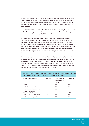However, this statistical evidence is not the only justification for focusing on the MPS as case analyses carried out by the PCA firearms adviser prompted further issues relating to the practices employed in resolving these cases. To make sense of what appears to be a disproportionate rate of shootings in the MPS, two possible explanations need to be considered:

- 1. Unique social and cultural factors that make shootings more likely to occur in London;
- 2. Differences in police methods that mean shots are more likely to be discharged in firearms incidents in which the MPS are involved.

In addition to being the largest police force in England and Wales, London is also differentiated by its status as a capital city with unusual policing demands generated by the tourist, commuting and itinerant population, and by the sheer size of its population. In their submission to the review, the MPS have suggested that the disproportionality is a result of the unique context in which they operate, particularly the elevated rates of violent crime reported in the MPS area. There is supporting evidence from the British Crime Survey (2002) to suggest that violent crime rates are higher in London than elsewhere in the country.

In an attempt to enumerate some of these factors, using data gathered from the British Crime Survey, Her Majesty's Inspectors of Constabulary and from the Office of National Statistics, the authors have compiled a table in which rates of police shootings in the period of review are assessed against baseline information to try to make sense of the basic disproportionality indicated by the percentage of shootings in the MPS in both the four and 10 year periods outlined at the start of this section.

| Table 9: Rates of shootings as a function of relevant demographic factors |
|---------------------------------------------------------------------------|
| comparing the MPS and other forces in England and Wales                   |

| Number of shootings per          | $MPS(n=11)$ | Other forces in          | Odds ratio |
|----------------------------------|-------------|--------------------------|------------|
|                                  |             | <b>England and Wales</b> |            |
|                                  |             | $(n=13)$                 |            |
| 1,000 firearms incidents         | 1.1         | 0.4                      | 2.9:1      |
| 1,000 officers employed by force | 0.4         | 0.1                      | 4.0:1      |
| 1,000 firearms officers employed | 5.6         | 3.0                      | 1.9:1      |
| 1.000.000 members of the         |             |                          |            |
| general population               | 1.5         | 0.3                      | 5.0:1      |
| 1,000 violent crimes 2001-2002   | 0.07        | 0.03                     | 2.3:1      |
| 1,000 diagnosed psychotic cases  | 0.38        | 0.06                     | 6.3:1      |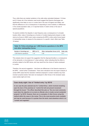Thus, while there are marked variations in the odds ratios calculated (between 1.9 times and 6.3 times) all of the indicators used would suggest that firearms discharges are significantly more likely to occur in London that in the rest of England and Wales, and that this difference is not a consequence of responding to more incidents, to differences in the overall population rates, or in reported levels of violent crimes or the size of special populations.

To examine whether the disparity in case frequency was a consequence of a broader location effect, rates of shootings as a function of incident deployments (based on data returns by forces to HMIC) were made comparing the MPS to other police forces based in metropolitan areas, to assess for the presence of a specific 'urban' effect (see Table 10 below):

# **Table 10: Police shootings per 1,000 firearms operations in the MPS and other metropolitan forces**

|                           |      | Number of shootings per  MPS (n=11) Other metropolitan forces (n=5) Odds ratio |       |
|---------------------------|------|--------------------------------------------------------------------------------|-------|
| 1,000 firearms operations | 1.10 | 0.38                                                                           | 2.9:1 |

This analysis does not support the suggestion that the disproportionality is a consequence of the demands or circumstances of 'urban policing', rather indicating that the effect is primarily related to the MPS alone, and may result from the choice of tactics employed in London.

Therefore, the second suggestion – that there are differences in the firearms response in the MPS – merits further consideration. There were indications from the expert analysis of certain MPS cases that the resolution methods employed in certain incidents may have involved 'proactive tactics' that were not employed in other forces in the reviewed cases (case studies eight and nine).

## **Case study eight: Use of 'limited entry' by SO19**

**In one case the plan selected was for 'Limited Entry', which involved smashing open the door of the premises to "control the hall and prevent movement through the house". The officer described this plan as "the one most commonly used when the objective is to arrest an offender who is inside normal residential property" by SO19. However, there are no examples of other forces using this method within the cases in the review. This is the most proactive tactic available and may be used because it is quicker than the tactic used elsewhere which is to "contain and negotiate".**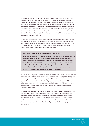The evidence of proactive methods from cases studies is supplemented by one of the investigating officers' comments, in his report on a case in the MPS area. The SIO concluded that *"the tactic involved of a proactive strike has a degree of danger for the officers and conflicts with the basic premise of not advancing on an armed person. In the circumstances presented I believe that challenging the suspects from a position of cover would have been preferable".* The inference here is that proactive methods may lead to an increased likelihood of the discharge of a police weapon and may also permit less time for the consideration of alternative tactics or the deployment of additional resources, including police dogs or police negotiators.

Among the 11 MPS cases, there is evidence that 'proactive' methods have been used in five (45.5%) of the cases (two involving 'limited entry' to premises, one the use of hard stop tactics and two involving immediate challenges), while there is only clear indication of similar methods in one of the 13 cases that takes place outside the MPS area (7.7%). One of these cases is summarised in case study 9 below:

## **Case study nine: Use of 'limited entry' by SO19**

**The option put forward by the Tactical Advisor (also the Firearms Bronze and the supervisor for SO19) in one of the MPS cases to arrest suspects was not to contain the premises and negotiate but to use limited entry. This is an example where the most proactive option was selected partly as a result of the need for a quick resolution to release officers for other potential commitments. This may have implications for the safe resolution of the incident and may have increased the risk of a shooting taking place as happened in this case.**

In our view, the analysis above indicates that there are five cases where proactive methods have been employed, which are likely to have contributed to the disproportionally high rate of shootings in the MPS area, both in the period of the review and across a longer time period. These cases provide a unique learning opportunity not only for the MPS, but for other forces and for the police management organisations (ACPO, HMIC and the Home Office). We are anxious to see that the learning opportunities from these cases are addressed satisfactorily.

There are weaknesses in the data that we have used in this analysis that result from poor use of evaluation and research into police shootings – an issue we propose should be addressed in Recommendation 1. Furthermore, the above conclusions necessitate a specific focus for the MPS area, as does the paucity of information on cases in which shots were not fired (including outcomes); cases where shots were fired at the police but not returned; and evidence on the relationship between the tactics employed and the outcome.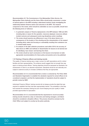*Recommendation 22: The Commissioner of the Metropolitan Police Service, the Metropolitan Police Authority and the Home Office should jointly commission a review of tactical options in the MPS including a data-based research study investigating the relationship between firearms tactics and outcomes in the MPS. The research component of the review, which should be undertaken as soon as possible, should have the following terms of reference:*

- *1. A systematic analysis of firearms deployments in the MPS between 1998 and 2001, including data on reason for the operation, resources deployed, resources utilised, incident outcome and subsequent events (eg disciplinary action resulting).*
- *2. The review should examine any differences in any of the above factors as a consequence of the location of the shooting and the characteristics of the suspect (including ethnic status but focusing on vulnerability resulting from substance use or mental health issues).*
- *3. An analysis of the data collection procedures used within SO19, the accuracy of data returns to HMIC and methods of dissemination for lessons to be learned and for identifying 'near misses' and learning from them.*
- *4. The review should a) reach conclusions on the lessons to be learned, b) make appropriate recommendations for future policy and practice and c) be published.*

#### **1.12 Training of firearms officers and training records**

The quality of firearms training was a major concern for staff associations and for victims' families and their representatives. The evidence would suggest that not enough time was spent on training armed officers. Training objectives should be expressed as standards, the achievement of which is an absolute requirement. Standards should be set nationally and subject to external scrutiny to increase confidence that they are appropriate.

*Recommendation 23: It is recommended that a review is conducted by The Police Skills and Standards Organisation to establish the standards required for armed officers to be considered competent, and that the implementation of standards should be subject to periodic review by HMIC.*

Authorised Firearms Officers' training records did not always provide the detail that was required to establish that they had been appropriately trained. The probability is that they had received the necessary training but poor record keeping and poor quality of detail provided opportunities for speculation.

*Recommendation 24: It is recommended that the requirement to record accurately training records should be a duty on instructors and training managers, and failure should be considered a discipline offence. This process should be overseen by the Chief Officer and subject to scrutiny by the police authority.*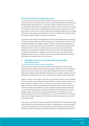#### **Overview of firearms management issues**

It is not unusual that Authorised Firearms Officers have their authority to carry firearms temporarily removed for reasons such as failure to reach standards set in training, following incidents and for personal reasons. The decision process to remove authority was well documented and appropriate action appeared to be taken. However, records of the change of circumstances which made it appropriate for the officer to be re-authorised were much less common. These decisions are often difficult with conflicting pressures on the managers making them. They could become significant if it was to be alleged that an officer involved in a shooting incident should not have been re-authorised.

The authors would readily acknowledge that the tactics and management used in firearms incidents have been largely successful in creating such a low rate of serious injury or fatal shootings of members of the public. However, the issues outlined above suggest that, in spite of such a high success rate, there are a number of issues that need to be resolved and the resolution of which may further reduce the unnecessary use of deadly force, particularly in instances where proactive methods are used with vulnerable populations. Furthermore, the increases in consistency of method and policy recommended would significantly enhance public confidence in what is already a generally effective method of minimising the unnecessary use of police firearms.

## **2. Availability and use of less lethal options and existing alternative tactics**

#### **2.1 The use of police dogs in firearms operations**

Police dogs are a key resource that can be used across a range of incidents and are frequently cited as tactical options for firearms incidents, although their use is restricted by what they have been trained to do. Passive attack dogs (also known as 'non-compliant' dogs) can be trained to attack individuals nominated by their handlers irrespective of what the individual is doing at the time, which is not the case for 'general purpose' police dogs.

However, in many of the incidents, there was no dog available and there was no incident in the review in which 'passive attack dogs' were deployed. In only three of the incidents was there an attempt to engage the dog – in one case, the dog did not engage a passive subject, in another the dog could not distinguish between the officer and the suspect and in the third, the dog was distracted by a noise and stopped before reaching the suspect. In a further eight incidents, police dogs were available at the scene but were not actively engaged, while in the remaining incidents dogs were either not requested or had not reached the scene by the time of the shooting. As a result of the HRA, the use of passive attack dogs has been reviewed by the Police Dog Working Group whose conclusions will be circulated shortly.

In the cases covered in the review, the availability and effectiveness of standard police dogs varied markedly. Even when deployed, they were not always able to be used in attempts at resolution of the incident. In one, the dog handler could not release the dog because the suspect was quiet and stationary, while armed officers were challenging him loudly and so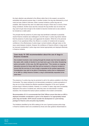the dog's attention was attracted to the officers rather than to the suspect, as would be anticipated with general purpose dogs. In another incident, the dog was distracted by a loud noise and was unable to intervene, while in several incidents a police dog was not available, often because they were not called early enough or there was no record of them being considered. Another issue was that, because the dog handler was not armed, the dog could not get close enough to the incident to become involved and so was unable to be included as a viable option.

The principle that the presence of police dogs was beneficial to attempts to peacefully resolve firearms incidents was challenged in one SIO report. A police dog trainer claimed that the presence of police dogs could aggravate the situation. While this is the personal opinion of one operational officer, the officers in a number of incidents did not express confidence in the effectiveness of police dogs in armed incidents, although views on this issue varied between incidents. However, the confidence of firearms officers in dogs would be improved considerably if police dogs were trained appropriately and deployed effectively in firearms incidents.

## **Case study 10: SIO recommendation about the use of dogs in firearms incidents**

**One incident involved a man running through the streets near his home naked to the waist, with a bottle of alcohol in one hand and a gun in the other, threatening police and public. In this case, the SIO reported that: "This remains an ongoing education process for those staff that will be involved in a firearms incident to ensure that the services of one [a dog] is requested at the earliest opportunity. Consideration may wish to be given to developing a policy that on deployment of an ARV to a likely firearms incident, a dog is automatically requested at the same time."**

The presence of a police dog may be perceived to add to the options available to the Silver Commander. The cases reviewed do not demonstrate consistency in police perceptions of dog use nor do they indicate the effective operational integration of the use of general purpose dogs in firearms incidents. However, in a number of cases, dogs were successfully deployed to the scene of incidents and, while they were not instrumental in incident resolution, this increased the tactical options available to the incident commanders.

*Recommendation 25: It is recommended that Chief Officers ensure that when an ARV is deployed immediate consideration is given to the dispatch of an appropriately trained police dog and handler. ACPO should consider the development of a joint training package for firearms units and police dog handlers.*

The limitations identified by the SIOs relating to the use of general purpose police dogs in firearms incidents need to be considered by forces and clear guidance disseminated to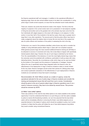the firearms operational staff and managers. In addition to the operational difficulties of deploying dogs, there are also animal welfare issues to be taken into consideration in using police dogs to tackle armed suspects, an issue that has attracted recent media attention.

There are, however, two points that should be made in this respect. The first is that the majority of suspects in the current review were not in possession of real weapons capable of firing live ammunition and so the greatest risk to the animals may have come from the four individuals with edged weapons or the seven with shotguns or air weapons. In other words, in more than half of the incidents in the last four years, there was no greater risk to dogs than in any other operations. The second point is that the police officer may have to make a judgement about the relative risks to human life (not only that of the suspect but also for police officers and members of the public) in assessing the risk to the dog.

Furthermore, as a result of the problems identified, police forces may wish to consider the viability of using dedicated passive attack dogs in cases with non-compliant suspects. While general purpose dogs who have received additional firearms training are still likely to be attracted to sources of movement and noise, this is less likely to happen with specifically trained passive attack dogs. However, the use of such dogs is restricted by two factors. First, the unpredictability of the behaviour of even the most highly trained dogs means that the outcomes cannot be predicted with confidence, particularly in built-up areas with many distracting factors. Secondly, the circumstances under which dogs can be used are limited by the location of the suspect and the presence of bystanders or hostages. However, without the use of specifically trained dogs integrated within the firearms units, the effectiveness of the deployment of dogs in firearms incidents is likely to remain limited. At the very least, firearms managers should review their policies for utilising police dogs and conduct systematic evaluations of the effectiveness of such deployments in firearms incidents (ie not restricted to those that result in shootings).

*Recommendation 26: Chief Officers should, as a matter of urgency, review the operational rationale for the use of police dogs in firearms incidents and consider the training and development issues that will result from such a review. Consideration should be given to the use of passive attack dogs in firearms operations even if, as a result of resource concerns, they have to be shared by several forces. This process should be overseen by ACPO.*

#### **2.2 Other 'Less Lethal' options**

There was evidence of the need for less lethal options to be made available at the earliest opportunity. It must be understood that there is no such thing as a risk free option available to police to resolve life-threatening incidents, nor can it be assumed that the less lethal option will be immediately effective in removing the threat. Less lethal weapons are an essential element in the basket of options which should be available to police, but in some incidents it is likely that the police will initiate the use of less lethal weapons long before they would consider using conventional firearms.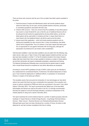There are three main concerns with the use of the so-called 'less lethal' options available to the police:

- 1. Technical issues of impact and effectiveness (which will include questions about where and when they can be used, and the possible adverse outcomes, particularly to vulnerable populations associated with their use).
- 2. Criterion shift concerns there are concerns that the availability of less lethal options may result in a lower threshold for use so that the use of traditional firearms will not be reduced but will merely be supplemented by the less lethal options, as the less lethal options will be used earlier in incidents and that, in cases where there is a clear threat to life, the traditional firearm will still be used as the first option.
- 3. Issues around their application which will include practical questions such as training and availability, but also concerns that, in many circumstances, less lethal options will be inappropriate. Thus, for instance, it has been argued that baton guns are not appropriate for use against individuals with live firing guns, although the appropriate circumstances for use remain under consideration.

Had they been available, it may have been possible to use one option from the following: dog, water cannon, baton gun or Taser in three of the edged weapon incidents and their use may also have been possible in a further 11 of the 24 incidents included in the review. However, safety trials have meant that it has not been possible to introduce a number of these options yet and their introduction will require considerable preparation, assessment and training. The National Schizophrenia Fellowship were concerned that the special needs of people with a mental illness should be considered as 'less lethal' alternatives are developed.

According to current ACPO guidelines (circular 31/2001), baton guns are not intended to be a replacement for conventional firearms. Furthermore, the tactical deployment of baton guns "must include the deployment of additional officers, in possession of conventional firearms, in support of the baton gun officers".

The inevitable caution that surrounds the introduction of new technologies as 'less lethal' options has meant that there has been considerable time expended in the evaluation and review of options conducted by PSDB and which are summarised in the report *"Less Lethal Options"* (Donnelly, 2001). The report recommends that "Before any of the less lethal technologies and devices are used by the police in the UK, it is strongly recommended that they are subject to a full and thorough evaluation, including an assessment of the medical aspects of using such a device" (Donnelly, 2001).

The report examines the current evidence base for a number of options grouped under the headings of 'Impact Devices or Kinetic Energy Rounds', 'Long Range Chemical Delivery Devices', 'Water Cannon', 'Electrical Devices' and 'Distraction/Disorientation Devices'. Although baton guns have now been introduced by a number of forces, the tests on safe distances for use had not been completed at the time of writing.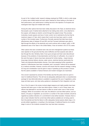As part of the 'multiple hurdle' research strategy employed by PSDB, in which a wide range of options were initially tested and each option retained for future testing on the basis of their performance, poor performance in testing has led to the rejection of all square and rectangular bean bags and multiple ball rounds.

Among the other options that have been widely discussed is the Taser, an electrical device that propels a pair of barbed darts attached to two trailing wires which, once attached to the suspect, will release an electric current through the subject's body. This provokes involuntary muscle spasms and loss of motor control, but is restricted by the fact that its maximum range is 21 feet, which means that it could only have been used in a small number of the included cases. Furthermore, Donnelly reported that trials have shown effectiveness rates of between 50 and 85% and that "focused individuals were able to fight through the effects of the electricity and could continue with an attack" (p28). In 356 operational uses of the Taser in the United States, it has not worked in 38 (10.7%) cases.

Other options that were considered were nets and wire entanglement systems but these were rejected on the grounds that they were ineffective and that suspects were able to tear through the nets. Similarly, trials of stun guns and glue and foam were discontinued because of the problems of decontamination and the fears of suffocation. As a result of this work five types of device have been advanced for further testing – impact devices, long-range chemical delivery devices, water cannon, electrical devices (particularly the Taser) and distraction/disorientation devices. Once tests assessing further operational aspects of effectiveness have been completed, each 'successful' method will be assessed by a medical committee. However, concerns will remain that this research strategy is taking too long and consideration must be given to ways of speeding up this process to ensure that the options available to Tactical Advisors and incident managers are maximised.

One concern expressed by several of the families was that the police were too quick to resort to traditional firearms. This will only be adequately addressed when a comprehensive package for less lethal alternatives is available to supplement the use of negotiators, police dogs and baton guns, and clear policy guidance is developed for their integration and use.

Four of the 24 cases in the review involved edged weapons and might possibly have been resolved with baton guns or other less lethal options. Indeed, in one of these cases, two officers had attempted to use their batons to effect an arrest under cover of their armed colleague. While not successful in this case, the attempt to use less lethal options, such as batons, CS spray or negotiation, as occurred in a number of the cases reviewed, should be regarded as positive indicators of a commitment to less lethal resolution. However, there is also a clear indication that the current less lethal options available are not being used to their full potential and that the failure to offer adequately trained passive attack dogs, or to provide skilled negotiators, is resulting in the discharge of traditional firearms at an earlier stage in some of the incidents reviewed than may have been necessary.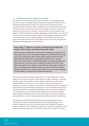## **3. Containment and the speed of resolution**

The intention of containment by police, armed or unarmed, is to hold suspects where they are or, if this is not possible, at least to observe and report their movements. This is particularly important when the suspect is in a public place and appears to pose an immediate threat to life. However, there is a difference in what can be achieved by armed and unarmed officers. While armed officers have the ability to restrict the movements of suspects by the use of force if necessary, unarmed officers are more restricted in their ability to control the movements of suspects. Nonetheless, unarmed officers can reduce the risk to the public, police officers and the suspect by their attempts at isolating the suspect. In the review cases, there were several examples of unarmed officers preventing the suspect from escaping which had the double effect of reducing the risk to the public and facilitating the safe deployment of firearms officers.

## **Case study 11: Effective unarmed containment preventing the escape of the suspect and improving public safety**

**Unarmed officers responding to an armed crime identified the suspect and one officer gave chase on foot. The offender stopped and confronted the officer with a gun and ran away again, with the officer again following and alerting other officers that the suspect was in a public place, although such a response places the unarmed officer in considerable danger. The suspect was kept under observation and on the move, with his attention focused on the police. Other officers were able to warn members of the public who took refuge in shops and offices. The offender was unable to escape and unarmed officers were able to attempt to persuade him to surrender. He would not do so and, when challenged by armed officers, he aimed his gun at them and was shot.**

Unarmed officers were the officers first attending in 12 of the incidents (half of review cases) and in six of these (quarter of review cases) were able to establish a containment. However, in seven other incidents the lack of effective containment may have had a detrimental effect on the outcome. The poor quality of unarmed containment was significant in a number of incidents. Armed officers in some instances were confronted with a confused and uncontrolled situation requiring them to react immediately because of the risk to public and police. Consideration should be given as to how unarmed containment can be improved to reduce the risk that armed officers will be required to make these critical decisions immediately on arrival. Central to this will be improving the capacity of unarmed officers to contain armed suspects and their ability to liaise with armed officers.

First responders often appeared ill-equipped to make appropriate decisions about containment and were not supported by supervisors in the vital early stages of the incidents. Indeed even when supervisors were present their decisions did not always appear to contribute much to containing the suspect. As a result of the importance of both unarmed and armed containment, and the failures evidenced in a number of the cases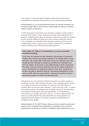under review, it is critical that incident managers (in particular Silver and Bronze Commanders) are adequately trained and resourced to contain situations effectively.

*Recommendation 27: It is recommended that protocols for unarmed containment are reviewed by Chief Officers, and this review should examine the training of unarmed officers in placing containments.*

A further issue arises for cases that can be described as possible 'provoked shootings'. In several of the incidents, incident management has been made problematic by the failures of containment when officers are faced with suspects who are both non-compliant and who are either indifferent to being shot or who are actively seeking this outcome. If such individuals do not actually point their weapons at people (and thus are not an immediate threat to life), but ignore police instructions, containments may rapidly be rendered ineffective as the individuals simply walk through them.

## **Case study 12: Failure of containment in a case of possible provoked shooting**

**In this case, the individual had been identified in the grounds of a psychiatric hospital where he had unsuccessfully attempted to be admitted. After an initial altercation with hospital staff, armed police arrived and contained a part of the hospital grounds. Although the suspect was identified and challenged to put down his weapon, he did not do so and walked through the police containment. The police containment became mobile but, because the suspect continued to move in the direction of a wooded area where he could not be contained, the decision was taken to attempt to stop him. This involved attempting to run him over in an ARV, which was not successful – when he got up after the collision, he aimed his weapon at an officer and was fatally shot.**

Although there were clear grounds for believing the suspect in the above example was attempting to provoke a police shooting, there was no clear contingency plan in this case, or in at least one other case, for this breach of containment. The ACPO Manual of Guidance offers only the most cursory instruction  $-$  and six short lines of text  $-$  on dealing with provoked suicides. In the example above, the failure to account for non-compliance associated with suicidal intention led to the implementation of an ill-advised and unsuccessful *ad hoc* strategy. Given that as many as 11 of the 24 cases included in the review may contain elements that would indicate they are 'victim-precipitated', it is imperative that ACPO develop a more effective strategy for the identification and management of this situation.

*Recommendation 28: The ACPO Firearms Manual should be amended to provide clear guidance for the containment and management of individuals who are armed and ignoring police instructions, as a function of indifference about whether they are shot.*

97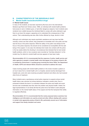## **B. CHARACTERISTICS OF THE INDIVIDUALS SHOT**

## **4. Mental health issues/alcohol/illicit drugs**

### **4.1 Mental health issues**

In many of the incidents, as has been reported by Burrows and in the international literature (eg Parent and Verdun-Jones, 1999), an individual with mental health problems had access to real or imitation guns, or had other dangerous weapons. Such incidents were rendered more volatile because the individual failed to comply with police attempts to get them to put down the weapon, appearing not to understand the consequences of their actions. Their understanding was also often further affected by drugs, alcohol or both.

Although such individuals may require psychiatric assistance and may have had little voluntary control over their actions, they presented an immediate risk to the public and that was the focus of the police response. While the safety of the public must always be the focus of the police response, this should not be considered as incompatible with the wellbeing of the suspect. In one case, the individual shot made nine contacts with the police in the two weeks before the shooting in circumstances that indicated that he had mental health problems, which on two occasions were recorded as "harmless delusions" on the incident log. No referral to mental health services appears to have been made.

*Recommendation 29: It is recommended that the response of police, health service and other agencies to people in mental health crisis that appear to be posing a threat to life is reviewed by Government. A working group involving the Home Office, the Department of Health, ACPO and relevant NGOs should be convened to address this issue.*

Cases involving people with mental health problems in the review included a patient on an hour's leave from a mental health unit in a hospital, several recently discharged from hospital care, some who were receiving out-patient treatment and others who had received other forms of treatment.

Many incidents were a spontaneous armed police response to suspects whose mental health history was unknown but whose behaviour indicated a mental crisis. Even in protracted incidents the level of co-ordination between the police and health and social services was considerably less than when the problem was physical health. Indeed, the legal representatives of one family felt that the police force had failed to seek adequate information on the mental health status of the suspect and that this hampered their ability to negotiate effectively.

*Recommendation 30: It is recommended that the review proposed above examines how intelligence and information are used by armed and other officers dealing with a person in mental crisis apparently posing a threat to life, particularly around use of information and support from family members and carers.*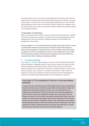It should be noted that one of the main recommendations of the Burrows report was that firearms officers' training should include mental health awareness and training in drug and alcohol issues. The report went on to recommend that professionals who work with these special populations have an input in the training of firearms officers and negotiators yet, to the extent that this has occurred, it has not been sufficient to address the ongoing problems with vulnerable individuals.

#### **4.2 Recognition of mental illness**

While it is recognised that a number of forces are aware of this issue and have committed both time and resources to its review, the evidence from the cases presented here would suggest that this has not yet elicited an adequate strategy for the identification and management of such issues.

*Recommendation 31: It is recommended that the training which firearms officers receive in mental health awareness issues should be reviewed to ensure that emphasis is placed on the recognition of irrational behaviour and its possible causes and that this recognition be used in the development of tactics for the management of the incident. This amendment to training content should be developed by each Chief Officer and overseen by the Police Training and Development Board.*

### **5. Provoked shootings**

In as many as 11 of the 24 cases included in the review, there are behavioural indicators that some element of deliberate self-harm may have been involved. For several, this was linked to significant mental health problems, while the factors that led to this suicidal objective may also have included some combination of domestic disputes, alcohol or illicit drug consumption, and an interest in or obsession with firearms. In other words, their behaviour may have been rendered irrational by life stress factors that exacerbated preexisting and underlying mental health problems such as depression or psychosis.

## **Case study 13: The combination of factors in victim-precipitated shootings**

**A young man who had previously been discharged from the army for disciplinary breaches, had been to a club with his partner where both had been drinking and argued about his girlfriend talking to another man. On returning home, the argument continued before he left the house with his air-rifle and engaged the police officers. In this case, although the suspect had a live weapon that was loaded, he did not fire at the officer, even after the police officer fired at him and missed. This may provoke speculation that he never intended to fire his weapon and that he was actually committing 'suicide by cop', particularly as the suspect himself phoned the police to alert them that there was an armed man in the area. However, the officers involved would not have known this at the time nor would they have been aware that he may have had suicidal intention.**

99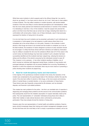While there were incidents in which suspects said to the officers things like "you want to shoot me, go ahead" or "you have come to shoot me, do it now", there was no clear pattern to these incidents. This may reflect variations in incident dynamics, with alcohol-related incidents of this kind more likely to involve distorted perceptions and 'dramatisations' rather than the more clearly planned and intentional suicidal decisions of several of the incidents. It is interesting to note that, in four of the incidents, it was the suspect who phoned the police to let them know that there was an armed man at large, indicating their desire for a confrontation with armed police. Indeed, one of these individuals, case D, had previously expressed his intention of being shot to his partner.

It is not at all clear how such incidents can be prevented, particularly if such individuals are in possession of what appear to be real weapons in public places where there is an immediate risk to the armed officers or to the public. However, in the incidents in which alcohol or illicit drugs are known to be involved and the location is contained, as in two of the fatal incidents, the avoidance of tactics designed to produce an early resolution should be encouraged. It is likely that those whose self-harm intentions are fuelled by intoxication may be unlikely to escalate the risk once the substance effects wear off. Of the cases in the current review, two fatal shootings may have been avoided if such a situation had been successfully identified and the incidents had been 'played long', allowing the tensions to defuse and the effects of the alcohol consumed by the individuals involved to wear off. This, however, is not a panacea – in two other incidents resulting in fatalities, one of which involved an individual with diagnosed mental illness, incidents of long duration and prolonged attempts at negotiation did not prevent fatalities from occurring. Nonetheless, in situations in which the suspects are intoxicated, there may be more chance of preventing a police shooting when incidents are played long.

## **6. Need for multi-disciplinary teams and interventions**

In the majority of the spontaneous incidents included in the review, the resolution of the incident was complicated by the psychological state of the individual, whether this was the result of the short-term effect of alcohol or illicit drugs, or the more severe and enduring effect of mental illness or suicidal intention, or by some combination of these factors. These factors were also frequently compounded by life stresses, such as domestic disputes, and financial or job-related problems.

This creates two main problems for the police – the first is an inevitable lack of expertise in diagnosing and managing these problems and the second is the communication problems that subsequently result from the mistaken assumption of suspect rationality made by the police. The over-representation of 'vulnerable' individuals among those shot is likely to reflect their inability to make rational decisions when confronted by armed police, particularly if they have already formed the intention of being shot.

However, given the over-representation of mental health and addiction problems, firearms teams should increasingly shape their training and incident management strategies around the fact that those who are most likely to fail to comply in spontaneous incidents, and so be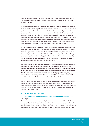shot, are psychologically compromised. To do so effectively, an increased focus on multidisciplinary team-working at each stage of the management process is likely to confer significant benefits.

While firearms officers are likely to benefit from improved basic 'diagnostic' skills to enable them to identify substance problems or mental illness, it would also be beneficial that other professionals are called to incidents where PNC checks or local intelligence identify such problems. In the same way that medical resources would automatically be requested for physical injuries, the predominance of mental health factors in the spontaneous police shootings would suggest that the most effective response to firearms incidents where such problems are identified will include local specialists in this area who should be contacted either in person or by telephone. The NHS Special Hospital or regional forensic services may have relevant expertise which could be made available at short notice.

In their submission to the review, the National Schizophrenia Fellowship advocated such a multi-agency approach to training firearms officers. They argued that there is a clear need for those experiencing severe mental illness to be treated differently from other members of the public by the police, particularly in this kind of life-threatening incident. Given the high proportion of police shootings in the period of the review that involve those experiencing mental illness, this leads to a conclusion that the development of specific protocols and working practices for this population are needed urgently.

*Recommendation 32: ACPO should ensure that protocols for inter-agency agreements with local addiction and mental health services are developed to ensure that joint working arrangements can be reached for the identification of at-risk populations, and for the joint training of firearms officers and health professionals. The review of mental health issues proposed above include attempts at identifying and promulgating 'good practice' around the management of mental health related firearms incidents, and this should form the basis for the development of national standards.*

It is also critical that as much information is gathered as possible about such factors from family members and partners who may not only be able to assist with diagnosis and provide the details of the relevant contacts in treatment services. They may also, within the bounds of safety, be best placed to assist in calming down the vulnerable individual and enabling a peaceful solution.

## **C. POST-INCIDENT ISSUES**

## **7. Family issues and the adequacy of disclosure of information 7.1 Delays**

One of the major concerns expressed by families and by the representatives of officers concerned the effects of delays at various points in the process of investigating the incident and deciding on its outcomes. One of the side effects of the duration of the investigation is that considerable time can elapse before information is passed to families and the officers

101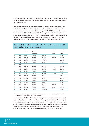affected. Because they do not feel that they are getting all of the information and that what they do get is so long in coming the family may feel that their involvement is marginal and their interests ignored.

The following table shows the time taken to reach key stages in the 20 cases reviewed where the investigation has been completed. The CPS can only make a decision on whether or not there are to be criminal proceedings after the PCA has issued its statutory statement under s. 73 of the Police Act 1996. It is likely to review its decision after an inquest has been held and in the light of the evidence heard. The PCA usually determines if there are to be disciplinary proceedings only after an inquest has been held. It must receive proposals from the relevant police force before being in a position to do so.

## **Table 11: Dates for the key events in the 20 cases in the review for which the investigation has been completed**

| Case | Date  | Date of IO | Date of PCA      | <b>CPS Decision</b> | Date of        | Date of PCA     |
|------|-------|------------|------------------|---------------------|----------------|-----------------|
|      |       | Report     | <b>Statutory</b> |                     | Inquest        | <b>Decision</b> |
|      |       |            | <b>Statement</b> |                     | <b>Verdict</b> | Letter          |
| A    | 1998  | 02/12/98   | 04/01/99         | 31/03/99            |                | 31/08/01        |
| B    | 1998  | 13/05/98   | 21/05/98         | 09/11/98            | 27/11/98       | 17/12/98        |
| С    | 1998  | 07/06/99   | 29/06/99         | 18/04/00            |                | 08/06/00        |
| D    | 1998  | 16/09/98   | 23/09/98         | Not referred        |                | 30/10/98        |
| E    | 1998  | 24/09/99   | 24/11/99         | 17/1/00             | -              | 03/03/00        |
| F    | 1998* |            |                  |                     | -              |                 |
| G    | 1999  | 28/05/99   | 29/06/99         | 29/09/99            |                | 06/12/99        |
| H    | 1999  | 06/08/99   | 23/08/99         | 29/12/99            | 09/08/00       | 22/08/01        |
| J    | 1999  | 13/12/99   | 20/12/99         | 07/04/00            | 04/05/00       | 20/11/00        |
| K    | 1999  | 25/02/00   | 27/04/00         | 09/06/00            | -              | 31/07/00        |
|      | 1999  | 26/05/00   | 06/06/00         | 04/12/00            | 21/07/02       | Not yet         |
| M    | 1999  | 22/09/00   | 08/12/00         | 19/01/01            |                | 06/04/01        |
| N    | 1999  | 28/02/00   | 19/04/00         | 08/06/00            |                | 15/08/00        |
| O    | 2000  | 24/04/01   | 22/05/01         | 11/12/01            |                | 05/07/02        |
| P    | 2000  | 20/04/01   | 29/06/01         | Not referred        | -              | 26/07/01        |
| Q    | 2000  | 06/02/01   | 25/04/01         | 31/05/01            | -              | 29/06/01        |
| R    | 2000  | 18/05/01   | 22/06/01         | 25/10/01            | 02/05/02       | Not yet         |
| S    | 2000  | 27/11/00   | 20/12/00         | 19/01/01            |                | 30/04/01        |
| T    | 2000  | 01/03/01   | 30/05/01         | 19/06/01            | 18/04/02       | 17/09/02        |
| U    | 2000  | 18/05/01   | 07/11/01         | Not referred        |                | 23/04/02        |

\*There are two separate investigations in this case: although the investigation into the shooting was completed in 2001, the outcomes of the complaint have not been finalised.

The information in the table shows that for investigations into fatal incidents, the shortest completed investigation was three months and the longest was just under 12 months, with the average time taken approximately seven months. For non-fatal incidents, the shortest time taken was two months and the longest was, a wholly atypical, 29 months. With these, the average time taken was around 10 months. The time it took the CPS to make its decision on criminal proceedings shows similar variation, though here, on average,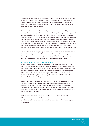decisions were taken faster in the non-fatal cases (an average of less than three months). Where the CPS is involved at an early stage in the investigation, it will be provided with copy evidence as this becomes available and may advise the investigation team, as necessary, on aspects of the inquiry. In these cases it will receive the final report at the same time as this is sent to the PCA.

For the investigating team, and those making decisions on the evidence, delay will be an unavoidable consequence of the depth of the investigation, reflecting necessary rigour and thoroughness. Such considerations may well explain why some investigations took much longer than others. The review, however, confirms that the timescale on some investigations has been extremely prolonged and it is no surprise if this has had a significant adverse effect on many of the individuals and organisations concerned. The officers involved need to know promptly if there are to be any criminal or disciplinary proceedings brought against them, while families wish to learn as soon as possible and as fully as possible what happened and if anyone was to blame, so that they are able to draw a line under the event.

There is also an operational policing dimension to the duration of investigations as officers involved in shootings are removed from operational firearms duties, stretching resources. However, respecting these competing interests has contributed to delays in some cases and there is no simple solution available that would reduce delays across cases.

#### **7.1 (i) The role of the Crown Prosecution Service**

Where a family or next of kin is often bewildered and confused by roles and processes, there is a clear need for the role of the CPS to be explained to them. Investigations into fatal incidents should have early CPS involvement and the prosecution lawyer responsible may need to meet the family personally to explain their role directly and how long it will take. In any event, both the PCA supervising member and the SIO should satisfy themselves that the family have been clearly informed of the CPS role and the likely timescale for its decision-making.

Concern was also expressed about the time taken by the CPS to make a decision and about possible bias in CPS decision-making, although while families may have felt this favoured the police, this view was not shared by police representatives. Increased coordination and communication between the CPS and the principals involved in the case may help to ease anxieties and confusion, and this process should be jointly facilitated by the SIO and the PCA member.

Early involvement of the CPS in the investigation has the potential to reduce the time it takes to consider and finalise its decision on the case and ensure that its requirements are identified early and communicated to the investigation team before the investigation is completed.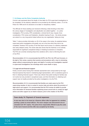#### **7.1 (ii) Delays and the Police Complaints Authority**

Concern was expressed about the length of time taken for PCA supervised investigations to be completed, for the statutory statement to be provided by the Authority under s. 73 of the Police Act 1996 and for its decisions to be taken on disciplinary matters.

The difficulty for those awaiting such decisions following a fatal shooting is that when the various stages of investigation and adjudication are added together – viz. police investigation, PCA scrutiny, CPS consideration, criminal trial (if any), inquest, force consideration, PCA review and finalisation, discipline hearing (if any) – the whole process can extend to a very long period indeed without any one organisation 'taking too long'.

Table 11 above provides information on 20 of the cases in the review. As explained above, supervised police investigations did greatly vary as to the time which they took to be completed. However, PCA scrutiny of the final report and its issue of a statutory statement was rarely delayed unduly. The review data also shows that the Authority is not routinely responsible for significant unexplained delays in finalising its decisions on discipline. The PCA are currently reviewing these time variations with a view to informing the work of the IPCC.

*Recommendation 33: It is recommended that ACPO, the PCA, the CPS and Coroners, in the light of this review, examine their practice and procedures with a view to minimising delays without compromising the rigour and depth of scrutiny and investigation required in supervised investigations into shootings which cause death or injury.*

#### **7.2 Legal aid and financial support**

Family concerns about having their interests represented were compounded by the huge financial expense they faced in maintaining legal representation, with no assistance given to them in obtaining financial support. There was criticism that public funding for families was not routine but only provided in exceptional cases, and that information on obtaining such support was not readily provided by the police investigators or by the PCA.

*Recommendation 34: It is recommended that families are made aware by the PCA supervising member of who to contact to receive help and advice about the provision of legal advice and support. It is recommended that the PCA revises its leaflet to provide more information for bereaved families explaining issues around who to contact for legal advice and other support as an interim measure, prior to the creation of the IPCC.*

## **Case study 14: Payment of funeral expenses**

**A man was shot in his home by a firearms officer after he appeared at a window pointing a pistol at armed officers. The man's weapon was discovered to be an unloaded Colt 1911 replica. The police force responsible offered to pay the costs of the man's funeral and this offer was accepted by his family.**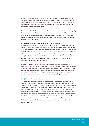Whether it is appropriate for the police to meet the funeral costs in incidents where the death was a result of police action is beyond the remit of this review. However it may be beneficial if forces consider the issue in advance to avoid confusion if such a request is made. Great distress has been caused to families and considerable damage done to their relationship with police over this issue.

*Recommendation 35: It is recommended that forces should consider in advance a policy in relation to requests for them to meet funeral costs. ACPO and the APA should seek to promote jointly national guidelines to ensure that there is consistency on this issue across forces, so that whether funeral expenses are paid does not depend simply on where the victim was shot.*

## **7.3 The responsibilities of the principal officers post-incident**

While the period after the shooting is highly traumatic for the victim, if still alive, and the families of those shot, it is also a very difficult period for the principal officers who are also likely to be distressed by the shooting. The experience of trauma is likely to be exacerbated by the fear that they may lose their livelihoods, concerns about criminal charges and by the intense scrutiny and investigation, all for what they would see as simply attempting to do their job to the best of their ability. As Parent and Verdun-Jones (2000) have pointed out, the post-incident period can result in psychological stress and life problems for firearms officers that can be prolonged and intense.

Against this, there is the responsibility on the officers to ensure that the investigation is supported and the facts of the incident established. Any attempt to preserve the anonymity of the officers means that this dilemma – for both the individual officer and for the SIO who attempts to reconcile the needs of the investigation with the welfare requirements of the principals – is rarely known to either family members or the general public. This has become a concern in relation to several aspects of post-incident management:

#### **7.3 (i) Making of notes by officers**

The expectation that firearms officers will be asked to make notes immediately after a shooting raises legal and welfare considerations together with potential opportunities or difficulties for the investigation. Several SIOs argued that early notes of officers' actions are critical to an investigation and that they should be made independently, and that this should happen immediately after an incident. The serving police officer is expected to account for his or her actions in this way. The reasons given for not producing notes immediately after an incident were usually based on medical or legal advice. Although it may be anticipated that the shooting officer(s) would be affected by an incident, there was concern, that in some areas of the country, there appeared to be a practice of all officers describing feelings of shock to an FME and so being declared unfit to provide notes immediately after the incident.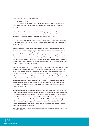The guidance in the ACPO Manual states:

### *2.12 The making of notes*

*2.12.1 The removal of the officers from the scene at an early stage will provide those involved with a period of re-orientation and allow for the preparation of a summary of events.*

*2.12.2 Initial notes (e.g. pocket notebook, Incident Log pages for each officer, or a pro forma) should be made as soon as practicable, subject to any individual legal advice received to the contrary. The entry should be timed, dated and signed.*

*2.12.3 Any suggestion that any officer is unfit to make notes at the time should be verified by the officer being examined by a professionally qualified person who can independently certify to this fact.*

While this provokes a concern that different rules are applied to police officers than to other witnesses and especially family members who are often interviewed immediately despite being highly distressed, there may be sound medical reasons in individual cases. If, however, many or most of the officers involved in police shootings experience such stress or trauma, then one must question the adequacy of the training and selection processes involved in their preparation for the role. Armed officers must in general retain a capacity to describe reliably stressful events for them to be able to fulfil the role expected of them, and to meet the public's expectations of them.

From the perspective of the SIO, the importance of the officer's statement cannot be known in advance. Its provision may be critical to the early development of the investigation and the securing of other evidence. Furthermore, any officers' notes or statements that are considered significant to a criminal case would almost certainly be challenged by the defence at court as unreliable if they were made after a considerable delay. The legal and medical needs of the officers should remain a serious consideration, but these must be reconciled with officers' legal and professional obligations. As the guidance is currently worded, where an officer obtains legal advice not to complete notes immediately, then it appears that this may justify not doing so. This conflicts with the officer's duty to assist in the search for the truth.

*Recommendation 36: It is recommended that ACPO, after consultation with police staff associations, revise the Firearms Manual guidance on the making of notes by principal officer(s)12 to limit the circumstances where notes are not required to be made only to where there is either clear evidence of medical unfitness to make notes or, for sound investigative reasons, the officer is not asked to do so. Officers other than principal officers should always be expected to complete notes if fit for continued duty. The manual should emphasise that there is a presumption that police officers are expected to assist in the search for the truth.*

12 Defined as "those officers who have fired or whose actions have altered the course of events at the scene of the shooting incident".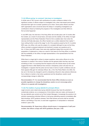#### **7.3 (ii) Officers giving 'no comment' interviews to investigators**

A similar area of SIO concern with ramifications for public confidence relates to the significant number of officers subject to investigation who, when interviewed post-incident, exercised their right not to answer questions put to them. Some police officers and their staff organisations were concerned about the delays in completing investigations yet contributed to these by hindering the progress of the investigators and their efforts to find out what happened.

In one MPS case, the interview of the firing officer did not take place until 10 months after the incident, as a result of annual leave, sick leave and the inability of the officer, his legal representative and the Police Federation Friend to find a suitable date. Even when the interview did finally take place, the officer handed over a written statement then replied "I have nothing further to add at this stage" to all of the questions posed by the IO. In another MPS case, one officer, who was the subject of a complaint although he was not the firing officer, provided a prepared statement and declined to answer any questions put to him. In three more MPS cases, there were also significant delays that occurred in the preparation of statements or notes as a result of sick leave for the firing officer or problems with the availability of the officer, his legal representative or the representative from the Police Federation.

While there is a legal right to refuse to answer questions, when police officers do so the impression is created in the minds of families and the general public that they may have something to hide. It is surprising that this happens since the results shown by this review suggest that there is little likelihood that criminal or disciplinary action will arise from an investigation. It appears that the police service loses in terms of public confidence and yet there appears little gain for individual officers. By s. 36 of the Police Reform Act 2002, the law can in the future be changed to permit a disciplinary tribunal to draw adverse inferences from a failure to mention a fact when questioned and the disciplinary caution would correspondingly change to reflect this.

*Recommendation 37: It is recommended that the Home Office introduce as soon as possible regulations to change the disciplinary caution so as to encourage police officers to co-operate with investigations.*

#### **7.3 (iii) The tradition of group debriefs for principal officers**

Legal concerns were raised about group debriefs because they have the potential to contaminate evidence, as a consequence of time before notes are made, and because of the way debriefs were carried out by Post Incident Managers. Increasingly the practice is for solicitors representing individual officers to hold group debriefing sessions immediately after fatal shootings. ACPO guidance stresses "that initial witness accounts shall be recorded before a de-briefing of any kind, to avoid later suggestions of manipulated or rehearsed evidence" (para 2.60).

*Recommendation 38: Supervisory officers should ensure, in management of staff postincident, that officers comply with ACPO guidelines (See para. 2.60).*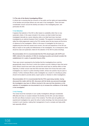#### **7.4 The role of the Senior Investigating Officer**

A critical role in ensuring that the concerns of the public and the rights and responsibilities of the families and principal officers are met rests in the investigation. There has been considerable concern around the identity and status of the investigating team, and particularly the SIO.

#### **7.4 (i) Selection**

It appears that selection of the SIO is often based on availability rather than on any systematic criteria. In the cases included in the review, one fatal incident has been investigated internally by a senior detective while a non-fatal hand injury has been investigated by an external Assistant Chief Constable. This apparent inconsistency will often reflect the initial judgements made by the PCA member about the key issues and the terms of reference for the investigation. While it is the issue of investigation by the home or a neighbouring force that has caused most concern, the rank and experience of the SIO are likely to impact on the quality and effectiveness of the investigation. As a consequence, there should be clear and systematic criteria for the selection of the SIO for police shootings.

*Recommendation 39: It is recommended that the PCA should agree with ACPO and HMIC criteria for the selection of SIOs for shootings by police and should consider the establishment of a cadre of specialist firearms SIOs.*

There was concern expressed by the families that the investigating force could be geographically close to the force in which the incident occurred, leading to fears that senior police officers would know each other and that this would have an adverse effect on their objectivity. A similar concern was that SIOs had been drawn from forces that were under investigation as a result of a police shooting incident, whose own practice may be open to criticism. Further, individual officers under investigation as a result of a shooting by police should not be asked to provide advice, expert opinion or direction to other investigations.

*Recommendation 40: It is recommended that the PCA supervising member, having discussed this matter with the SIO, discusses with the family any personal knowledge the investigators may have of officers involved in the case and how decisions on the selection of investigators are documented to try to increase the confidence of the family in the investigation.*

#### **7.4 (ii) Training**

The review found few examples of poor quality investigations although considerable difficulties did arise on occasion between the families and the SIO, and also between the SIO and officers involved in some of the incidents. The SIOs were all qualified and experienced investigators but, given the rarity of police shootings, few had previously been involved in such inquiries, making their management of such a complex and high-profile task especially difficult.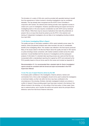The formation of a cadre of SIOs who could be provided with specialist training to benefit from the experiences of others involved in shooting investigations may be considered desirable. This has already been recognised and the ACPO Crime Committee in conjunction with Centrex, the national police training provider, have organised courses to create such a pool of investigators. However, specialist training and support services for investigating teams in this area requires consideration by both ACPO and by individual Chief Officers. While there may be resource implications that make this problematic at present, this is an issue that should be picked up by the IPCC in the selection and training of independent investigators who are likely to be investigating shooting incidents from April 2004.

#### **7.4 (iii) Senior Investigating Officer's Report**

The quality and type of information available to SIOs varied markedly across cases. For instance, where pre-planned incidents were video-recorded, this was of considerable benefit to the investigating officer. This variation was reflected in the final reports produced. Many of the issues raised in the Burrows Report about the quality and style of SIO reports on police shootings remain unresolved, with marked variations evident across the cases examined. It would facilitate both the structure of investigations and the subsequent analysis of information if a standard data reporting process was used and that this was incorporated within a standardised reporting form agreed by ACPO and endorsed by the PCA (possibly based on the pro forma used for this review and included as Appendix 2).

*Recommendation 41: It is recommended that a standard style for Senior Investigators' reports should be consistent with the format and style recommended in the PCA Supervision Manual.*

#### **7.4 (iv) The use of expert firearms advice by the SIO**

To increase public confidence in the investigation, firearms advisors, trainers and commanders from a force under investigation should not be used to advise the investigators on technical matters, as their role within the force may have contributed to the circumstances of the shooting. Similarly, internally investigated incidents can produce a conflict of interest if those providing expert input have been involved in the training of the officers involved in the shooting, or in the writing of the force policy. In three cases, there was no external advice, and in another the advice and opinion about the principal officer's behaviour came from that force's firearms instructors.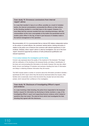### **Case study 15: Erroneous conclusions from internal 'expert' advice**

**In a case that resulted in injury to an officer, possibly as a result of mistaken tactics, the internal commentators commended the officers on their actions, as the shooting resulted in a non-fatal injury to the suspect. However, it is more likely that the outcome resulted from poor shooting technique, with this commendation all the more unacceptable as the bullet over-penetrated and hit another police officer in the leg, at least in part because of mistakes made in the tactical management of the operation.**

*Recommendation 42: It is recommended that an internal SIO obtains independent advice on the actions of armed officers, the command, tactical advice, training and policy in relation to the police use of firearms from someone with relevant experience of such incidents. Similarly, where 'expert' advice is cited by investigators, the use of the term 'expert' should be supported by evidence of both professional qualification and relevant experience.*

#### **7.4 (v) Liaison between the investigators and the family**

Concern was expressed about the quality of the treatment of the bereaved. This began with the notification of the shooting to the bereaved family, and delay in identification of the body, and communicating this information to the family. However, this may also reflect family concern and feelings of frustration and exclusion resulting from lack of information and delays in obtaining whatever information they did receive.

The NGO Inquest raised a number of concerns about the information provided to families – specifically the SIO's report which they felt should be disclosed before the inquest, while families were occasionally unsure what documents they actually had and what others existed, which reduced their confidence in the investigation.

## **Case study 16: Disclosure of Investigating Officer's report and evidence**

**In a case involving a fatal shooting, the police force responded to the bereaved family's request for information by disclosing to family members a copy of the Investigating Officer's report and supporting forensic evidence which related to questions they had raised. The external force which had investigated the fatal shooting fully agreed with this disclosure.**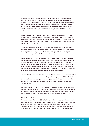*Recommendation 43: It is recommended that the family or their representative are advised what will be disclosed to them and when, and that a general approach of openness should be adopted as long as it is consistent with issues of witness safety, legal requirements and public interest. The Police Reform Act 2002 makes provision for the disclosure by investigators of information to complainants and next of kin and detailed regulations will supplement the new duties placed on the IPCC and the police service.*

One specific disclosure issue that caused concern to families was around the reluctance of shooting investigators to release the names of the principal officers. The Manual of Guidance provides practical advice for SIOs around the concerns for officers' safety and the policy guidance leans in favour of anonymity. SIOs should pass this information, and the reasons for it, to families.

The more general issue of family liaison and its adequacy also provoked a number of concerns. The role of the FLO is made difficult as a result of their dual role in supporting the family while also being a police officer in the investigation team. FLOs require appropriate briefing and need to develop an exit strategy.

*Recommendation 44: The PCA should review its role in supervising family liaison in shooting incidents prior to the creation of the IPCC. It should consider the appointment of external family liaison to supplement or replace the police FLO in exceptional circumstances, as envisaged in the Family Liaison Strategy produced in 2000 by the ACPO Homicide Working Group on behalf of the Crime Committee. Clear protocols would be required establishing the relationship between the FLO and the SIO to ensure that the FLO was kept informed about progress in the investigation.*

The aim of such an initiative should be to ensure that the family's needs are acknowledged and addressed as quickly as possible. In the post-incident phase, the PCA is also likely to have a critical role in liaising between the key agencies involved and in ensuring that the family are kept informed of developments where this is deemed to be both safe and appropriate.

*Recommendation 45: The PCA should review its co-ordinating and central liaison role with family members through each stage of the investigation process up to and beyond the coroner's inquest, and should also review its role in liaising between the different agencies involved in the post-incident period, prior to the creation of the IPCC.*

#### **7.5 Discipline of officers**

There was criticism from one NGO at the lack of criminal or disciplinary charges brought against police officers following shooting incidents. In the 11 fatal cases, criminal charges were brought against officers in one, although the prosecutions did not result in a conviction. In these 11 cases, seven have gone to inquest, with four cases not heard at Coroner's court. Six resulted in verdicts of lawful killing and one jury returned an open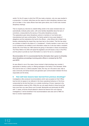verdict. For the 22 cases in which the CPS has made a decision, only one case resulted in a prosecution. In contrast, while there are five cases for which disciplinary decisions have yet to be taken, in four cases officers have been given advice, two of which also involved disciplinary hearings.

That no inquest jury returned an unlawful killing verdict in the cases reviewed does not automatically vindicate police action, with some families dissatisfied about the lack of convictions, compounded by the secrecy of the police disciplinary process. The explanations given about disciplinary actions to members of one family were misunderstood and were uninformative. The family wanted to know exact details of allegations and the implications this had for the officers – what officers did or failed to do, thereby understanding the impact they may have had on the incident. That this has arisen as a problem is linked to the status of a "complainant". A family member or even next of kin is not considered to be entitled to such information unless he or she has made a complaint. Section 80 of the Police Act 1996 restricts the giving of information in these circumstances. The Police Reform Act 2002 will repeal this legislation and will impose a duty on the IPCC and the police to provide as much information to a next of kin as to a complainant.

## *Recommendation 46: It is recommended that the information that is given to all families about disciplinary proceedings involving police officers is reviewed by the PCA and ACPO.*

As was offered in one of the cases, forces involved in fatal shootings may consider it appropriate to develop a policy on offering apologies to the family of the deceased. While this must be done on a 'without prejudice' basis, this may, as in the above case, help to ease community and family tensions and generate open communication between the force responsible and the family.

#### **8. How well have lessons been learned from previous shootings?**

Investigations often produced recommendations which were accepted at Chief Officer level but did not appear to be reflected in the future operational behaviour of the force, compounded by the fact that there is no outside monitoring of forces' response to the recommendations made by SIOs. While this can only apply directly to those forces that have more than one case (Devon and Cornwall, Merseyside and particularly the MPS with 11 cases), all forces should attempt to absorb the lessons from such rigorous investigations. It will be beneficial if the recommendations were also sent to HMIC for them to monitor implementation.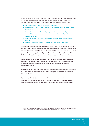A number of the issues raised in the report reflect recommendations made by investigators in their final reports which would not appear to have been acted upon. These group primarily around training, tactics and command, with the concerns raised including:

- Role confusion between Gold and Silver Commanders:
- Uncertainty about the role of the Tactical Advisor and where this fits into the chain of command;
- Review of policy on the role of Acting Inspectors in firearms incidents;
- Review of the role of the control room in managing incidents and providing adequate resources;
- The use of 'proactive strikes' and the decision-making process for non-compliant stops; and
- The role of unarmed officers in establishing and maintaining containments.

These comments are drawn from four cases involving forces with more than one incident in the period of the review. Further recommendations from forces with only one incident in the review that have not been addressed by other forces relate to the development of a general policy on the use of dogs, the development of call-out systems for negotiators and the need for firearms officers to have better understanding of addiction and mental health issues.

*Recommendation 47: Recommendations made following an investigation should be passed to the Police Skills and Standards Organisation, to the APA for dissemination to relevant police authorities and to the "Learning the Lessons from Adverse Incidents Committee." <sup>13</sup>*

Additionally the PCA should maintain details of the recommendations made by investigators to be included in the information passed to the investigator of any further incidents that force is involved in.

*Recommendation 48: It is recommended that recommendations made after an investigation should be passed to the investigator of any future incident by the PCA for their information, and to be included in the terms of reference where applicable.*

13 The Standing Committee to Learn Lessons from Adverse Incidents was established to review serious adverse incidents which occur within police forces in England and Wales; to identify good practice; to disseminate findings and recommendations and facilitate changes in the sharing of information within the police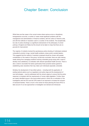# Chapter Seven: Conclusion

While there are few cases in the current review where serious errors or disciplinary transgressions occurred, a number of cases reveal significant problems with the management and administration of firearms incidents, with the culture of firearms units, and with the methods of resolution used in a number of the incidents. The exceptionally low rate of police shootings is a significant endorsement of the philosophy of armed policing in England and Wales but this should not be taken to imply that there are no grounds for improvement.

The majority of incidents involved the spontaneous police shooting of individuals rendered vulnerable by alcohol, drugs, mental health problems, stress and/or suicidal ideation. This suggests that the method of resolution employed should be chosen with greater consideration of the needs of this group. As Burrows concluded, there are clear training needs arising from managing incidents involving vulnerable groups along with a need to develop more satisfactory co-ordination with relevant specialized health services. There is also a need to reconsider the tactics (particularly those proactive tactics geared to establishing early resolution) that may make such individuals especially vulnerable.

Similarly, the development of less lethal options – including both the application of existing tactical options such as negotiators and police dogs and the development of new technologies – must be addressed with the utmost urgency to ensure that the police response is consistent with the requirements of human rights legislation. Further, there are clearly identified issues in the post-incident period in which the co-ordination of the investigators with the PCA and the CPS needs to be improved to increase the inclusion of bereaved families. There is much in the review for those planning the future IPCC to take account of as new approaches to investigation are devised and introduced.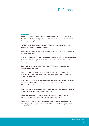# **References**

#### **References**

Aadland, R. L. (1981) *The Prediction of Use Of Deadly Force by Police Officers in Simulated Field Situations.* Unpublished Dissertation, California School of Professional Psychology, Los Angeles.

*ACPO Manual of Guidance on Police Use of Firearms*, Association of Chief Police Officers, part published at www.acpo.police.uk

Alpert, G. P. & Fridell, L. A. (1992) *Police Vehicles and Firearms Incidents of Deadly Force*. Waveland Press, Illinois.

Burrows, C. (1996) *A review of the Discharge of Firearms by Police in England and Wales 1991-1993*. Joint Standing Committee on the Police Use of Firearms in consultation with the PCA, unpublished.

Donnelly, T. (2001) *Less Lethal Technologies Initial Prioritisation and Evaluation*, PSDB Publication No 12/01.

Fridell, L. & Binder, A. (1988) *Police Officer Decision-making in Potentially Violent Confrontations.* Paper presented at the annual meeting of the American Society of Criminology, Reno, Nevada.

Fyfe, J. J. (1978) *Shots fired: An analysis of New York City Police Firearms Discharges.* Doctoral dissertation. State University of New York at Albany. Ann Arbor, MI: University Microfilms.

Fyfe, J. J. (1980) Geographic Correlates of Police Shooting: A Microanalysis. *Journal of Research in Crime & Delinquency,* Vol. 17, 101-113.

Geller, W. A. & Karales, K. J. (1981) *Split-second decisions: Shootings of and by Chicago Police.* Chicago: Chicago Law Enforcement Study Group.

Goldkamp, J. S. (1976) Minorities as Victims of Police Shootings: Interpretations of Racial Disproportionality and Police Use of Deadly Force. *The Justice System Journal,* Vol. 2, 68-183.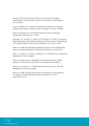Horvath, F. (1987) The Police Use of Deadly Force: A Description of Selected Characteristics of Intrastate Incidents. *Journal of Police Science and Administration,* Vol. 15, 226-238.

Jacobs, D. & O'Brien, R. M. (1998) The Determinants of Deadly Force: A Structural Analysis of Police Violence. *American Journal of Sociology,* Vol. 103 No. 4, 837-862.

Kania R. R. & Mackey, W. C. (1977) Police Violence as Function of Community Characteristics. *Criminology*, Vol. 15, 27-48.

MacDonald, J. M., Kaminski, R.J., Alpert, G. P. & Tennebaum, A. N. (2001). The Temporal Relationship Between Police Killings of Civilians and Criminal Homicide: A Refined Version of the Danger-Perception Theory. *Crime and Delinquency*, Vol. 47 No. 2, 155-172.

Meyer, M. W. (1980) Police Shootings at Minorities; The case of the Los Angeles Police. *Annals of the American Academy of Political and Social Science*, Vol. 452, 98-110.

Milton, C. H., Hollock, J. S., Lardner, J. & Albrecht, G. L. (1977) *Police Use of Deadly Force.* Washington, DC: Police Foundation.

Parent, R. & Verdun-Jones, S. (1999) Deadly Force: Police Firearms Use in British Columbia. *The Police Journal*, Vol. LXXII No. 3, July-September 1999, 209-224.

Sherman, L. W. & Cohen, G. C. (1986) *Citizens Killed by Big City Police*, 1970-1984. Washington DC: Crime Control Institute.

White, M. D. (1999) Controlling Police Decisions to Use Deadly Force: Re-examining the Importance of Administrative Policy. *Crime & Delinquency*, Vol. 47 No. 1, January 2001, 131-151.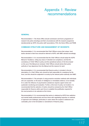# Appendix 1: Review recommendations

#### **GENERAL**

*Recommendation 1: The Home Office should commission and fund a programme of research into police shootings and their circumstances with the research programme decided jointly by ACPO, the police staff associations, PCA, the Home Office and PSDB.*

### **COMMAND STRUCTURE AND MANAGEMENT OF INCIDENTS**

*Recommendation 2: It is recommended that Chief Officers ensure that unique, local tactics devised in their force should be referred to ACPO, with HMIC advised accordingly.*

*Recommendation 3: It is recommended that the Chief Officers should adopt the ACPO Manual of Guidance, noting any areas of intended non-compliance, and that the consistency of Chief Officer's policy and the operational actions of the force based on the use of the Manual are reviewed. Chief Officers should advise their police authority of any departures from the Manual and the reasons for each.*

*Recommendation 4: It is recommended that firearms policy is included in the job description of a Chief Officer who should be held responsible for compliance by the force, and this should be subjected to scrutiny by the relevant police authority and HMIC.*

*Recommendation 5: The principle of using proactive resolution methods with individuals who are suspected, on the basis of intelligence or immediate evidence, to be mentally ill or under the influence of psychoactive substances requires urgent review and systematic monitoring and evaluation. Further, at the level of policy not incident, it is recommended that the selection of tactics should be reviewed by the Chief Officer responsible for firearms within each force to establish the justification required for the most proactive to be selected as first choice.*

*Recommendation 6: It is recommended that advice is obtained by ACPO from addiction and mental health professionals and from those with negotiating expertise on methods of approach and challenge, particularly in cases where the suspect is believed to be vulnerable, prior to the formulation or amendment of firearms policy.*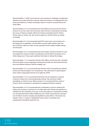*Recommendation 7: ACPO must review the current practice of challenges including their rationale and consider alternative methods, styles and locations of challenging that may reduce the likelihood of weapon discharges, based on research commissioned by the Home Office.*

*Recommendation 8: It is recommended that Chief Officers should ensure that Tactical Advisors do not have other roles that would conflict with this crucial tactical role during the course of firearms incidents. Where the incident necessitates that the Tactical Advisor takes on another role, they must be replaced as Tactical Advisor as quickly as possible.*

*Recommendation 9: It is recommended that ACPO review policy and procedures for the deployment of negotiators, and that officers should neither abandon their own role as firearms officers nor take over this specialist function without suitable training and instruction.*

*Recommendation 10: It is essential that Gold Commanders should be informed as soon as possible that a firearms incident is taking place and that Gold Commanders set an initial strategy even if they require additional information to finalise this strategy.*

*Recommendation 11: It is imperative that the Chief Officer ensures that each nominated Gold Commander receives appropriate training and that they can demonstrate that they have had sufficient training to fulfil this strategic role.*

*Recommendation 12: It is recommended that Firearms Silver Commanders be selected, trained and assessed against core competencies. They should also re-qualify against these criteria at appropriate intervals to be agreed by ACPO.*

*Recommendation 13: It is recommended that those who are expected to command a firearms incident have received appropriate training. They should be notified immediately an incident occurs. Where practical, it is recommended that a cadre of Firearms Silver Commanders is developed for managing all firearms incidents.*

*Recommendation 14: It is recommended that consideration is given to replacing the officers who commence command of an incident where their training and experience is insufficient for the complexity of the case. In the early stages of a spontaneous incident, it is recommended that the officer fulfilling the role of Silver should exercise command over all officers involved, including responsibility for armed officers. This should only change if there is a system of designated Firearms Silver Commanders who subsequently and explicitly adopt this role.*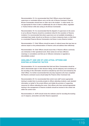*Recommendation 15: It is recommended that Chief Officers ensure that trained supervisors or nominated officers carry out the role of Bronze Command. Firearms Bronze Commanders should have no other role in the incident – in other words, it is not appropriate for them to take on additionally the role of firearms officer, negotiator or Tactical Advisor while also acting as the Bronze Commander.*

*Recommendation 16: It is recommended that the dispatch of supervisors to the scene to act as Bronze Firearms should be considered critical for the resolution of firearms incidents. It is recommended that where supervisors are not available immediately, a nominated team leader should act as Bronze on at least a temporary basis, so that there is a nominated Firearms Bronze Commander at all times in every firearms incident.*

*Recommendation 17: Chief Officers should be aware of cultural issues that may have an adverse impact on the professionalism of firearms units and address them effectively.*

*Recommendation 18: Chief Officers should ensure that, if firearms officers commonly use nicknames in their operational work, these names do not have offensive meanings or connotations and that use of offensive nicknames is regarded as discreditable conduct.*

### **AVAILABILITY AND USE OF LESS LETHAL OPTIONS AND EXISTING ALTERNATIVE TACTICS**

*Recommendation 19: It is recommended that Gold and Silver Commanders should be able to demonstrate rigour in their decision taking, and the adequacy and consistency of the recording of this information should be evaluated by each force and reviewed by the Chief Officer. It is further recommended that only duty inspectors who have completed the firearms command course should adopt the Firearms Silver Command role.*

*Recommendation 20: It is recommended that control room staff receive appropriate training to enable them to provide prompts to officers attending incidents, seek standard information on behalf of the armed officers and initiate the provision of supporting resources for officers attending the scene. Only officers who have received appropriate training in the management of firearms incidents should be involved in this critical role within the control room.*

*Recommendation 21: ACPO should review the methods used for recording the booking out of weapons, ammunition and other firearms equipment.*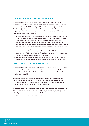#### **CONTAINMENT AND THE SPEED OF RESOLUTION**

*Recommendation 22: The Commissioner of the Metropolitan Police Service, the Metropolitan Police Authority and the Home Office should jointly commission a review of tactical options in the MPS including a data-based research study investigating the relationship between firearms tactics and outcomes in the MPS. The research component of the review, which should be undertaken as soon as possible, should have the following terms of reference:*

- *1. A systematic analysis of firearms deployments in the MPS between 1998 and 2001, including data on reason for the operation, resources deployed, resources utilised, incident outcome and subsequent events (eg disciplinary action resulting).*
- *2. The review should examine any differences in any of the above factors as a consequence of the location of the shooting and the characteristics of the suspect (including ethnic status but focusing on vulnerability resulting from substance use or mental health issues).*
- *3. An analysis of the data collection procedures used within SO19, the accuracy of data returns to HMIC and methods of dissemination for lessons to be learned and for identifying 'near misses' and learning from them.*
- *4. The review should a) reach conclusions on the lessons to be learned, b) make appropriate recommendations for future policy and practice and c) be published.*

### **CHARACTERISTICS OF THE INDIVIDUAL SHOT**

*Recommendation 23: It is recommended that a review is conducted by The Police Skills and Standards Organisation to establish the standards required for armed officers to be considered competent, and that the implementation of standards should be subject to periodic review by HMIC.*

*Recommendation 24: It is recommended that the requirement to record accurately training records should be a duty on instructors and training managers, and failure should be considered a discipline offence. This process should be overseen by the Chief Officer and subject to scrutiny by the police authority.*

*Recommendation 25: It is recommended that Chief Officers ensure that when an ARV is deployed immediate consideration is given to the dispatch of an appropriately trained police dog and handler. ACPO should consider the development of a joint training package for firearms units and police dog handlers.*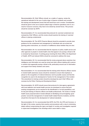*Recommendation 26: Chief Officers should, as a matter of urgency, review the operational rationale for the use of police dogs in firearms incidents and consider the training and development issues that will result from such a review. Consideration should be given to the use of passive attack dogs in firearms operations even if, as a result of resource concerns, they have to be shared by several forces. This process should be overseen by ACPO.*

*Recommendation 27: It is recommended that protocols for unarmed containment are reviewed by Chief Officers, and this review should examine the training of unarmed officers in placing containments.*

*Recommendation 28: The ACPO Firearms Manual should be amended to provide clear guidance for the containment and management of individuals who are armed and ignoring police instructions, as a function of indifference about whether they are shot.*

*Recommendation 29: It is recommended that the response of police, health service and other agencies to people in mental health crisis that appear to be posing a threat to life is reviewed by Government. A working group involving the Home Office, the Department of Health, ACPO and relevant NGOs should be convened to address this issue.*

*Recommendation 30: It is recommended that the review proposed above examines how intelligence and information are used by armed and other officers dealing with a person in mental crisis apparently posing a threat to life, particularly around use of information and support from family members and carers.*

*Recommendation 31: It is recommended that the training which firearms officers receive in mental health awareness issues should be reviewed to ensure that emphasis is placed on the recognition of irrational behaviour and its possible causes and that this recognition be used in the development of tactics for the management of the incident. This amendment to training content should be developed by each Chief Officer and overseen by the Police Training and Development Board.*

*Recommendation 32: ACPO should ensure that protocols for inter-agency agreements with local addiction and mental health services are developed to ensure that joint working arrangements can be reached for the identification of at-risk populations, and for the joint training of firearms officers and health professionals. The review of mental health issues proposed above include attempts at identifying and promulgating 'good practice' around the management of mental health related firearms incidents, and this should form the basis for the development of national standards.*

*Recommendation 33: It is recommended that ACPO, the PCA, the CPS and Coroners, in the light of this review, examine their practice and procedures with a view to minimising delays without compromising the rigour and depth of scrutiny and investigation required in supervised investigations into shootings which cause death or injury.*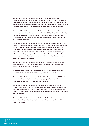*Recommendation 34: It is recommended that families are made aware by the PCA supervising member of who to contact to receive help and advice about the provision of legal advice and support. It is recommended that the PCA revises its leaflet to provide more information for bereaved families explaining issues around who to contact for legal advice and other support as an interim measure, prior to the creation of the IPCC.*

*Recommendation 35: It is recommended that forces should consider in advance a policy in relation to requests for them to meet funeral costs. ACPO and the APA should seek to promote jointly national guidelines to ensure that there is consistency on this issue across forces, so that whether funeral expenses are paid does not depend simply on where the victim was shot.*

*Recommendation 36: It is recommended that ACPO, after consultation with police staff associations, revise the Firearms Manual guidance on the making of notes by principal officer(s) to limit the circumstances where notes are not required to be made only to where there is either clear evidence of medical unfitness to make notes or, for sound investigative reasons, the officer is not asked to do so. Officers other than principal officers should always be expected to complete notes if fit for continued duty. The manual should emphasise that there is a presumption that police officers are expected to assist in the search for the truth.*

*Recommendation 37: It is recommended that the Home Office introduce as soon as possible regulations to change the disciplinary caution so as to encourage police officers to co-operate with investigations.*

*Recommendation 38: Supervisory officers should ensure, in management of staff post-incident, that officers comply with ACPO guidelines. (See para. 2.60)*

*Recommendation 39: It is recommended that the PCA should agree with ACPO and HMIC criteria for the selection of SIOs for shootings by police and should consider the establishment of a cadre of specialist firearms SIOs.*

*Recommendation 40: It is recommended that the PCA supervising member, having discussed this matter with the SIO, discusses with the family any personal knowledge the investigators may have of officers involved in the case and how decisions on the selection of investigators are documented to try to increase the confidence of the family in the investigation.*

*Recommendation 41: It is recommended that a standard style for Senior Investigators' reports should be consistent with the format and style recommended in the PCA Supervision Manual.*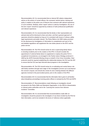*Recommendation 42: It is recommended that an internal SIO obtains independent advice on the actions of armed officers, the command, tactical advice, training and policy in relation to the police use of firearms from someone with relevant experience of such incidents. Similarly, where 'expert' advice is cited by investigators, the use of the term 'expert' should be supported by evidence of both professional qualification and relevant experience.*

*Recommendation 43: It is recommended that the family or their representative are advised what will be disclosed to them and when, and that a general approach of openness should be adopted as long as it is consistent with issues of witness safety, legal requirements and public interest. The Police Reform Act 2002 makes provision for the disclosure by investigators of information to complainants and next of kin and detailed regulations will supplement the new duties placed on the IPCC and the police service.*

*Recommendation 44: The PCA should review its role in supervising family liaison in shooting incidents prior to the creation of the IPCC. It should consider the appointment of external family liaison to supplement or replace the police FLO in exceptional circumstances, as envisaged in the Family Liaison Strategy produced in 2000 by the ACPO Homicide Working Group on behalf of the Crime Committee. Clear protocols would be required establishing the relationship between the FLO and the SIO to ensure that the FLO was kept informed about progress in the investigation.*

*Recommendation 45: The PCA should review its co-ordinating and central liaison role with family members through each stage of the investigation process up to and beyond the coroner's inquest, and should also review its role in liaising between the different agencies involved in the post-incident period, prior to the creation of the IPCC.*

*Recommendation 46: It is recommended that the information that is given to all families about disciplinary proceedings involving police officers is reviewed by the PCA and ACPO.*

*Recommendation 47: Recommendations made following an investigation should be passed to the Police Skills and Standards Organisation, to the APA for dissemination to relevant police authorities and to the "Learning the Lessons from Adverse Incidents" Committee.*

*Recommendation 48: It is recommended that recommendations made after an investigation should be passed to the investigator of any future incident by the PCA for their information, and to be included in the terms of reference where applicable.*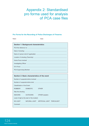# Appendix 2: Standardised pro forma used for analysis of PCA case files

## **Pro Forma for the Recording of Police Discharges of Firearms**

Rater: Contract Contract Contract Contract Contract Contract Contract Contract Contract Contract Contract Contract Contract Contract Contract Contract Contract Contract Contract Contract Contract Contract Contract Contract

|                                              | <b>Section 1: Background characteristics</b> |                                               |
|----------------------------------------------|----------------------------------------------|-----------------------------------------------|
|                                              |                                              |                                               |
|                                              |                                              |                                               |
|                                              |                                              |                                               |
|                                              |                                              |                                               |
|                                              |                                              |                                               |
|                                              |                                              |                                               |
|                                              |                                              |                                               |
|                                              |                                              |                                               |
|                                              |                                              |                                               |
|                                              |                                              | Section 2: Basic characteristics of the event |
|                                              |                                              |                                               |
|                                              |                                              |                                               |
| Classification of the Event:                 |                                              |                                               |
| <b>ROBBERY</b>                               | <b>DOMESTIC</b>                              | <b>OTHER</b>                                  |
| Was the shooting:                            |                                              |                                               |
| <b>INDOORS</b>                               | <b>OUTDOORS</b>                              | OTHER (explain)                               |
| Level of light at the start of the incident: |                                              |                                               |

NO LIGHT NATURAL LIGHT ARTIFICIAL LIGHT TORCHLIGHT

Comment: ...........................................................................................................................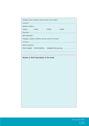| Changes in light conditions over the course of the incident: |                         |              |              |  |
|--------------------------------------------------------------|-------------------------|--------------|--------------|--|
|                                                              |                         |              |              |  |
| Weather conditions:                                          |                         |              |              |  |
| <b>CLEAR</b>                                                 | <b>RAINY</b>            | <b>FOGGY</b> | <b>OTHER</b> |  |
|                                                              |                         |              |              |  |
| <b>NOT RELEVANT</b>                                          |                         |              |              |  |
| Changes in weather conditions over the course of the event:  |                         |              |              |  |
|                                                              |                         |              |              |  |
| Was the operation:                                           |                         |              |              |  |
|                                                              | PRE-PLANNED SPONTANEOUS |              |              |  |
|                                                              |                         |              |              |  |
|                                                              |                         |              |              |  |

# **Section 3: Brief description of the event**

Police Complaints Authority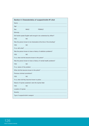|  | Section 4: Characteristics of suspect/victim #1 shot |  |  |
|--|------------------------------------------------------|--|--|
|  |                                                      |  |  |

| Sex:                           | <b>MALE</b>                                            | <b>FEMALE</b>                                                       |  |
|--------------------------------|--------------------------------------------------------|---------------------------------------------------------------------|--|
|                                |                                                        |                                                                     |  |
|                                |                                                        | Did he/she speak English well enough to be understood by officer?   |  |
| <b>YES</b>                     | NO.                                                    |                                                                     |  |
|                                |                                                        | Was the person known to be intoxicated at the time of the shooting? |  |
| <b>YES</b>                     | <b>NO</b>                                              |                                                                     |  |
|                                |                                                        |                                                                     |  |
|                                |                                                        | Was the person known to have a history of addiction problems?       |  |
| <b>YES</b>                     | <b>NO</b>                                              |                                                                     |  |
|                                |                                                        |                                                                     |  |
|                                |                                                        | Was the person known to have a history of mental health problems?   |  |
| <b>YES</b>                     | <b>NO</b>                                              |                                                                     |  |
|                                |                                                        |                                                                     |  |
|                                |                                                        |                                                                     |  |
| Previous criminal convictions? |                                                        |                                                                     |  |
| <b>YES</b>                     | <b>NO</b>                                              |                                                                     |  |
|                                |                                                        |                                                                     |  |
|                                | Nature of injuries sustained: were the injuries fatal: |                                                                     |  |
| <b>YES</b>                     | <b>NO</b>                                              |                                                                     |  |
|                                |                                                        |                                                                     |  |
|                                |                                                        |                                                                     |  |
|                                |                                                        |                                                                     |  |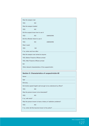| Was the weapon real:                                  |           |                |
|-------------------------------------------------------|-----------|----------------|
| <b>YES</b>                                            | <b>NO</b> |                |
| Was the weapon loaded:                                |           |                |
| <b>YES</b>                                            | <b>NO</b> |                |
| Did the suspect know how to use it:                   |           |                |
| <b>YES</b>                                            | <b>NO</b> | <b>UNKNOWN</b> |
| Did the offender intend to use it:                    |           |                |
| <b>YES</b>                                            | <b>NO</b> | <b>UNKNOWN</b> |
| Was it used:                                          |           |                |
| <b>YES</b>                                            | <b>NO</b> |                |
|                                                       |           |                |
| Was the weapon ever aimed at anyone:                  |           |                |
| YES, Before Firearms Officers arrived                 |           |                |
| YES, After Firearms Officers arrived                  |           |                |
| <b>NO</b>                                             |           |                |
| Other relevant characteristics of the suspect/victim: |           |                |

# **Section 5: Characteristics of suspect/victim #2**

|                                                               | Did he/she speak English well enough to be understood by officer? |  |
|---------------------------------------------------------------|-------------------------------------------------------------------|--|
| <b>YES</b>                                                    | <b>NO</b>                                                         |  |
| Was the person known to be intoxicated?                       |                                                                   |  |
| <b>YES</b>                                                    | NO.                                                               |  |
|                                                               |                                                                   |  |
| Was the person known to have a history of addiction problems? |                                                                   |  |
| <b>YES</b>                                                    | NO.                                                               |  |
|                                                               |                                                                   |  |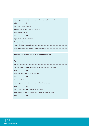| Was the person known to have a history of mental health problems? |           |  |
|-------------------------------------------------------------------|-----------|--|
| <b>YFS</b>                                                        | <b>NO</b> |  |
|                                                                   |           |  |
|                                                                   |           |  |
| Was the person armed?:                                            |           |  |
| <b>YES</b>                                                        | <b>NO</b> |  |
|                                                                   |           |  |
|                                                                   |           |  |
|                                                                   |           |  |
|                                                                   |           |  |

# **Section 6: Characteristics of suspect/victim #3**

|                                                                   | Did he/she speak English well enough to be understood by the officers? |  |  |
|-------------------------------------------------------------------|------------------------------------------------------------------------|--|--|
| <b>YES</b><br><b>NO</b>                                           |                                                                        |  |  |
| Was the person known to be intoxicated?                           |                                                                        |  |  |
| <b>NO</b><br><b>YES</b>                                           |                                                                        |  |  |
|                                                                   |                                                                        |  |  |
| Was the person known to have a history of addiction problems?     |                                                                        |  |  |
| <b>YES</b><br><b>NO</b>                                           |                                                                        |  |  |
|                                                                   |                                                                        |  |  |
| Was the person known to have a history of mental health problems? |                                                                        |  |  |
| <b>YES</b><br><b>NO</b>                                           |                                                                        |  |  |
|                                                                   |                                                                        |  |  |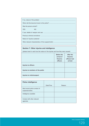| Was the person armed?:  |  |  |
|-------------------------|--|--|
| <b>YFS</b><br><b>NO</b> |  |  |
|                         |  |  |
|                         |  |  |
|                         |  |  |
|                         |  |  |
|                         |  |  |

## **Section 7: Other injuries and intelligence**

(please insert in each box the nature of the injuries and how they were caused)

|                                   | <b>Before the</b><br>arrival of<br>firearms<br><b>officers</b> | After the<br>firearms<br>officers had<br>arrived |
|-----------------------------------|----------------------------------------------------------------|--------------------------------------------------|
| <b>Injuries to officers</b>       |                                                                |                                                  |
| Injuries to members of the public |                                                                |                                                  |
| Injuries to victim/suspect        |                                                                |                                                  |

| <b>Police intelligence</b>                        |           |        |
|---------------------------------------------------|-----------|--------|
|                                                   | Date/Time | Reason |
| Most recent police contact of<br>suspects/victims |           |        |
| Intelligence available                            |           |        |
| Contact with other relevant<br>agencies           |           |        |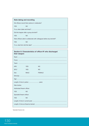# **Note taking and recording**

| Did officers record their actions in notebooks?                        |           |  |
|------------------------------------------------------------------------|-----------|--|
| <b>YES</b>                                                             | <b>NO</b> |  |
|                                                                        |           |  |
| Did this happen after a group de-brief?                                |           |  |
| <b>YFS</b>                                                             | NO.       |  |
| Were officers able to collaborate with colleagues before any de-brief? |           |  |
| <b>YFS</b>                                                             | NO.       |  |
|                                                                        |           |  |

| Section 8: Characteristics of officer #1 who discharged<br>their weapon |             |               |  |
|-------------------------------------------------------------------------|-------------|---------------|--|
|                                                                         |             |               |  |
|                                                                         |             |               |  |
|                                                                         |             |               |  |
| <b>ARV</b>                                                              | <b>YES</b>  | <b>NO</b>     |  |
| SFU*                                                                    | <b>YES</b>  | <b>NO</b>     |  |
| Sex:                                                                    | <b>MALE</b> | <b>FEMALE</b> |  |
|                                                                         |             |               |  |
|                                                                         |             |               |  |
|                                                                         |             |               |  |
| Was he/she:                                                             |             |               |  |
| Authorised firearm officer:                                             |             |               |  |
| <b>YES</b>                                                              | <b>NO</b>   |               |  |
| Specialist firearm officer:                                             |             |               |  |
| <b>YES</b>                                                              | <b>NO</b>   |               |  |
|                                                                         |             |               |  |
|                                                                         |             |               |  |

\*Specialist Firearms Unit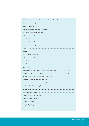| Has the officer fired 3 classification shoots in last 12 months: |           |  |     |           |
|------------------------------------------------------------------|-----------|--|-----|-----------|
| <b>YES</b>                                                       | NO.       |  |     |           |
|                                                                  |           |  |     |           |
|                                                                  |           |  |     |           |
| Was officer blood tested after event:                            |           |  |     |           |
| <b>YES</b>                                                       | <b>NO</b> |  |     |           |
|                                                                  |           |  |     |           |
| Was the officer briefed:                                         |           |  |     |           |
| <b>YES</b>                                                       | <b>NO</b> |  |     |           |
|                                                                  |           |  |     |           |
|                                                                  |           |  |     |           |
| Was the officer de-briefed:                                      |           |  |     |           |
| <b>YES</b>                                                       | NO.       |  |     |           |
|                                                                  |           |  |     |           |
|                                                                  |           |  |     |           |
| Was the officer:                                                 |           |  |     |           |
| TEMPORARILY REMOVED FROM OPERATIONAL DUTY                        |           |  | YES | <b>NO</b> |
| SUSPENDED FROM THE FORCE<br>YES<br><b>NO</b>                     |           |  |     |           |
|                                                                  |           |  |     |           |
|                                                                  |           |  |     |           |
|                                                                  |           |  |     |           |
|                                                                  |           |  |     |           |
|                                                                  |           |  |     |           |
|                                                                  |           |  |     |           |
|                                                                  |           |  |     |           |
| Number of rounds fired:                                          |           |  |     |           |
|                                                                  |           |  |     |           |
|                                                                  |           |  |     |           |
|                                                                  |           |  |     |           |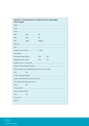| Section 9: Characteristics of officer #2 who discharged<br>their weapon |                                                                  |               |           |  |  |
|-------------------------------------------------------------------------|------------------------------------------------------------------|---------------|-----------|--|--|
|                                                                         |                                                                  |               |           |  |  |
|                                                                         |                                                                  |               |           |  |  |
|                                                                         |                                                                  |               |           |  |  |
| <b>ARV</b>                                                              | <b>YES</b>                                                       | <b>NO</b>     |           |  |  |
| SFU                                                                     | <b>YES</b>                                                       | <b>NO</b>     |           |  |  |
| Sex:                                                                    | <b>MALE</b>                                                      | <b>FEMALE</b> |           |  |  |
|                                                                         |                                                                  |               |           |  |  |
|                                                                         |                                                                  |               |           |  |  |
|                                                                         |                                                                  |               |           |  |  |
| Was he/she:                                                             |                                                                  |               |           |  |  |
| Authorised firearm officer:                                             |                                                                  | <b>YES</b>    | <b>NO</b> |  |  |
| Specialist firearm officer:                                             |                                                                  | <b>YES</b>    | <b>NO</b> |  |  |
|                                                                         |                                                                  |               |           |  |  |
|                                                                         |                                                                  |               |           |  |  |
|                                                                         | Has the officer fired 3 classification shoots in last 12 months: |               |           |  |  |
| <b>YES</b><br>NO.                                                       |                                                                  |               |           |  |  |
|                                                                         |                                                                  |               |           |  |  |
|                                                                         |                                                                  |               |           |  |  |
|                                                                         | Was officer blood tested after event:                            |               |           |  |  |
| <b>YES</b>                                                              | NO.                                                              |               |           |  |  |
|                                                                         |                                                                  |               |           |  |  |
| Was the officer briefed:                                                |                                                                  |               |           |  |  |
| <b>YES</b>                                                              | ΝO                                                               |               |           |  |  |
|                                                                         |                                                                  |               |           |  |  |
|                                                                         |                                                                  |               |           |  |  |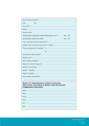| Was the officer de-briefed:               |            |           |
|-------------------------------------------|------------|-----------|
| <b>YES</b><br><b>NO</b>                   |            |           |
|                                           |            |           |
|                                           |            |           |
| Was the officer:                          |            |           |
| TEMPORARILY REMOVED FROM OPERATIONAL DUTY | <b>YES</b> | <b>NO</b> |
| SUSPENDED FROM THE FORCE                  | <b>YES</b> | <b>NO</b> |
|                                           |            |           |
|                                           |            |           |
|                                           |            |           |
|                                           |            |           |
|                                           |            |           |
|                                           |            |           |
|                                           |            |           |
|                                           |            |           |
| Number of rounds fired:                   |            |           |
|                                           |            |           |
|                                           |            |           |
|                                           |            |           |
|                                           |            |           |

## **Section 10: Characteristics of Silver Commander** (REPLICATE THIS TABLE IF MORE THAN ONE SILVER **COMMANDER INVOLVED)**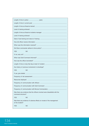| <b>YES</b>                                                                                         | ΝO        |  |  |
|----------------------------------------------------------------------------------------------------|-----------|--|--|
|                                                                                                    |           |  |  |
|                                                                                                    |           |  |  |
|                                                                                                    |           |  |  |
|                                                                                                    |           |  |  |
| Any history of previous involvement in shootings?                                                  |           |  |  |
| <b>YES</b>                                                                                         | <b>NO</b> |  |  |
|                                                                                                    |           |  |  |
|                                                                                                    |           |  |  |
|                                                                                                    |           |  |  |
|                                                                                                    |           |  |  |
| Frequency of communication with Gold Command:                                                      |           |  |  |
|                                                                                                    |           |  |  |
| Was there any evidence that the officers involved were dissatisfied with the<br>command structure? |           |  |  |
| <b>YES</b>                                                                                         | ΝO        |  |  |
| Was there any evidence of adverse effects on morale of the management<br>of the incident?          |           |  |  |
| <b>YES</b>                                                                                         | ΝO        |  |  |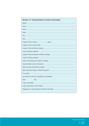## **Section 11: Characteristics of Gold Commander**

| Any history of previous involvement in shootings? |
|---------------------------------------------------|
| <b>YES</b><br><b>NO</b>                           |
|                                                   |
|                                                   |
|                                                   |

Police Complaints Authority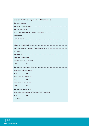|                               | Section 12: Overall supervision of the incident            |  |
|-------------------------------|------------------------------------------------------------|--|
| <b>Command structure</b>      |                                                            |  |
|                               |                                                            |  |
|                               |                                                            |  |
|                               |                                                            |  |
| Incident plan                 |                                                            |  |
|                               |                                                            |  |
|                               |                                                            |  |
|                               |                                                            |  |
|                               |                                                            |  |
| Incident log                  |                                                            |  |
|                               |                                                            |  |
|                               |                                                            |  |
| Was it complete and accurate? |                                                            |  |
| <b>YES</b>                    | NO.                                                        |  |
|                               |                                                            |  |
| Was tactical advice requested |                                                            |  |
| <b>YES</b>                    | ΝO                                                         |  |
| Was tactical advice available |                                                            |  |
| <b>YES</b>                    | ΝO                                                         |  |
| Was tactical advice received  |                                                            |  |
| YES                           | NΟ                                                         |  |
| Comments on tactical advice   |                                                            |  |
|                               | Was the Silver Commander trained to deal with the incident |  |
| <b>YES</b>                    | ΝO                                                         |  |
|                               |                                                            |  |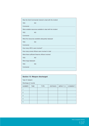| Was the Gold Commander trained to deal with the incident |                                                             |  |
|----------------------------------------------------------|-------------------------------------------------------------|--|
| <b>YES</b>                                               | <b>NO</b>                                                   |  |
|                                                          |                                                             |  |
|                                                          | Were suitable resources available to deal with the incident |  |
| <b>YES</b>                                               | <b>NO</b>                                                   |  |
|                                                          |                                                             |  |
| Were the resources available adequately deployed         |                                                             |  |
| <b>YES</b>                                               | <b>NO</b>                                                   |  |
|                                                          |                                                             |  |
|                                                          |                                                             |  |
|                                                          |                                                             |  |
| Were there sufficient firearms officers involved:        |                                                             |  |
| <b>YES</b>                                               | <b>NO</b>                                                   |  |
| Were dogs deployed:                                      |                                                             |  |
| <b>YES</b>                                               | <b>NO</b>                                                   |  |
|                                                          |                                                             |  |

| <b>Section 13: Weapon discharged</b> |             |             |                 |            |                  |
|--------------------------------------|-------------|-------------|-----------------|------------|------------------|
| Type of weapon:                      |             |             |                 |            |                  |
| Discharge of rounds                  |             |             |                 |            |                  |
| <b>NUMBER</b>                        | <b>TIME</b> | <b>TYPE</b> | <b>DISTANCE</b> | IMPACT (?) | <b>COMMENT 1</b> |
|                                      |             |             |                 |            |                  |
| 2                                    |             |             |                 |            |                  |
| 3                                    |             |             |                 |            |                  |
| $\overline{4}$                       |             |             |                 |            |                  |
| 5                                    |             |             |                 |            |                  |

Police Complaints Authority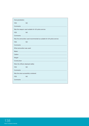| Over-penetration:                    |                                                                       |  |  |
|--------------------------------------|-----------------------------------------------------------------------|--|--|
| <b>YES</b>                           | NO.                                                                   |  |  |
|                                      |                                                                       |  |  |
|                                      | Was the weapon used suitable for UK police service                    |  |  |
| <b>YES</b>                           | <b>NO</b>                                                             |  |  |
|                                      |                                                                       |  |  |
|                                      | Was the ammunition used recommended as suitable for UK police service |  |  |
| <b>YES</b>                           | NO.                                                                   |  |  |
|                                      |                                                                       |  |  |
| What ammunition was used:            |                                                                       |  |  |
|                                      |                                                                       |  |  |
|                                      |                                                                       |  |  |
|                                      |                                                                       |  |  |
|                                      |                                                                       |  |  |
| Were the officers deployed safely:   |                                                                       |  |  |
| <b>YES</b>                           | <b>NO</b>                                                             |  |  |
|                                      |                                                                       |  |  |
| Was the area successfully contained: |                                                                       |  |  |
| <b>YES</b>                           | <b>NO</b>                                                             |  |  |
|                                      |                                                                       |  |  |
|                                      |                                                                       |  |  |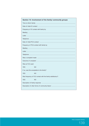# Section 14: Involvement of the family/ community groups

|                                                             | Frequency of IO contact with family by:  |  |  |
|-------------------------------------------------------------|------------------------------------------|--|--|
|                                                             |                                          |  |  |
|                                                             |                                          |  |  |
|                                                             |                                          |  |  |
|                                                             |                                          |  |  |
|                                                             | Frequency of PCA contact with family by: |  |  |
|                                                             |                                          |  |  |
|                                                             |                                          |  |  |
|                                                             |                                          |  |  |
|                                                             |                                          |  |  |
|                                                             |                                          |  |  |
| Was an FLO used:                                            |                                          |  |  |
| <b>YES</b>                                                  | <b>NO</b>                                |  |  |
| If so, was this acceptable to the family?                   |                                          |  |  |
| <b>YES</b>                                                  | <b>NO</b>                                |  |  |
| Was frequency of FLO contact with the family satisfactory?: |                                          |  |  |
| <b>YES</b>                                                  | ΝO                                       |  |  |
|                                                             |                                          |  |  |
|                                                             |                                          |  |  |

Police Complaints Authority 139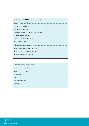### **Section 15: CPS/PCA involvement**

| Was case completed within 120 days: |  |  |  |  |  |  |
|-------------------------------------|--|--|--|--|--|--|
| <b>YES</b><br>NO                    |  |  |  |  |  |  |
|                                     |  |  |  |  |  |  |

# **Section 16: Coroners court** Was there a coroners inquest? **YES NO**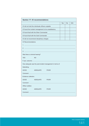| <b>Section 17: IO recommendations</b>                      |                 |             |            |           |     |  |
|------------------------------------------------------------|-----------------|-------------|------------|-----------|-----|--|
|                                                            |                 |             | <b>Yes</b> | <b>No</b> | N/A |  |
| IO did not hold the individuals officers culpable          |                 |             |            |           |     |  |
| IO found the incident management to be unsatisfactory      |                 |             |            |           |     |  |
| IO found fault with the Silver Commander                   |                 |             |            |           |     |  |
| IO found fault with the Gold Commander                     |                 |             |            |           |     |  |
| IO did not recommend disciplinary charges                  |                 |             |            |           |     |  |
| <b>IO Recommendations</b>                                  |                 |             |            |           |     |  |
|                                                            |                 |             |            |           |     |  |
|                                                            |                 |             |            |           |     |  |
|                                                            |                 |             |            |           |     |  |
| Was there a criminal hearing?                              |                 |             |            |           |     |  |
| <b>YES</b>                                                 | <b>NO</b>       |             |            |           |     |  |
|                                                            |                 |             |            |           |     |  |
| How adequate was the post-incident management in terms of: |                 |             |            |           |     |  |
| Debriefing:                                                |                 |             |            |           |     |  |
| <b>GOOD</b>                                                | ADEQUATE        | <b>POOR</b> |            |           |     |  |
|                                                            |                 |             |            |           |     |  |
| Evidence collection:                                       |                 |             |            |           |     |  |
| <b>GOOD</b>                                                | <b>ADEQUATE</b> | <b>POOR</b> |            |           |     |  |
|                                                            |                 |             |            |           |     |  |
| Officer welfare:                                           |                 |             |            |           |     |  |
| GOOD                                                       | <b>ADEQUATE</b> | <b>POOR</b> |            |           |     |  |
|                                                            |                 |             |            |           |     |  |
|                                                            |                 |             |            |           |     |  |

Police Complaints Authority